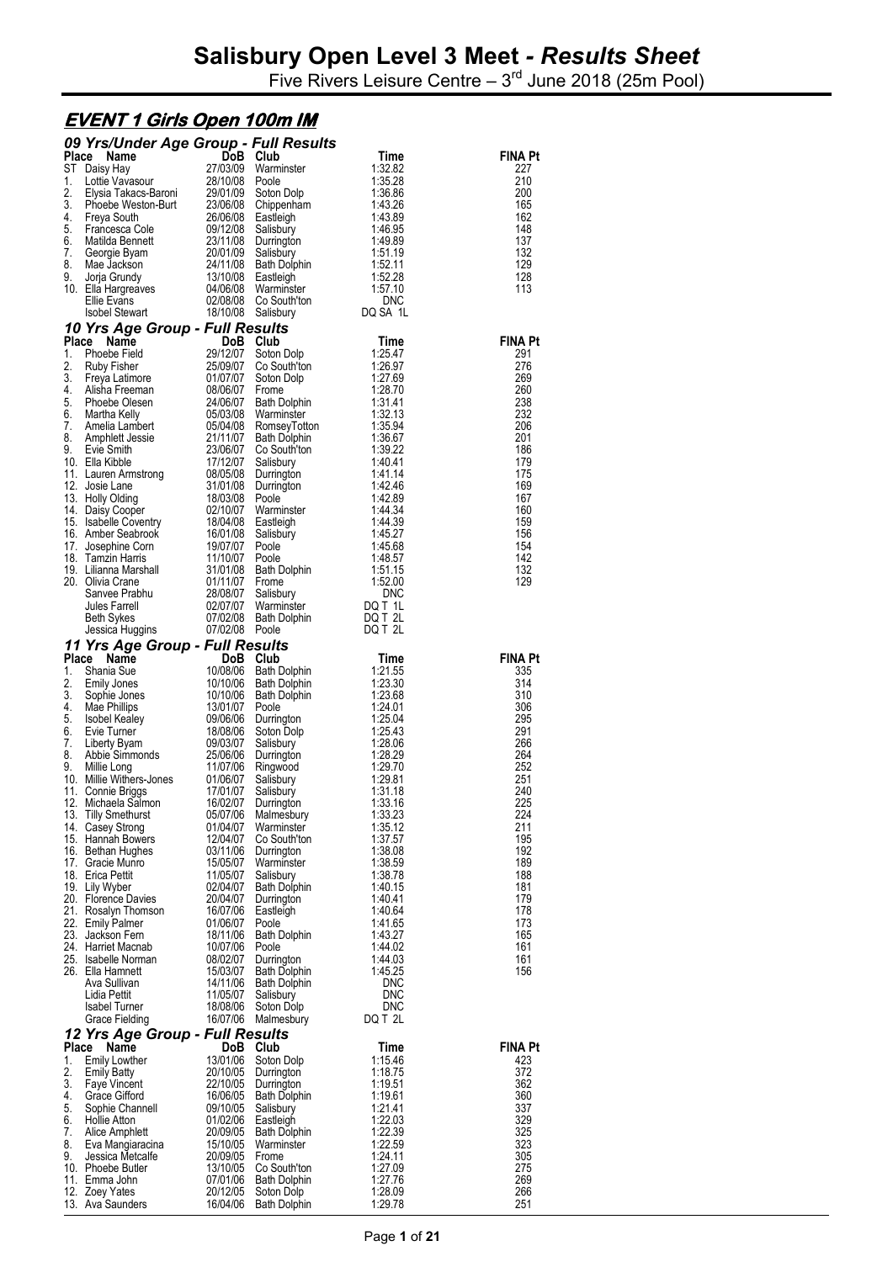Five Rivers Leisure Centre  $-3<sup>rd</sup>$  June 2018 (25m Pool)

#### **EVENT 1 Girls Open 100m IM**

|                    | 09 Yrs/Under Age Group - Full Results                |                                  |                                                   |                               |                       |
|--------------------|------------------------------------------------------|----------------------------------|---------------------------------------------------|-------------------------------|-----------------------|
| <b>Place</b>       | Name<br>ST Daisy Hay                                 | <b>DoB</b><br>27/03/09           | Club<br>Warminster                                | Time<br>1:32.82               | FINA Pt<br>227        |
| 1.                 | Lottie Vavasour                                      | 28/10/08                         | Poole                                             | 1:35.28                       | 210                   |
| 2.                 | Elysia Takacs-Baroni                                 | 29/01/09                         | Soton Dolp                                        | 1:36.86                       | 200                   |
| 3.<br>4.           | Phoebe Weston-Burt<br>Freya South                    | 23/06/08<br>26/06/08             | Chippenham<br>Eastleigh                           | 1:43.26<br>1:43.89            | 165<br>162            |
| 5.                 | Francesca Cole                                       | 09/12/08                         | Salisbury                                         | 1:46.95                       | 148                   |
| 6.                 | Matilda Bennett                                      | 23/11/08                         | Durrington                                        | 1:49.89                       | 137                   |
| 7.<br>8.           | Georgie Byam<br>Mae Jackson                          | 20/01/09<br>24/11/08             | Salisbury<br>Bath Dolphin                         | 1:51.19<br>1:52.11            | 132<br>129            |
| 9.                 | Jorja Grundy                                         | 13/10/08                         | Eastleigh                                         | 1:52.28                       | 128                   |
|                    | 10. Ella Hargreaves<br>Ellie Evans                   | 04/06/08<br>02/08/08             | Warminster<br>Co South'ton                        | 1:57.10<br><b>DNC</b>         | 113                   |
|                    | <b>Isobel Stewart</b>                                |                                  | 18/10/08 Salisbury                                | DQ SA 1L                      |                       |
|                    | 10 Yrs Age Group - Full Results                      |                                  |                                                   |                               |                       |
| <b>Place</b><br>1. | Name<br>Phoebe Field                                 | 29/12/07                         | DoB Club<br>Soton Dolp                            | Time<br>1:25.47               | <b>FINA Pt</b><br>291 |
| 2.                 | Ruby Fisher                                          | 25/09/07                         | Co South'ton                                      | 1:26.97                       | 276                   |
| 3.                 | Freya Latimore                                       | 01/07/07                         | Soton Dolp                                        | 1:27.69                       | 269                   |
| 4.<br>5.           | Alisha Freeman<br>Phoebe Olesen                      | 08/06/07<br>24/06/07             | Frome<br>Bath Dolphin                             | 1:28.70<br>1:31.41            | 260<br>238            |
| 6.                 | Martha Kelly                                         | 05/03/08                         | Warminster                                        | 1:32.13                       | 232                   |
| 7.                 | Amelia Lambert                                       | 05/04/08                         | RomseyTotton                                      | 1:35.94                       | 206                   |
| 8.<br>9.           | Amphlett Jessie<br>Evie Smith                        | 21/11/07<br>23/06/07             | Bath Dolphin<br>Co South'ton                      | 1:36.67<br>1:39.22            | 201<br>186            |
|                    | 10. Ella Kibble                                      | 17/12/07<br>08/05/08             | Salisbury                                         | 1:40.41                       | 179                   |
|                    | 11. Lauren Armstrong<br>12. Josie Lane               | 31/01/08                         | Durrington                                        | 1:41.14<br>1:42.46            | 175<br>169            |
|                    | 13. Holly Olding                                     | 18/03/08                         | Durrington<br>Poole                               | 1:42.89                       | 167                   |
|                    | 14. Daisy Cooper                                     | 02/10/07                         | Warminster                                        | 1:44.34                       | 160                   |
|                    | 15. Isabelle Coventry<br>16. Amber Seabrook          | 18/04/08<br>16/01/08             | Eastleigh<br>Salisbury                            | 1:44.39<br>1:45.27            | 159<br>156            |
|                    | 17. Josephine Corn                                   | 19/07/07                         | Poole                                             | 1:45.68                       | 154                   |
|                    | 18. Tamzin Harris                                    | 11/10/07                         | Poole                                             | 1:48.57                       | 142                   |
|                    | 19. Lilianna Marshall<br>20. Olivia Crane            | 31/01/08<br>01/11/07             | Bath Dolphin<br>Frome                             | 1:51.15<br>1:52.00            | 132<br>129            |
|                    | Sanvee Prabhu                                        | 28/08/07                         | Salisbury                                         | <b>DNC</b>                    |                       |
|                    | Jules Farrell                                        | 02/07/07                         | Warminster                                        | DQ T 1L                       |                       |
|                    | Beth Sykes<br>Jessica Huggins                        | 07/02/08<br>07/02/08 Poole       | Bath Dolphin                                      | DQ T 2L<br>DQ T 2L            |                       |
|                    | 11 Yrs Age Group - Full Results                      |                                  |                                                   |                               |                       |
| Place<br>1.        | Name                                                 | <b>DoB</b><br>10/08/06           | Club                                              | Time                          | <b>FINA Pt</b>        |
| 2.                 | Shania Sue<br><b>Emily Jones</b>                     | 10/10/06                         | <b>Bath Dolphin</b><br><b>Bath Dolphin</b>        | 1:21.55<br>1:23.30            | 335<br>314            |
| 3.                 | Sophie Jones                                         | 10/10/06                         | Bath Dolphin                                      | 1:23.68                       | 310                   |
|                    |                                                      |                                  |                                                   |                               |                       |
| 4.                 | Mae Phillips                                         | 13/01/07                         | Poole                                             | 1:24.01                       | 306                   |
| 5.<br>6.           | <b>Isobel Kealey</b><br>Evie Turner                  | 09/06/06<br>18/08/06             | Durrington<br>Soton Dolp                          | 1:25.04<br>1:25.43            | 295<br>291            |
| 7.                 | Liberty Byam                                         | 09/03/07                         | Salisbury                                         | 1:28.06                       | 266                   |
| 8.                 | Abbie Simmonds                                       | 25/06/06                         | Durrington                                        | 1:28.29                       | 264                   |
| 9.                 | Millie Long<br>10. Millie Withers-Jones              | 11/07/06<br>01/06/07             | Ringwood<br>Salisbury                             | 1:29.70<br>1:29.81            | 252<br>251            |
|                    | 11. Connie Briggs                                    | 17/01/07                         | Salisbury                                         | 1:31.18                       | 240                   |
|                    | 12. Michaela Salmon<br>13. Tilly Smethurst           | 16/02/07<br>05/07/06             | Durrington<br>Malmesbury                          | 1:33.16<br>1:33.23            | 225<br>224            |
|                    | 14. Casey Strong                                     | 01/04/07                         | Warminster                                        | 1:35.12                       | 211                   |
|                    | 15. Hannah Bowers                                    | 12/04/07                         | Co South'ton                                      | 1:37.57                       | 195                   |
|                    | 16. Bethan Hughes<br>17. Gracie Munro                | 03/11/06<br>15/05/07             | Durrington<br>Warminster                          | 1:38.08<br>1:38.59            | 192<br>189            |
|                    | 18. Erica Pettit                                     | 11/05/07                         | Salisbury                                         | 1:38.78                       | 188                   |
|                    | 19. Lily Wyber<br>20. Florence Davies                | 02/04/07<br>20/04/07             | Bath Dolphin                                      | 1:40.15<br>1:40.41            | 181<br>179            |
|                    | 21. Rosalyn Thomson                                  | 16/07/06                         | Durrington<br>Eastleigh                           | 1:40.64                       | 178                   |
|                    | 22. Emily Palmer                                     | 01/06/07                         | Poole                                             | 1:41.65                       | 173                   |
| 23.                | Jackson Fern<br>24. Harriet Macnab                   | 18/11/06<br>10/07/06             | <b>Bath Dolphin</b><br>Poole                      | 1:43.27<br>1:44.02            | 165<br>161            |
|                    | 25. Isabelle Norman                                  | 08/02/07                         | Durrington                                        | 1:44.03                       | 161                   |
|                    | 26. Ella Hamnett                                     | 15/03/07                         | <b>Bath Dolphin</b>                               | 1:45.25                       | 156                   |
|                    | Ava Sullivan<br>Lidia Pettit                         | 14/11/06<br>11/05/07             | Bath Dolphin<br>Salisbury                         | <b>DNC</b><br><b>DNC</b>      |                       |
|                    | <b>Isabel Turner</b>                                 | 18/08/06                         | Soton Dolp                                        | <b>DNC</b>                    |                       |
|                    | Grace Fielding                                       | 16/07/06                         | Malmesbury                                        | DQ T 2L                       |                       |
| <b>Place</b>       | 12 Yrs Age Group - Full Results<br>Name              | DoB                              | Club                                              | Time                          | FINA Pt               |
| 1.                 | Emily Lowther                                        | 13/01/06                         | Soton Dolp                                        | 1:15.46                       | 423                   |
| 2.<br>3.           | <b>Emily Batty</b><br>Faye Vincent                   | 20/10/05<br>22/10/05             | Durrington<br>Durrington                          | 1:18.75<br>1:19.51            | 372<br>362            |
| 4.                 | Grace Gifford                                        | 16/06/05                         | <b>Bath Dolphin</b>                               | 1:19.61                       | 360                   |
| 5.                 | Sophie Channell                                      | 09/10/05                         | Salisbury                                         | 1:21.41                       | 337                   |
| 6.<br>7.           | <b>Hollie Atton</b><br>Alice Amphlett                | 01/02/06<br>20/09/05             | Eastleigh<br><b>Bath Dolphin</b>                  | 1:22.03<br>1:22.39            | 329<br>325            |
| 8.                 | Eva Mangiaracina                                     | 15/10/05                         | Warminster                                        | 1:22.59                       | 323                   |
| 9.                 | Jessica Metcalfe                                     | 20/09/05                         | Frome                                             | 1:24.11                       | 305                   |
|                    | 10. Phoebe Butler<br>11. Emma John<br>12. Zoey Yates | 13/10/05<br>07/01/06<br>20/12/05 | Co South'ton<br><b>Bath Dolphin</b><br>Soton Dolp | 1:27.09<br>1:27.76<br>1:28.09 | 275<br>269<br>266     |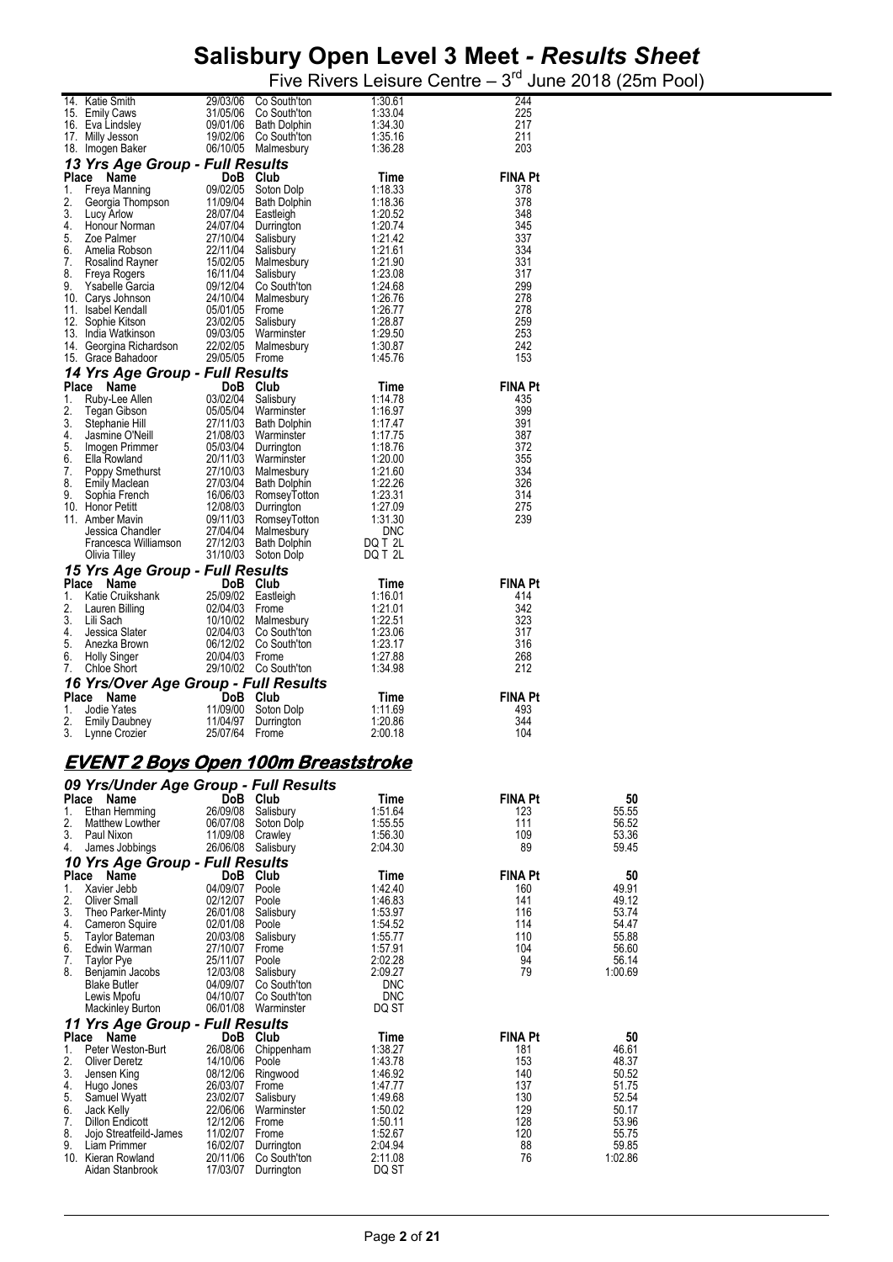Five Rivers Leisure Centre  $-3<sup>rd</sup>$  June 2018 (25m Pool) 14. Katie Smith 29/03/06 Co South'ton 1:30.61 244

|          | 15. Emily Caws<br>16. Eva Lindsley                                                                                                                                                                                                             |                            | 31/05/06 Co South'ton<br>09/01/06 Bath Dolphin                                                                                                                                                                                                        | 1:33.04<br>1:34.30    | 225<br>217            |                  |
|----------|------------------------------------------------------------------------------------------------------------------------------------------------------------------------------------------------------------------------------------------------|----------------------------|-------------------------------------------------------------------------------------------------------------------------------------------------------------------------------------------------------------------------------------------------------|-----------------------|-----------------------|------------------|
|          | 17. Milly Jesson<br>18. Imogen Baker                                                                                                                                                                                                           |                            | 19/02/06 Co South'ton<br>06/10/05 Malmesbury                                                                                                                                                                                                          | 1:35.16<br>1:36.28    | 211<br>203            |                  |
|          | 13 Yrs Age Group - Full Results                                                                                                                                                                                                                |                            |                                                                                                                                                                                                                                                       |                       |                       |                  |
|          | <b>13 Yrs Age Group - Full Results</b><br>Place Name 100B Club<br>1. Freya Manning 1990/205 Soton Dolp<br>2. Georgia Thompson 11/09/04 Bath Dolphin<br>3. Lucy Arlow 28/07/04 Eastleigh<br>4. Honour Norman 24/07/04 Durrington<br>5. Zoe Palm |                            |                                                                                                                                                                                                                                                       | Time<br>1:18.33       | <b>FINA Pt</b><br>378 |                  |
|          |                                                                                                                                                                                                                                                |                            |                                                                                                                                                                                                                                                       | 1:18.36               | 378                   |                  |
|          |                                                                                                                                                                                                                                                |                            |                                                                                                                                                                                                                                                       | 1:20.52<br>1:20.74    | 348<br>345            |                  |
|          |                                                                                                                                                                                                                                                |                            |                                                                                                                                                                                                                                                       | 1:21.42               | 337                   |                  |
|          |                                                                                                                                                                                                                                                |                            |                                                                                                                                                                                                                                                       | 1:21.61<br>1:21.90    | 334<br>331            |                  |
|          |                                                                                                                                                                                                                                                |                            |                                                                                                                                                                                                                                                       | 1:23.08               | 317                   |                  |
|          |                                                                                                                                                                                                                                                |                            |                                                                                                                                                                                                                                                       | 1:24.68<br>1:26.76    | 299<br>278            |                  |
|          |                                                                                                                                                                                                                                                |                            |                                                                                                                                                                                                                                                       | 1:26.77               | 278                   |                  |
|          |                                                                                                                                                                                                                                                |                            |                                                                                                                                                                                                                                                       | 1:28.87<br>1:29.50    | 259<br>253            |                  |
|          |                                                                                                                                                                                                                                                |                            |                                                                                                                                                                                                                                                       | 1:30.87               | 242                   |                  |
|          |                                                                                                                                                                                                                                                |                            |                                                                                                                                                                                                                                                       | 1:45.76               | 153                   |                  |
|          | 14 Yrs Age Group - Full Results<br>Place Name                                                                                                                                                                                                  |                            | <b>Group - Full Nessure 1008</b><br>1008 Club<br>103/02/04 Salisbury<br>05/05/04 Warminster<br>27/11/03 Bath Dolphin<br>ill 21/08/03 Warminster<br>ner 05/03/04 Durrington<br>12/11/03 Malmesbury<br>n 27/03/04 Bath Dolphin<br>h 16/06/03 RomseyTott | Time                  | <b>FINA Pt</b>        |                  |
| 1.       | Ruby-Lee Allen                                                                                                                                                                                                                                 |                            |                                                                                                                                                                                                                                                       | 1:14.78               | 435                   |                  |
| 2.<br>3. | Tegan Gibson<br>Stephanie Hill                                                                                                                                                                                                                 |                            |                                                                                                                                                                                                                                                       | 1:16.97<br>1:17.47    | 399<br>391            |                  |
| 4.       | Jasmine O'Neill                                                                                                                                                                                                                                |                            |                                                                                                                                                                                                                                                       | 1:17.75               | 387                   |                  |
| 5.<br>6. | Imogen Primmer<br>Ella Rowland                                                                                                                                                                                                                 |                            |                                                                                                                                                                                                                                                       | 1:18.76<br>1:20.00    | 372<br>355            |                  |
| 7.       | Poppy Smethurst                                                                                                                                                                                                                                |                            |                                                                                                                                                                                                                                                       | 1:21.60               | 334                   |                  |
| 8.<br>9. | Emily Maclean<br>Sophia French                                                                                                                                                                                                                 |                            |                                                                                                                                                                                                                                                       | 1:22.26<br>1:23.31    | 326<br>314            |                  |
|          | 10. Honor Petitt                                                                                                                                                                                                                               |                            |                                                                                                                                                                                                                                                       | 1:27.09               | 275                   |                  |
|          | 11. Amber Mavin                                                                                                                                                                                                                                |                            | 27/04/04 Malmesbury                                                                                                                                                                                                                                   | 1:31.30<br><b>DNC</b> | 239                   |                  |
|          | Jessica Chandler<br>Francesca Williamson<br>Olivia Tilley                                                                                                                                                                                      |                            | 27/12/03 Bath Dolphin                                                                                                                                                                                                                                 | DQ T 2L               |                       |                  |
|          | Olivia Tilley<br>15 Yrs Age Group - Full Results                                                                                                                                                                                               |                            | 31/10/03 Soton Dolp                                                                                                                                                                                                                                   | DQ T 2L               |                       |                  |
|          | Place Name                                                                                                                                                                                                                                     |                            | DoB Club                                                                                                                                                                                                                                              | Time                  | <b>FINA Pt</b>        |                  |
| 1.<br>2. | Exite Cruikshank<br>Lauren Billing (1990)<br>Lauren Billing (1990)<br>Lili Sach (1990)<br>Jessica Slater (1990)<br>Jessica Slater (1990)<br>2004/03 Co South'ton                                                                               |                            |                                                                                                                                                                                                                                                       | 1:16.01<br>1:21.01    | 414<br>342            |                  |
| 3.       |                                                                                                                                                                                                                                                |                            |                                                                                                                                                                                                                                                       | 1:22.51               | 323                   |                  |
| 4.<br>5. |                                                                                                                                                                                                                                                |                            |                                                                                                                                                                                                                                                       | 1:23.06               | 317<br>316            |                  |
| 6.       | Anezka Brown<br><b>Holly Singer</b>                                                                                                                                                                                                            | 20/04/03 Frome             | 06/12/02 Co South'ton                                                                                                                                                                                                                                 | 1:23.17<br>1:27.88    | 268                   |                  |
| 7.       | Chloe Short                                                                                                                                                                                                                                    |                            | 29/10/02 Co South'ton                                                                                                                                                                                                                                 | 1:34.98               | 212                   |                  |
|          | 16 Yrs/Over Age Group - Full Results<br>Place Name                                                                                                                                                                                             |                            | DoB Club                                                                                                                                                                                                                                              | Time                  | <b>FINA Pt</b>        |                  |
| 1.       | Jodie Yates                                                                                                                                                                                                                                    | 11/09/00                   | Soton Dolp                                                                                                                                                                                                                                            | 1:11.69               | 493                   |                  |
| 2.<br>3. | Emily Daubney<br>Lynne Crozier                                                                                                                                                                                                                 | 11/04/97<br>25/07/64 Frome | Durrington                                                                                                                                                                                                                                            | 1:20.86<br>2:00.18    | 344<br>104            |                  |
|          |                                                                                                                                                                                                                                                |                            |                                                                                                                                                                                                                                                       |                       |                       |                  |
|          | <u>EVENT 2 Boys Open 100m Breaststroke</u>                                                                                                                                                                                                     |                            |                                                                                                                                                                                                                                                       |                       |                       |                  |
|          | 09 Yrs/Under Age Group - Full Results                                                                                                                                                                                                          |                            |                                                                                                                                                                                                                                                       |                       |                       |                  |
| 1.       | Place Name<br>Ethan Hemming                                                                                                                                                                                                                    | 26/09/08                   | DoB Club<br>Salisbury                                                                                                                                                                                                                                 | Time<br>1:51.64       | <b>FINA Pt</b><br>123 | 50<br>55.55      |
| 2.       | Matthew Lowther                                                                                                                                                                                                                                | 06/07/08                   | Soton Dolp                                                                                                                                                                                                                                            | 1:55.55               | 111                   | 56.52            |
| 3.<br>4. | Paul Nixon<br>James Jobbings                                                                                                                                                                                                                   | 11/09/08                   | Crawley<br>26/06/08 Salisbury                                                                                                                                                                                                                         | 1:56.30<br>2:04.30    | 109<br>89             | 53.36<br>59.45   |
|          | 10 Yrs Age Group - Full Results                                                                                                                                                                                                                |                            |                                                                                                                                                                                                                                                       |                       |                       |                  |
| Place    | Name                                                                                                                                                                                                                                           |                            | DoB Club                                                                                                                                                                                                                                              | Time                  | <b>FINA Pt</b>        | 50               |
| 1.<br>2. | Xavier Jebb<br><b>Oliver Small</b>                                                                                                                                                                                                             | 04/09/07<br>02/12/07       | Poole<br>Poole                                                                                                                                                                                                                                        | 1:42.40<br>1:46.83    | 160<br>141            | 49.91<br>49.12   |
| 3.       | Theo Parker-Minty                                                                                                                                                                                                                              | 26/01/08                   | Salisbury                                                                                                                                                                                                                                             | 1:53.97               | 116                   | 53.74            |
| 4.<br>5. | <b>Cameron Squire</b><br>Taylor Bateman                                                                                                                                                                                                        | 02/01/08<br>20/03/08       | Poole<br>Salisbury                                                                                                                                                                                                                                    | 1:54.52<br>1:55.77    | 114<br>110            | 54.47<br>55.88   |
| 6.       | Edwin Warman                                                                                                                                                                                                                                   | 27/10/07                   | Frome                                                                                                                                                                                                                                                 | 1:57.91               | 104                   | 56.60            |
| 7.<br>8. | <b>Taylor Pye</b><br>Benjamin Jacobs                                                                                                                                                                                                           | 25/11/07<br>12/03/08       | Poole<br>Salisbury                                                                                                                                                                                                                                    | 2:02.28<br>2:09.27    | 94<br>79              | 56.14<br>1:00.69 |
|          | <b>Blake Butler</b>                                                                                                                                                                                                                            | 04/09/07                   | Co South'ton                                                                                                                                                                                                                                          | <b>DNC</b>            |                       |                  |
|          | Lewis Mpofu<br>Mackinley Burton                                                                                                                                                                                                                | 04/10/07                   | Co South'ton<br>06/01/08 Warminster                                                                                                                                                                                                                   | <b>DNC</b><br>DQ ST   |                       |                  |
|          | 11 Yrs Age Group - Full Results                                                                                                                                                                                                                |                            |                                                                                                                                                                                                                                                       |                       |                       |                  |
|          | Place Name                                                                                                                                                                                                                                     |                            | DoB Club                                                                                                                                                                                                                                              | Time                  | <b>FINA Pt</b>        | 50               |
| 1.<br>2. | Peter Weston-Burt<br>Oliver Deretz                                                                                                                                                                                                             | 26/08/06<br>14/10/06       | Chippenham<br>Poole                                                                                                                                                                                                                                   | 1:38.27<br>1:43.78    | 181<br>153            | 46.61<br>48.37   |
| 3.       | Jensen King                                                                                                                                                                                                                                    | 08/12/06                   | Ringwood                                                                                                                                                                                                                                              | 1:46.92               | 140                   | 50.52            |
| 4.<br>5. | Hugo Jones<br>Samuel Wyatt                                                                                                                                                                                                                     | 26/03/07<br>23/02/07       | Frome<br>Salisbury                                                                                                                                                                                                                                    | 1:47.77<br>1:49.68    | 137<br>130            | 51.75<br>52.54   |
| 6.       | Jack Kelly                                                                                                                                                                                                                                     | 22/06/06                   | Warminster                                                                                                                                                                                                                                            | 1:50.02               | 129                   | 50.17            |
| 7.<br>8. | Dillon Endicott<br>Jojo Streatfeild-James                                                                                                                                                                                                      | 12/12/06<br>11/02/07       | Frome<br>Frome                                                                                                                                                                                                                                        | 1:50.11<br>1:52.67    | 128<br>120            | 53.96<br>55.75   |
| 9.       | Liam Primmer                                                                                                                                                                                                                                   | 16/02/07                   | Durrington                                                                                                                                                                                                                                            | 2:04.94               | 88                    | 59.85            |
|          | 10. Kieran Rowland<br>Aidan Stanbrook                                                                                                                                                                                                          | 20/11/06<br>17/03/07       | Co South'ton<br>Durrington                                                                                                                                                                                                                            | 2:11.08<br>DQ ST      | 76                    | 1:02.86          |
|          |                                                                                                                                                                                                                                                |                            |                                                                                                                                                                                                                                                       |                       |                       |                  |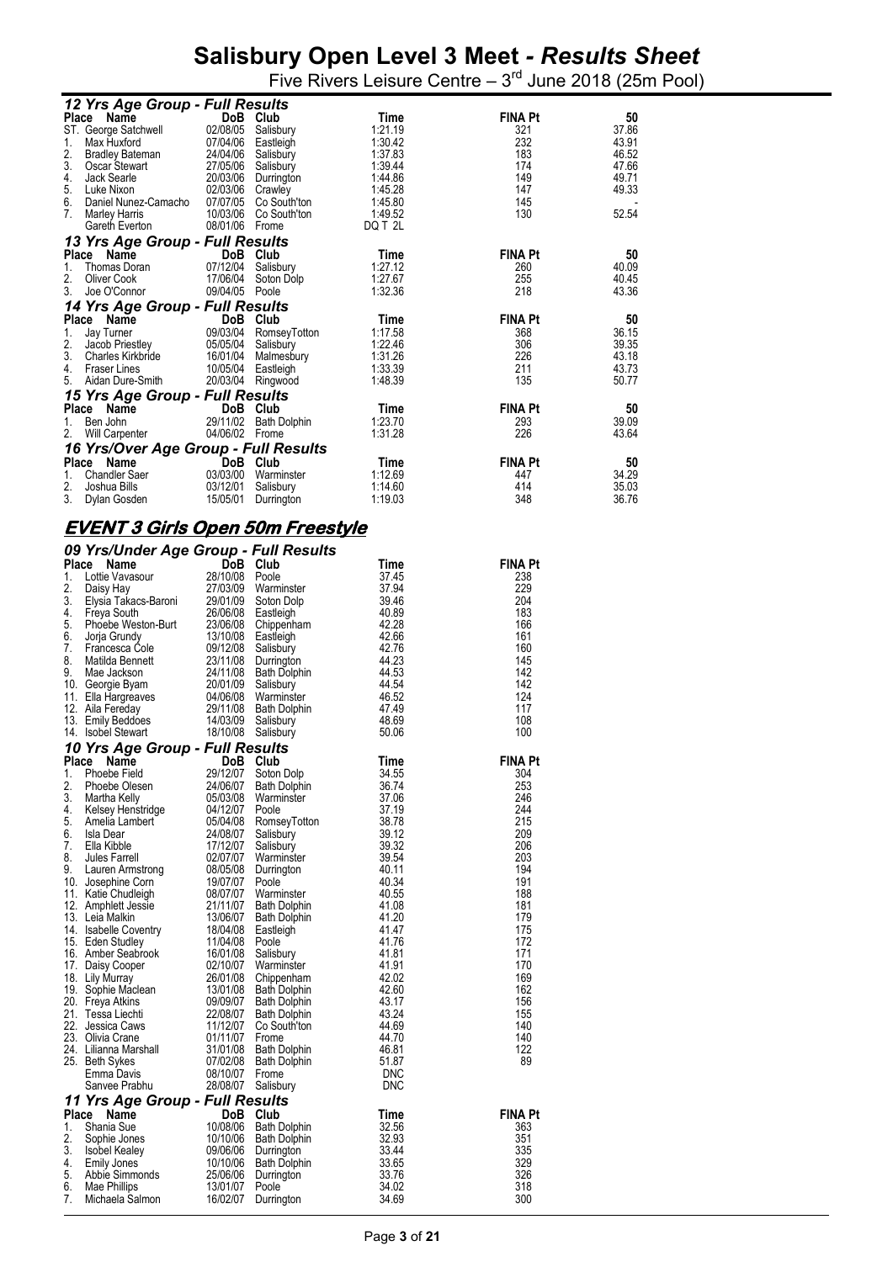Five Rivers Leisure Centre  $-3<sup>rd</sup>$  June 2018 (25m Pool)

|       | 12 Yrs Age Group - Full Results      |                  |                       |         |                |       |
|-------|--------------------------------------|------------------|-----------------------|---------|----------------|-------|
|       | Place Name                           |                  | DoB Club              | Time    | <b>FINA Pt</b> | 50    |
|       | ST. George Satchwell                 |                  | 02/08/05 Salisbury    | 1:21.19 | 321            | 37.86 |
| 1.    | Max Huxford                          | 07/04/06         | Eastleigh             | 1:30.42 | 232            | 43.91 |
| 2.    | <b>Bradley Bateman</b>               | 24/04/06         | Salisbury             | 1:37.83 | 183            | 46.52 |
| 3.    | Oscar Stewart                        | 27/05/06         | Salisbury             | 1:39.44 | 174            | 47.66 |
| 4.    | Jack Searle                          | 20/03/06         | Durrington            | 1:44.86 | 149            | 49.71 |
| 5.    | Luke Nixon                           | 02/03/06 Crawley |                       | 1:45.28 | 147            | 49.33 |
| 6.    | Daniel Nunez-Camacho                 |                  | 07/07/05 Co South'ton | 1:45.80 | 145            |       |
| 7.    | <b>Marley Harris</b>                 |                  | 10/03/06 Co South'ton | 1:49.52 | 130            | 52.54 |
|       | Gareth Everton                       | 08/01/06 Frome   |                       | DQ T 2L |                |       |
|       | 13 Yrs Age Group - Full Results      |                  |                       |         |                |       |
|       | Place Name                           |                  | DoB Club              | Time    | <b>FINA Pt</b> | 50    |
| 1.    | Thomas Doran                         | 07/12/04         | Salisbury             | 1:27.12 | 260            | 40.09 |
| 2.    | Oliver Cook                          | 17/06/04         | Soton Dolp            | 1:27.67 | 255            | 40.45 |
| 3.    | Joe O'Connor                         | 09/04/05         | Poole                 | 1:32.36 | 218            | 43.36 |
|       | 14 Yrs Age Group - Full Results      |                  |                       |         |                |       |
|       | Place Name                           | DoB              | Club                  | Time    | <b>FINA Pt</b> | 50    |
| 1.    | Jay Turner                           |                  | 09/03/04 RomseyTotton | 1:17.58 | 368            | 36.15 |
| 2.    | Jacob Priestley                      |                  | 05/05/04 Salisbury    | 1:22.46 | 306            | 39.35 |
| 3.    | Charles Kirkbride                    |                  | 16/01/04 Malmesbury   | 1:31.26 | 226            | 43.18 |
| 4.    | <b>Fraser Lines</b>                  | 10/05/04         | Eastleigh             | 1:33.39 | 211            | 43.73 |
| 5.    | Aidan Dure-Smith                     | 20/03/04         | Ringwood              | 1:48.39 | 135            | 50.77 |
|       | 15 Yrs Age Group - Full Results      |                  |                       |         |                |       |
|       | Place Name                           |                  | DoB Club              | Time    | <b>FINA Pt</b> | 50    |
| 1.    | Ben John                             | 29/11/02         | <b>Bath Dolphin</b>   | 1:23.70 | 293            | 39.09 |
| 2.    | Will Carpenter                       | 04/06/02 Frome   |                       | 1:31.28 | 226            | 43.64 |
|       | 16 Yrs/Over Age Group - Full Results |                  |                       |         |                |       |
| Place | Name                                 | `DoB             | Club                  | Time    | <b>FINA Pt</b> | 50    |
| 1.    | <b>Chandler Saer</b>                 | 03/03/00         | Warminster            | 1:12.69 | 447            | 34.29 |
| 2.    | Joshua Bills                         | 03/12/01         | Salisbury             | 1:14.60 | 414            | 35.03 |
| 3.    | Dylan Gosden                         | 15/05/01         | Durrington            | 1:19.03 | 348            | 36.76 |

#### **EVENT 3 Girls Open 50m Freestyle**

|          | 09 Yrs/Under Age Group - Full Results                                                                                                    |                         |                          |                |                |
|----------|------------------------------------------------------------------------------------------------------------------------------------------|-------------------------|--------------------------|----------------|----------------|
| Place    | Name                                                                                                                                     | DoB Club                |                          | Time           | <b>FINA Pt</b> |
| 1.       | Lottie Vavasour                                                                                                                          | 28/10/08                | Poole                    | 37.45          | 238            |
| 2.       | Daisy Hay                                                                                                                                | 27/03/09                | Warminster               | 37.94          | 229            |
| 3.       |                                                                                                                                          |                         | Soton Dolp               | 39.46          | 204            |
| 4.       |                                                                                                                                          |                         | 26/06/08 Eastleigh       | 40.89          | 183            |
| 5.       | Elysia Takacs-Baroni 29/01/09<br>Freya South 26/06/08<br>Phoebe Weston-Burt 23/06/08<br>Jorja Grundy 13/10/08<br>Francesca Cole 09/12/08 |                         | Chippenham               | 42.28          | 166            |
| 6.       |                                                                                                                                          |                         | Eastleigh                | 42.66          | 161            |
| 7.       |                                                                                                                                          |                         | Salisbury                | 42.76          | 160            |
| 8.<br>9. | Matilda Bennett                                                                                                                          | 23/11/08                | Durrington               | 44.23          | 145            |
|          | 9. Mae Jew.<br>10. Georgie Byam<br>11. Ella Hargreaves<br>`ີ. ^ <sup>:ia</sup> Fereday                                                   | 24/11/08<br>20/01/09    | Bath Dolphin             | 44.53<br>44.54 | 142<br>142     |
|          |                                                                                                                                          | 04/06/08                | Salisbury<br>Warminster  | 46.52          | 124            |
|          |                                                                                                                                          | 29/11/08                | <b>Bath Dolphin</b>      | 47.49          | 117            |
|          | 13. Emily Beddoes                                                                                                                        | 14/03/09                | Salisbury                | 48.69          | 108            |
|          | 14. Isobel Stewart                                                                                                                       | 18/10/08 Salisbury      |                          | 50.06          | 100            |
|          | 10 Yrs Age Group - Full Results                                                                                                          |                         |                          |                |                |
| Place    | Name                                                                                                                                     | DoB Club                |                          | Time           | <b>FINA Pt</b> |
| 1.       | <b>Phoebe Field</b>                                                                                                                      | יחר<br>ייחר<br>29/12/07 | Soton Dolp               | 34.55          | 304            |
| 2.       | Phoebe Olesen                                                                                                                            | 24/06/07                | Bath Dolphin             | 36.74          | 253            |
| 3.       | Martha Kelly                                                                                                                             | 05/03/08                | Warminster               | 37.06          | 246            |
| 4.       |                                                                                                                                          | 04/12/07                | Poole                    | 37.19          | 244            |
| 5.       | Kelsey Henstridge<br>Amelia Lambert                                                                                                      | 05/04/08                | Romsey⊺otton             | 38.78          | 215            |
| 6.       | Isla Dear                                                                                                                                | 24/08/07                | Salisbury                | 39.12          | 209            |
| 7.       | Ella Kibble                                                                                                                              | 17/12/07                | Salisbury                | 39.32          | 206            |
| 8.       |                                                                                                                                          | 02/07/07                | Warminster               | 39.54          | 203            |
| 9.       | Jules Farren<br>Lauren Armstrong<br>Josephine Corn<br>11-tip Chudleigh                                                                   | 08/05/08                | Durrington               | 40.11          | 194            |
|          | 10. Josephine Corn                                                                                                                       | 19/07/07                | Poole                    | 40.34          | 191            |
|          | 11. Katie Chudleigh                                                                                                                      | 08/07/07                | Warminster               | 40.55          | 188            |
|          | 12. Amphlett Jessie                                                                                                                      | 21/11/07                | <b>Bath Dolphin</b>      | 41.08          | 181            |
|          | 13. Leia Malkin                                                                                                                          | 13/06/07<br>18/04/08    | Bath Dolphin             | 41.20          | 179            |
|          | 14. Isabelle Coventry                                                                                                                    |                         | Eastleigh                | 41.47          | 175            |
|          | 15. Eden Studley                                                                                                                         | 11/04/08                | Poole                    | 41.76          | 172            |
|          | 16. Amber Seabrook<br>17. Daisy Cooper                                                                                                   | 16/01/08<br>02/10/07    | Salisbury                | 41.81<br>41.91 | 171<br>170     |
|          |                                                                                                                                          | 26/01/08                | Warminster<br>Chippenham | 42.02          | 169            |
|          | 18. Lily Murray                                                                                                                          | 13/01/08                | <b>Bath Dolphin</b>      | 42.60          | 162            |
|          | 19. Sophie Maclean<br>20. Freya Atkins<br>20. Freya Atkins                                                                               | 09/09/07                | <b>Bath Dolphin</b>      | 43.17          | 156            |
|          | 21. Tessa Liechti                                                                                                                        | 22/08/07                | <b>Bath Dolphin</b>      | 43.24          | 155            |
|          | 22. Jessica Caws                                                                                                                         | 11/12/07                | Co South'ton             | 44.69          | 140            |
|          | 23. Olivia Crane                                                                                                                         | 01/11/07                | Frome                    | 44.70          | 140            |
|          |                                                                                                                                          | 31/01/08                | <b>Bath Dolphin</b>      | 46.81          | 122            |
|          | 24.   Lilianna Marshall<br>25.   Beth Svkes<br>25. Beth Sykes                                                                            | 07/02/08                | <b>Bath Dolphin</b>      | 51.87          | 89             |
|          | Emma Davis                                                                                                                               | 08/10/07                | Frome                    | DNC            |                |
|          | Sanvee Prabhu                                                                                                                            | 28/08/07                | Salisbury                | DNC            |                |
|          | 11 Yrs Age Group - Full Results                                                                                                          |                         |                          |                |                |
| Place    | Name                                                                                                                                     | DoB                     | Club                     | Time           | <b>FINA Pt</b> |
| 1.       | Shania Sue                                                                                                                               | 10/08/06                | Bath Dolphin             | 32.56          | 363            |
| 2.       | Sophie Jones                                                                                                                             | 10/10/06                | Bath Dolphin             | 32.93          | 351            |
| 3.       | <b>Isobel Kealey</b>                                                                                                                     | 09/06/06                | Durrington               | 33.44          | 335            |
| 4.       | Emily Jones                                                                                                                              | 10/10/06                | Bath Dolphin             | 33.65          | 329            |
| 5.       | Abbie Simmonds<br>Mae Phillins                                                                                                           | 25/06/06                | Durrington               | 33.76          | 326            |
| 6.       | Mae Phillips                                                                                                                             | 13/01/07                | Poole                    | 34.02          | 318            |
| 7.       | Michaela Salmon                                                                                                                          | 16/02/07                | Durrington               | 34.69          | 300            |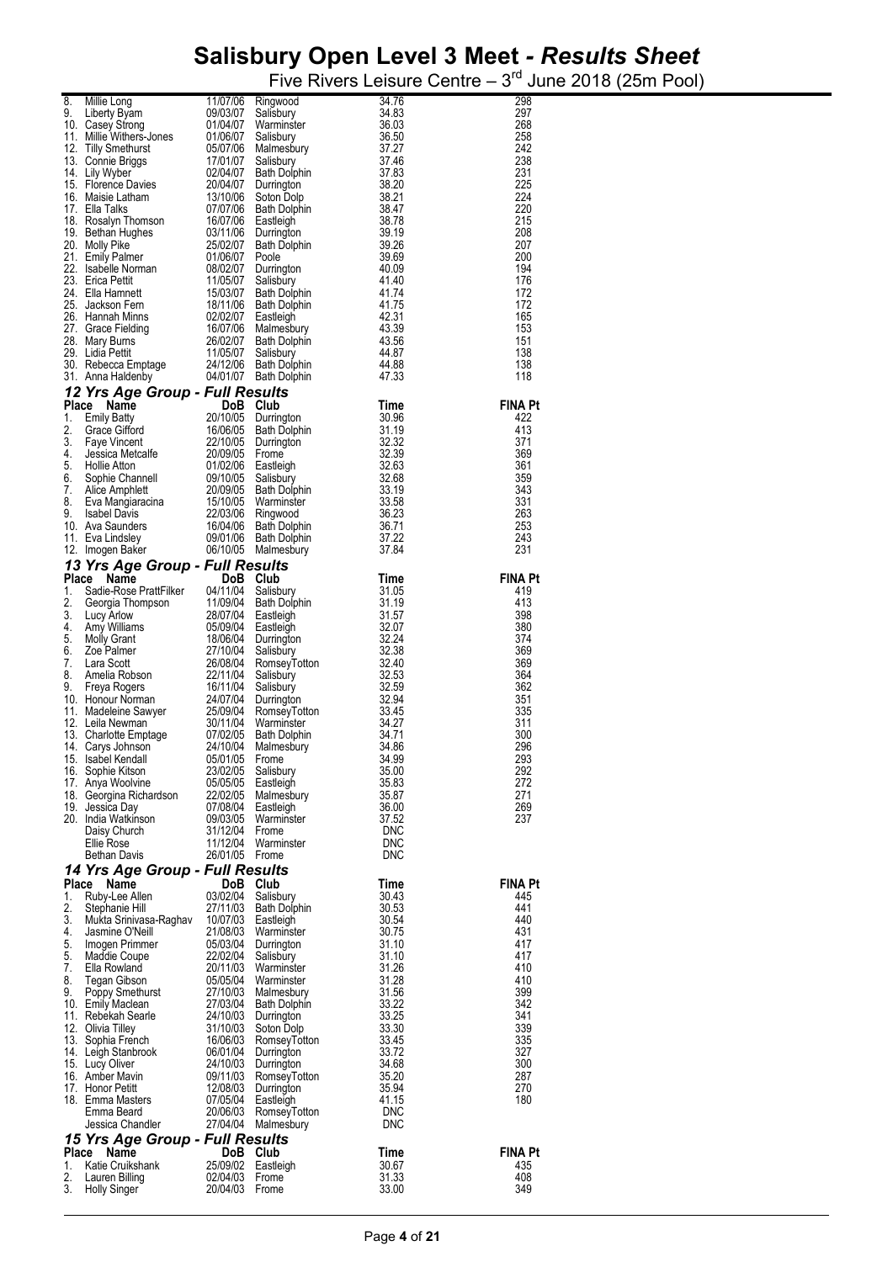|       |                                                                                                                                                                                                                                                             |                |                     |                                                                                                                                                                                                                                                                                             | 298            |
|-------|-------------------------------------------------------------------------------------------------------------------------------------------------------------------------------------------------------------------------------------------------------------|----------------|---------------------|---------------------------------------------------------------------------------------------------------------------------------------------------------------------------------------------------------------------------------------------------------------------------------------------|----------------|
|       |                                                                                                                                                                                                                                                             |                |                     |                                                                                                                                                                                                                                                                                             | 297            |
|       |                                                                                                                                                                                                                                                             |                |                     |                                                                                                                                                                                                                                                                                             | 268            |
|       |                                                                                                                                                                                                                                                             |                |                     |                                                                                                                                                                                                                                                                                             | 258            |
|       | 8. Millie Long 11/07/06 Ringwood 34.76<br>9. Liberty Byam 09/03/07 Salisbury 34.83<br>10. Casey Strong 01/04/07 Valminister 16.50<br>11. Millie Withers-Jones 01/06/07 Valmishury 36.50<br>12. Tilly Smethurst 05/07/06 Malmesbury 37                       |                |                     |                                                                                                                                                                                                                                                                                             |                |
|       |                                                                                                                                                                                                                                                             |                |                     |                                                                                                                                                                                                                                                                                             | 242            |
|       |                                                                                                                                                                                                                                                             |                |                     |                                                                                                                                                                                                                                                                                             | 238            |
|       |                                                                                                                                                                                                                                                             |                |                     |                                                                                                                                                                                                                                                                                             | 231            |
|       |                                                                                                                                                                                                                                                             |                |                     |                                                                                                                                                                                                                                                                                             | 225            |
|       |                                                                                                                                                                                                                                                             |                |                     |                                                                                                                                                                                                                                                                                             | 224            |
|       |                                                                                                                                                                                                                                                             |                |                     |                                                                                                                                                                                                                                                                                             | 220            |
|       |                                                                                                                                                                                                                                                             |                |                     |                                                                                                                                                                                                                                                                                             |                |
|       |                                                                                                                                                                                                                                                             |                |                     |                                                                                                                                                                                                                                                                                             | 215            |
|       |                                                                                                                                                                                                                                                             |                |                     |                                                                                                                                                                                                                                                                                             | 208            |
|       |                                                                                                                                                                                                                                                             |                |                     |                                                                                                                                                                                                                                                                                             | 207            |
|       |                                                                                                                                                                                                                                                             |                |                     |                                                                                                                                                                                                                                                                                             | 200            |
|       |                                                                                                                                                                                                                                                             |                |                     |                                                                                                                                                                                                                                                                                             | 194            |
|       |                                                                                                                                                                                                                                                             |                |                     |                                                                                                                                                                                                                                                                                             |                |
|       |                                                                                                                                                                                                                                                             |                |                     |                                                                                                                                                                                                                                                                                             | 176            |
|       |                                                                                                                                                                                                                                                             |                |                     |                                                                                                                                                                                                                                                                                             | 172            |
|       |                                                                                                                                                                                                                                                             |                |                     |                                                                                                                                                                                                                                                                                             | 172            |
|       |                                                                                                                                                                                                                                                             |                |                     |                                                                                                                                                                                                                                                                                             | 165            |
|       |                                                                                                                                                                                                                                                             |                |                     |                                                                                                                                                                                                                                                                                             | 153            |
|       |                                                                                                                                                                                                                                                             |                |                     |                                                                                                                                                                                                                                                                                             |                |
|       |                                                                                                                                                                                                                                                             |                |                     |                                                                                                                                                                                                                                                                                             | 151            |
|       |                                                                                                                                                                                                                                                             |                |                     |                                                                                                                                                                                                                                                                                             | 138            |
|       |                                                                                                                                                                                                                                                             |                |                     |                                                                                                                                                                                                                                                                                             | 138            |
|       |                                                                                                                                                                                                                                                             |                |                     |                                                                                                                                                                                                                                                                                             | 118            |
|       |                                                                                                                                                                                                                                                             |                |                     |                                                                                                                                                                                                                                                                                             |                |
|       | 12 Yrs Age Group - Full Results                                                                                                                                                                                                                             |                |                     |                                                                                                                                                                                                                                                                                             |                |
|       |                                                                                                                                                                                                                                                             |                |                     |                                                                                                                                                                                                                                                                                             | <b>FINA Pt</b> |
|       | <b>12 Yrs Age Group - Full Results</b><br>Place Name DoB Club Time<br>1. Emily Batty 20/10/05 Durrington 30.96<br>2. Grace Gifford 16/06/05 Bath Dolphin 31.19<br>3. Faye Vincent 22/10/05 Durrington 32.39<br>4. Jessica Metcalfe 20/09/05                 |                |                     |                                                                                                                                                                                                                                                                                             | 422            |
|       |                                                                                                                                                                                                                                                             |                |                     |                                                                                                                                                                                                                                                                                             |                |
|       |                                                                                                                                                                                                                                                             |                |                     |                                                                                                                                                                                                                                                                                             | 413            |
|       |                                                                                                                                                                                                                                                             |                |                     |                                                                                                                                                                                                                                                                                             | 371            |
|       |                                                                                                                                                                                                                                                             |                |                     |                                                                                                                                                                                                                                                                                             | 369            |
|       |                                                                                                                                                                                                                                                             |                |                     |                                                                                                                                                                                                                                                                                             | 361            |
|       |                                                                                                                                                                                                                                                             |                |                     |                                                                                                                                                                                                                                                                                             |                |
|       |                                                                                                                                                                                                                                                             |                |                     |                                                                                                                                                                                                                                                                                             | 359            |
|       |                                                                                                                                                                                                                                                             |                |                     |                                                                                                                                                                                                                                                                                             | 343            |
|       |                                                                                                                                                                                                                                                             |                |                     |                                                                                                                                                                                                                                                                                             | 331            |
|       |                                                                                                                                                                                                                                                             |                |                     |                                                                                                                                                                                                                                                                                             | 263            |
|       |                                                                                                                                                                                                                                                             |                |                     |                                                                                                                                                                                                                                                                                             | 253            |
|       |                                                                                                                                                                                                                                                             |                |                     |                                                                                                                                                                                                                                                                                             |                |
|       |                                                                                                                                                                                                                                                             |                |                     |                                                                                                                                                                                                                                                                                             | 243            |
|       |                                                                                                                                                                                                                                                             |                |                     |                                                                                                                                                                                                                                                                                             | 231            |
|       | 13 Yrs Age Group - Full Results                                                                                                                                                                                                                             |                |                     | oury<br>, bury<br>, bury<br>, Dolphin<br>, Dolphin<br>steigh<br>, Dolphin<br>31.19<br>steigh<br>31.57<br><br><br><br>asteigh<br>31.57<br><br><br><br>Salisbury<br>Salisbury<br>32.24<br><br>Salisbury<br>32.28<br>RomseyTotton<br>32.40<br>Salisbury<br>32.53<br><br>Salisbury<br>32.53<br> |                |
|       |                                                                                                                                                                                                                                                             |                |                     |                                                                                                                                                                                                                                                                                             |                |
| Place | Name<br><b>Place Name DoB Club</b><br>1. Sadie-Rose PrattFilker<br>2. Georgia Thompson<br>2. Georgia Thompson<br>2. Subplining 28/07/04 Bath Dolphin<br>4. Amy Williams 05/09/04 Eastleigh<br>5. Molly Grant 18/06/04 Durrington<br>6. Zoe Palmer<br>2. Lar |                | DoB Club            |                                                                                                                                                                                                                                                                                             | <b>FINA Pt</b> |
|       |                                                                                                                                                                                                                                                             |                |                     |                                                                                                                                                                                                                                                                                             | 419            |
|       |                                                                                                                                                                                                                                                             |                |                     |                                                                                                                                                                                                                                                                                             | 413            |
|       |                                                                                                                                                                                                                                                             |                |                     |                                                                                                                                                                                                                                                                                             | 398            |
|       |                                                                                                                                                                                                                                                             |                |                     |                                                                                                                                                                                                                                                                                             |                |
|       |                                                                                                                                                                                                                                                             |                |                     |                                                                                                                                                                                                                                                                                             | 380            |
|       |                                                                                                                                                                                                                                                             |                |                     |                                                                                                                                                                                                                                                                                             | 374            |
|       |                                                                                                                                                                                                                                                             |                |                     |                                                                                                                                                                                                                                                                                             | 369            |
|       |                                                                                                                                                                                                                                                             |                |                     |                                                                                                                                                                                                                                                                                             | 369            |
|       |                                                                                                                                                                                                                                                             |                |                     |                                                                                                                                                                                                                                                                                             | 364            |
|       |                                                                                                                                                                                                                                                             |                |                     |                                                                                                                                                                                                                                                                                             |                |
|       |                                                                                                                                                                                                                                                             |                |                     |                                                                                                                                                                                                                                                                                             | 362            |
|       |                                                                                                                                                                                                                                                             |                |                     |                                                                                                                                                                                                                                                                                             | 351            |
|       |                                                                                                                                                                                                                                                             |                |                     |                                                                                                                                                                                                                                                                                             | 335            |
|       |                                                                                                                                                                                                                                                             |                |                     |                                                                                                                                                                                                                                                                                             | 311            |
|       |                                                                                                                                                                                                                                                             |                |                     |                                                                                                                                                                                                                                                                                             | 300            |
|       |                                                                                                                                                                                                                                                             |                |                     |                                                                                                                                                                                                                                                                                             |                |
|       |                                                                                                                                                                                                                                                             |                |                     |                                                                                                                                                                                                                                                                                             | 296            |
|       |                                                                                                                                                                                                                                                             |                |                     |                                                                                                                                                                                                                                                                                             | 293            |
|       | 16. Sophie Kitson                                                                                                                                                                                                                                           | 23/02/05       | Salisbury           | 35.00                                                                                                                                                                                                                                                                                       | 292            |
|       | 17. Anya Woolvine                                                                                                                                                                                                                                           | 05/05/05       | Eastleigh           | 35.83                                                                                                                                                                                                                                                                                       | 272            |
|       | 18. Georgina Richardson                                                                                                                                                                                                                                     | 22/02/05       | Malmesbury          | 35.87                                                                                                                                                                                                                                                                                       | 271            |
|       |                                                                                                                                                                                                                                                             |                |                     |                                                                                                                                                                                                                                                                                             |                |
|       | 19. Jessica Day                                                                                                                                                                                                                                             |                | 07/08/04 Eastleigh  | 36.00                                                                                                                                                                                                                                                                                       | 269            |
|       | 20. India Watkinson                                                                                                                                                                                                                                         | 09/03/05       | Warminster          | 37.52                                                                                                                                                                                                                                                                                       | 237            |
|       | Daisy Church                                                                                                                                                                                                                                                | 31/12/04       | Frome               | DNC                                                                                                                                                                                                                                                                                         |                |
|       | Ellie Rose                                                                                                                                                                                                                                                  | 11/12/04       | Warminster          | <b>DNC</b>                                                                                                                                                                                                                                                                                  |                |
|       | Bethan Davis                                                                                                                                                                                                                                                | 26/01/05 Frome |                     | <b>DNC</b>                                                                                                                                                                                                                                                                                  |                |
|       |                                                                                                                                                                                                                                                             |                |                     |                                                                                                                                                                                                                                                                                             |                |
|       | 14 Yrs Age Group - Full Results                                                                                                                                                                                                                             |                |                     |                                                                                                                                                                                                                                                                                             |                |
| Place | Name                                                                                                                                                                                                                                                        | DoB            | Club                | Time                                                                                                                                                                                                                                                                                        | <b>FINA Pt</b> |
| 1.    | Ruby-Lee Allen                                                                                                                                                                                                                                              | 03/02/04       | Salisbury           | 30.43                                                                                                                                                                                                                                                                                       | 445            |
| 2.    | Stephanie Hill                                                                                                                                                                                                                                              | 27/11/03       | <b>Bath Dolphin</b> | 30.53                                                                                                                                                                                                                                                                                       | 441            |
|       |                                                                                                                                                                                                                                                             |                |                     |                                                                                                                                                                                                                                                                                             |                |
| 3.    | Mukta Srinivasa-Raghav                                                                                                                                                                                                                                      | 10/07/03       | Eastleigh           | 30.54                                                                                                                                                                                                                                                                                       | 440            |
| 4.    | Jasmine O'Neill                                                                                                                                                                                                                                             | 21/08/03       | Warminster          | 30.75                                                                                                                                                                                                                                                                                       | 431            |
| 5.    | Imogen Primmer                                                                                                                                                                                                                                              | 05/03/04       | Durrington          | 31.10                                                                                                                                                                                                                                                                                       | 417            |
| 5.    | Maddie Coupe                                                                                                                                                                                                                                                | 22/02/04       | Salisbury           | 31.10                                                                                                                                                                                                                                                                                       | 417            |
| 7.    | Ella Rowland                                                                                                                                                                                                                                                | 20/11/03       | Warminster          | 31.26                                                                                                                                                                                                                                                                                       | 410            |
|       |                                                                                                                                                                                                                                                             |                |                     |                                                                                                                                                                                                                                                                                             |                |
| 8.    | Tegan Gibson                                                                                                                                                                                                                                                | 05/05/04       | Warminster          | 31.28                                                                                                                                                                                                                                                                                       | 410            |
| 9.    | Poppy Smethurst                                                                                                                                                                                                                                             | 27/10/03       | Malmesbury          | 31.56                                                                                                                                                                                                                                                                                       | 399            |
|       | 10. Emily Maclean                                                                                                                                                                                                                                           | 27/03/04       | <b>Bath Dolphin</b> | 33.22                                                                                                                                                                                                                                                                                       | 342            |
|       | 11. Rebekah Searle                                                                                                                                                                                                                                          | 24/10/03       | Durrington          | 33.25                                                                                                                                                                                                                                                                                       | 341            |
|       | 12. Olivia Tilley                                                                                                                                                                                                                                           |                | 31/10/03 Soton Dolp | 33.30                                                                                                                                                                                                                                                                                       | 339            |
|       |                                                                                                                                                                                                                                                             |                |                     |                                                                                                                                                                                                                                                                                             |                |
|       | 13. Sophia French                                                                                                                                                                                                                                           | 16/06/03       | RomseyTotton        | 33.45                                                                                                                                                                                                                                                                                       | 335            |
|       | 14. Leigh Stanbrook                                                                                                                                                                                                                                         | 06/01/04       | Durrington          | 33.72                                                                                                                                                                                                                                                                                       | 327            |
|       | 15. Lucy Oliver                                                                                                                                                                                                                                             | 24/10/03       | Durrington          | 34.68                                                                                                                                                                                                                                                                                       | 300            |
|       | 16. Amber Mavin                                                                                                                                                                                                                                             | 09/11/03       | RomseyTotton        | 35.20                                                                                                                                                                                                                                                                                       | 287            |
|       | 17. Honor Petitt                                                                                                                                                                                                                                            | 12/08/03       |                     | 35.94                                                                                                                                                                                                                                                                                       | 270            |
|       |                                                                                                                                                                                                                                                             |                | Durrington          |                                                                                                                                                                                                                                                                                             |                |
|       | 18. Emma Masters                                                                                                                                                                                                                                            | 07/05/04       | Eastleigh           | 41.15                                                                                                                                                                                                                                                                                       | 180            |
|       | Emma Beard                                                                                                                                                                                                                                                  | 20/06/03       | RomseyTotton        | <b>DNC</b>                                                                                                                                                                                                                                                                                  |                |
|       | Jessica Chandler                                                                                                                                                                                                                                            | 27/04/04       | Malmesbury          | <b>DNC</b>                                                                                                                                                                                                                                                                                  |                |
|       |                                                                                                                                                                                                                                                             |                |                     |                                                                                                                                                                                                                                                                                             |                |
|       | 15 Yrs Age Group - Full Results                                                                                                                                                                                                                             |                |                     |                                                                                                                                                                                                                                                                                             |                |
| Place | Name                                                                                                                                                                                                                                                        | DoB            | Club                | Time                                                                                                                                                                                                                                                                                        | <b>FINA Pt</b> |
| 1.    | Katie Cruikshank                                                                                                                                                                                                                                            | 25/09/02       | Eastleigh           | 30.67                                                                                                                                                                                                                                                                                       | 435            |
|       |                                                                                                                                                                                                                                                             | 02/04/03       | Frome               | 31.33                                                                                                                                                                                                                                                                                       | 408            |
| 2.    | Lauren Billing                                                                                                                                                                                                                                              |                |                     |                                                                                                                                                                                                                                                                                             |                |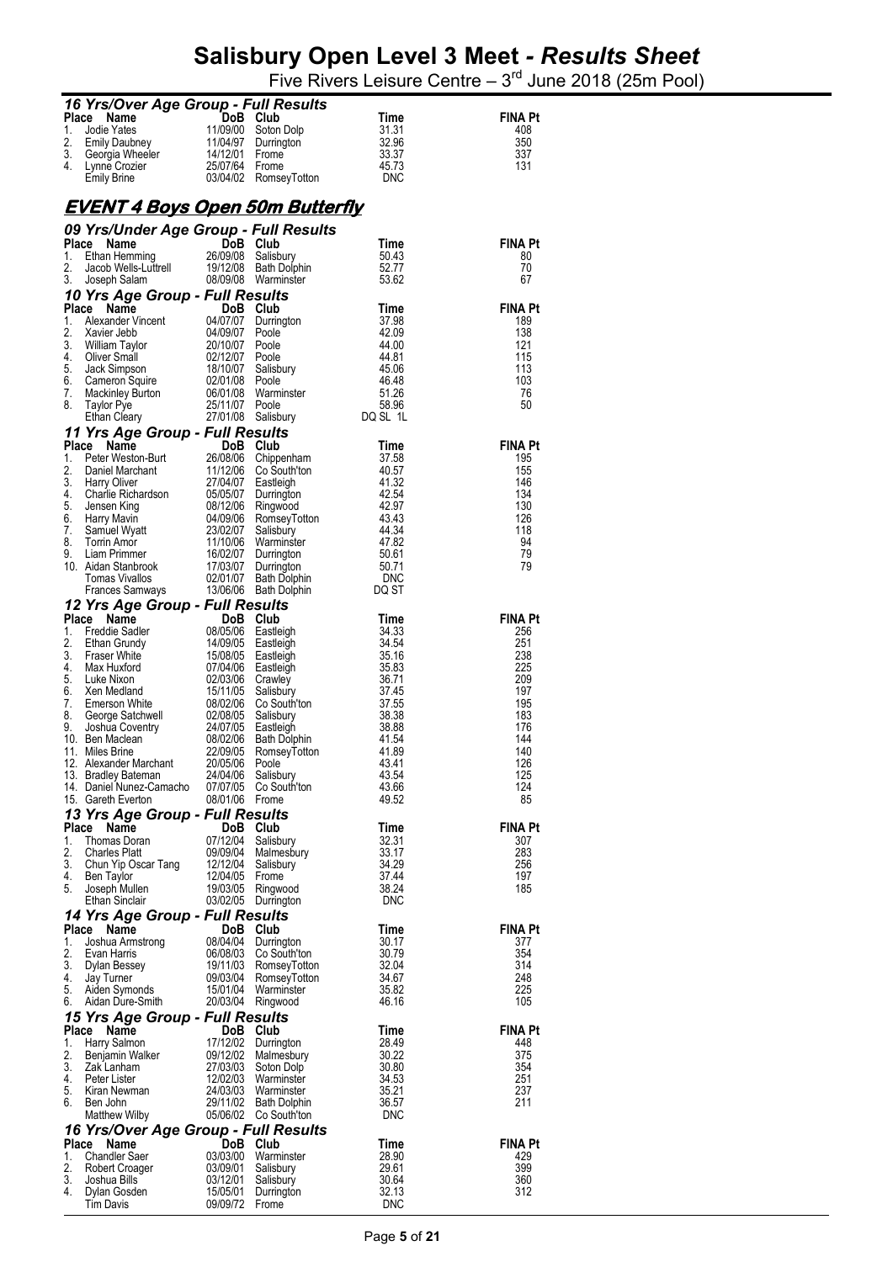|             | 16 Yrs/Over Age Group - Full Results                                        |                            |                                                |                     |                       |
|-------------|-----------------------------------------------------------------------------|----------------------------|------------------------------------------------|---------------------|-----------------------|
| Place<br>1. | Name<br>Jodie Yates                                                         | DoB<br>11/09/00            | Club<br>Soton Dolp                             | Time<br>31.31       | FINA Pt<br>408        |
| 2.          | Emily Daubney                                                               |                            | 11/04/97 Durrington                            | 32.96               | 350                   |
| 3.<br>4.    | Georgia Wheeler<br>Lynne Crozier                                            | 14/12/01<br>25/07/64 Frome | Frome                                          | 33.37<br>45.73      | 337<br>131            |
|             | <b>Emily Brine</b>                                                          |                            | 03/04/02 RomseyTotton                          | <b>DNC</b>          |                       |
|             |                                                                             |                            |                                                |                     |                       |
|             | <u>EVENT 4 Boys Open 50m Butterfly</u>                                      |                            |                                                |                     |                       |
| Place       | 09 Yrs/Under Age Group - Full Results<br>Name                               |                            | DoB Club                                       | Time                | FINA Pt               |
| 1.          | Ethan Hemming                                                               | 26/09/08                   | Salisbury                                      | 50.43               | 80                    |
| 2.<br>3.    | Jacob Wells-Luttrell<br>Joseph Salam                                        |                            | 19/12/08 Bath Dolphin<br>08/09/08 Warminster   | 52.77<br>53.62      | 70<br>67              |
|             | 10 Yrs Age Group - Full Results                                             |                            |                                                |                     |                       |
| Place<br>1. | - - - - - - <del>-</del> - <del>-</del><br>Alexander Vincent<br>Xavier Jebb | 04/07/07                   | DoB Club                                       | Time<br>37.98       | <b>FINA Pt</b><br>189 |
| 2.          | Xavier Jebb                                                                 | 04/09/07 Poole             | Durrington                                     | 42.09               | 138                   |
| 3.<br>4.    | William Taylor                                                              | 20/10/07                   | Poole                                          | 44.00               | 121<br>115            |
| 5.          | Oliver Small<br>Jack Simpson                                                | 02/12/07                   | Poole<br>18/10/07 Salisbury                    | 44.81<br>45.06      | 113                   |
| 6.          | Cameron Squire                                                              | 02/01/08 Poole             |                                                | 46.48<br>51.26      | 103                   |
| 7.<br>8.    | Mackinley Burton<br>Toylor Bue<br><b>Taylor Pye</b>                         | 06/01/08<br>25/11/07       | Warminster<br>Poole                            | 58.96               | 76<br>50              |
|             | Ethan Cleary                                                                | 27/01/08                   | Salisbury                                      | DQ SL 1L            |                       |
| Place       | 11 Yrs Age Group - Full Results<br>Name                                     |                            | DoB Club                                       | Time                | <b>FINA Pt</b>        |
| 1.          | Peter Weston-Burt                                                           | 26/08/06                   | Chippenham                                     | 37.58               | 195                   |
| 2.<br>3.    | Peter vvestori - Daniel<br>Daniel Marchant<br><b>Harry Oliver</b>           | 27/04/07                   | 11/12/06 Co South'ton<br>Eastleigh             | 40.57<br>41.32      | 155<br>146            |
| 4.          | Charlie Richardson<br>Innean King                                           |                            | 05/05/07 Durrington                            | 42.54               | 134                   |
| 5.<br>6.    | Harry Mavin                                                                 | 08/12/06<br>04/09/06       | Ringwood<br>RomseyTotton                       | 42.97<br>43.43      | 130<br>126            |
| 7.          | Samuel Wyatt                                                                | 23/02/07                   | Salisbury                                      | 44.34               | 118                   |
| 8.<br>9.    | Torrin Amor<br>Liam Primmer                                                 | 11/10/06<br>16/02/07       | Warminster<br>Durrington                       | 47.82<br>50.61      | 94<br>79              |
|             | 10. Aidan Stanbrook                                                         | 17/03/07                   | Durrington                                     | 50.71               | 79                    |
|             | <b>Tomas Vivallos</b><br>Frances Samways                                    | 02/01/07<br>13/06/06       | <b>Bath Dolphin</b><br><b>Bath Dolphin</b>     | <b>DNC</b><br>DQ ST |                       |
|             | 12 Yrs Age Group - Full Results                                             |                            |                                                |                     |                       |
| Place       | Name                                                                        | DoB Club                   |                                                | Time                | <b>FINA Pt</b>        |
| 1.<br>2.    | Freddie Sadler<br>Ethan Grundy                                              | 08/05/06                   | Eastleigh<br>14/09/05 Eastleigh                | 34.33<br>34.54      | 256<br>251            |
| 3.          | <b>Fraser White</b>                                                         | 15/08/05                   | Eastleigh                                      | 35.16               | 238                   |
| 4.<br>5.    | Max Huxford<br>Luke Nixon                                                   | 07/04/06<br>02/03/06       | Eastleigh<br>Crawley                           | 35.83<br>36.71      | 225<br>209            |
| 6.          | Xen Medland                                                                 | 15/11/05                   | Salisbury                                      | 37.45               | 197                   |
| 7.<br>8.    | Emerson White<br>George Satchwell                                           | 08/02/06<br>02/08/05       | Co South'ton<br>Salisbury                      | 37.55<br>38.38      | 195<br>183            |
| 9.          | Joshua Coventry<br>Ben Maclean<br>Miles Brine                               | 24/07/05                   | Eastleigh                                      | 38.88               | 176                   |
|             | 10. Ben Maclean<br>11. Miles Brine                                          | 08/02/06<br>22/09/05       | Bath Dolphin<br>RomseyTotton                   | 41.54<br>41.89      | 144<br>140            |
|             | 12. Alexander Marchant                                                      | 20/05/06 Poole             |                                                | 43.41<br>43.54      | 126<br>125            |
|             | 13. Bradley Bateman<br>14. Daniel Nunez-Camacho 07/07/05 Co South'ton       | 24/04/06                   | Salisbury                                      | 43.66               | 124                   |
|             | 15. Gareth Everton                                                          | 08/01/06 Frome             |                                                | 49.52               | 85                    |
|             | 13 Yrs Age Group - Full Results<br>Place Name                               | DoB Club                   |                                                | Time                | <b>FINA Pt</b>        |
| 1.          | Thomas Doran                                                                |                            | 07/12/04 Salisbury                             | 32.31               | 307                   |
| 2.<br>3.    | <b>Charles Platt</b><br>Chun Yip Oscar Tang                                 |                            | 09/09/04 Malmesbury<br>12/12/04 Salisbury      | 33.17<br>34.29      | 283<br>256            |
| 4.          | Ben Taylor                                                                  | 12/04/05 Frome             |                                                | 37.44               | 197                   |
| 5.          | Joseph Mullen<br>Ethan Sinclair                                             |                            | 19/03/05 Ringwood<br>03/02/05 Durrington       | 38.24<br>DNC        | 185                   |
|             | 14 Yrs Age Group - Full Results                                             |                            |                                                |                     |                       |
| 1.          | Place<br>Name<br>Joshua Armstrong                                           | DoB Club                   | 08/04/04 Durrington                            | Time<br>30.17       | <b>FINA Pt</b><br>377 |
| 2.          | Evan Harris                                                                 |                            | 06/08/03 Co South'ton                          | 30.79               | 354                   |
| 3.<br>4.    | Dylan Bessey<br>Jay Turner                                                  |                            | 19/11/03 RomseyTotton<br>09/03/04 RomseyTotton | 32.04<br>34.67      | 314<br>248            |
| 5.          | Aiden Symonds                                                               |                            | 15/01/04 Warminster                            | 35.82               | 225                   |
| 6.          | Aidan Dure-Smith                                                            |                            | 20/03/04 Ringwood                              | 46.16               | 105                   |
|             | 15 Yrs Age Group - Full Results<br>Place Name                               | DoB Club                   |                                                | Time                | <b>FINA Pt</b>        |
| 1.          | Harry Salmon                                                                |                            | 17/12/02 Durrington                            | 28.49               | 448                   |
| 2.<br>3.    | Benjamin Walker<br>Zak Lanham                                               |                            | 09/12/02 Malmesbury<br>27/03/03 Soton Dolp     | 30.22<br>30.80      | 375<br>354            |
| 4.          | Peter Lister                                                                |                            | 12/02/03 Warminster                            | 34.53<br>35.21      | 251                   |
| 5.<br>6.    | Kiran Newman<br>Ben John                                                    |                            | 24/03/03 Warminster<br>29/11/02 Bath Dolphin   | 36.57               | 237<br>211            |
|             | Matthew Wilby                                                               |                            | 05/06/02 Co South'ton                          | DNC                 |                       |
|             | 16 Yrs/Over Age Group - Full Results<br>Place<br>Name                       |                            | DoB Club                                       | Time                | <b>FINA Pt</b>        |
| 1.          | <b>Chandler Saer</b>                                                        |                            | 03/03/00 Warminster                            | 28.90               | 429                   |
| 2.<br>3.    | Robert Croager<br>Joshua Bills                                              | 03/12/01                   | 03/09/01 Salisbury<br>Salisbury                | 29.61<br>30.64      | 399<br>360            |
| 4.          | Dylan Gosden                                                                | 15/05/01                   | Durrington                                     | 32.13               | 312                   |
|             | Tim Davis                                                                   | 09/09/72 Frome             |                                                | <b>DNC</b>          |                       |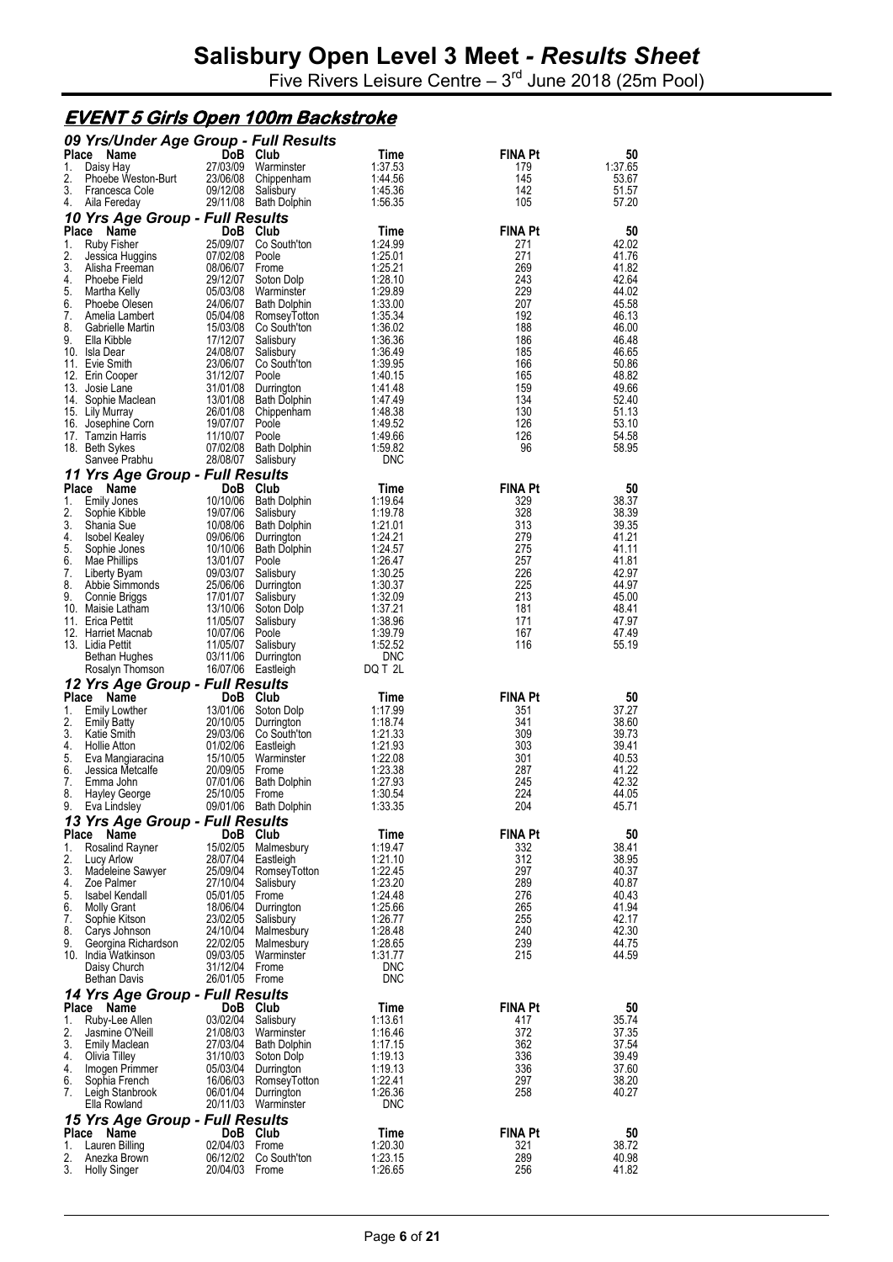Five Rivers Leisure Centre  $-3<sup>rd</sup>$  June 2018 (25m Pool)

#### **EVENT 5 Girls Open 100m Backstroke**

|             | 09 Yrs/Under Age Group - Full Results   |                            |                                              |                          |                       |                |
|-------------|-----------------------------------------|----------------------------|----------------------------------------------|--------------------------|-----------------------|----------------|
| Place<br>1. | Name<br>Daisy Hay                       | DoB Club<br>27/03/09       | Warminster                                   | Time<br>1:37.53          | <b>FINA Pt</b><br>179 | 50<br>1:37.65  |
| 2.          | Phoebe Weston-Burt                      | 23/06/08                   | Chippenham                                   | 1:44.56                  | 145                   | 53.67          |
| 3.          | Francesca Cole                          | 09/12/08                   | Salisbury                                    | 1:45.36                  | 142                   | 51.57          |
| 4.          | Aila Fereday                            |                            | 29/11/08 Bath Dolphin                        | 1:56.35                  | 105                   | 57.20          |
| Place       | 10 Yrs Age Group - Full Results         | DoB Club                   |                                              |                          | <b>FINA Pt</b>        |                |
| 1.          | Name<br>Ruby Fisher                     | 25/09/07                   | Co South'ton                                 | Time<br>1:24.99          | 271                   | 50<br>42.02    |
| 2.          | Jessica Huggins                         | 07/02/08                   | Poole                                        | 1:25.01                  | 271                   | 41.76          |
| 3.          | Alisha Freeman                          | 08/06/07                   | Frome                                        | 1:25.21                  | 269                   | 41.82          |
| 4.          | Phoebe Field                            | 29/12/07                   | Soton Dolp                                   | 1:28.10                  | 243                   | 42.64          |
| 5.<br>6.    | Martha Kelly<br>Phoebe Olesen           | 05/03/08<br>24/06/07       | Warminster<br><b>Bath Dolphin</b>            | 1:29.89<br>1:33.00       | 229<br>207            | 44.02<br>45.58 |
| 7.          | Amelia Lambert                          | 05/04/08                   | RomseyTotton                                 | 1:35.34                  | 192                   | 46.13          |
| 8.          | Gabrielle Martin                        | 15/03/08                   | Co South'ton                                 | 1:36.02                  | 188                   | 46.00          |
| 9.          | Ella Kibble                             | 17/12/07                   | Salisbury                                    | 1:36.36                  | 186                   | 46.48          |
|             | 10. Isla Dear                           | 24/08/07                   | Salisbury                                    | 1:36.49<br>1:39.95       | 185<br>166            | 46.65<br>50.86 |
|             | 11. Evie Smith<br>12. Erin Cooper       | 23/06/07<br>31/12/07       | Co South'ton<br>Poole                        | 1:40.15                  | 165                   | 48.82          |
| 13.         | Josie Lane                              | 31/01/08                   | Durrington                                   | 1:41.48                  | 159                   | 49.66          |
|             | 14. Sophie Maclean                      | 13/01/08                   | <b>Bath Dolphin</b>                          | 1:47.49                  | 134                   | 52.40          |
|             | 15. Lily Murray                         | 26/01/08                   | Chippenham                                   | 1:48.38                  | 130                   | 51.13          |
|             | 16. Josephine Corn<br>17. Tamzin Harris | 19/07/07<br>11/10/07       | Poole<br>Poole                               | 1:49.52<br>1:49.66       | 126<br>126            | 53.10<br>54.58 |
|             | 18. Beth Sykes                          | 07/02/08                   | Bath Dolphin                                 | 1:59.82                  | 96                    | 58.95          |
|             | Sanvee Prabhu                           | 28/08/07                   | Salisbury                                    | DNC                      |                       |                |
|             | 11 Yrs Age Group - Full Results         |                            |                                              |                          |                       |                |
| 1.          | Place Name<br><b>Emily Jones</b>        | DoB<br>10/10/06            | Club                                         | Time                     | <b>FINA Pt</b>        | 50<br>38.37    |
| 2.          | Sophie Kibble                           | 19/07/06                   | Bath Dolphin<br>Salisbury                    | 1:19.64<br>1:19.78       | 329<br>328            | 38.39          |
| 3.          | Shania Sue                              | 10/08/06                   | Bath Dolphin                                 | 1:21.01                  | 313                   | 39.35          |
| 4.          | <b>Isobel Kealey</b>                    |                            | 09/06/06 Durrington                          | 1:24.21                  | 279                   | 41.21          |
| 5.          | Sophie Jones                            | 10/10/06                   | <b>Bath Dolphin</b>                          | 1:24.57                  | 275                   | 41.11          |
| 6.<br>7.    | Mae Phillips<br>Liberty Byam            | 13/01/07 Poole<br>09/03/07 | Salisbury                                    | 1:26.47<br>1:30.25       | 257<br>226            | 41.81<br>42.97 |
| 8.          | Abbie Simmonds                          | 25/06/06                   | Durrington                                   | 1:30.37                  | 225                   | 44.97          |
| 9.          | Connie Briggs                           | 17/01/07                   | Salisbury                                    | 1:32.09                  | 213                   | 45.00          |
|             | 10. Maisie Latham                       | 13/10/06                   | Soton Dolp                                   | 1:37.21                  | 181                   | 48.41          |
|             | 11. Erica Pettit                        | 11/05/07                   | Salisbury                                    | 1:38.96                  | 171<br>167            | 47.97<br>47.49 |
|             | 12. Harriet Macnab<br>13. Lidia Pettit  | 10/07/06<br>11/05/07       | Poole<br>Salisbury                           | 1:39.79<br>1:52.52       | 116                   | 55.19          |
|             | Bethan Hughes                           | 03/11/06                   | Durrington                                   | <b>DNC</b>               |                       |                |
|             | Rosalyn Thomson                         | 16/07/06 Eastleigh         |                                              | DQ T 2L                  |                       |                |
|             | 12 Yrs Age Group - Full Results         |                            |                                              |                          |                       |                |
| 1.          | Place Name<br><b>Emily Lowther</b>      | DoB Club<br>13/01/06       |                                              | Time<br>1:17.99          | <b>FINA Pt</b><br>351 | 50<br>37.27    |
| 2.          | <b>Emily Batty</b>                      | 20/10/05                   | Soton Dolp<br>Durrington                     | 1:18.74                  | 341                   | 38.60          |
| 3.          | Katie Smith                             | 29/03/06                   | Co South'ton                                 | 1:21.33                  | 309                   | 39.73          |
| 4.          | <b>Hollie Atton</b>                     | 01/02/06                   | Eastleigh                                    | 1:21.93                  | 303                   | 39.41          |
| 5.<br>6.    | Eva Mangiaracina                        | 15/10/05<br>20/09/05       | Warminster<br>Frome                          | 1:22.08                  | 301<br>287            | 40.53<br>41.22 |
| 7.          | Jessica Metcalte<br>Emma John           | 07/01/06                   | <b>Bath Dolphin</b>                          | 1:23.38<br>1:27.93       | 245                   | 42.32          |
| 8.          | <b>Hayley George</b>                    | 25/10/05                   | Frome                                        | 1:30.54                  | 224                   | 44.05          |
| 9.          | Eva Lindsley                            |                            | 09/01/06 Bath Dolphin                        | 1:33.35                  | 204                   | 45.71          |
|             | 13 Yrs Age Group - Full Results         |                            |                                              |                          |                       |                |
|             | Place Name                              | DoB Club                   |                                              | Time<br>1:19.47          | <b>FINA Pt</b>        | 50             |
| 1.<br>2.    | <b>Rosalind Rayner</b><br>Lucy Arlow    | 15/02/05<br>28/07/04       | Malmesbury<br>Eastleigh                      | 1:21.10                  | 332<br>312            | 38.41<br>38.95 |
| 3.          | Madeleine Sawyer                        |                            | 25/09/04 RomseyTotton                        | 1:22.45                  | 297                   | 40.37          |
| 4.          | Zoe Palmer                              | 27/10/04                   | Salisbury                                    | 1:23.20                  | 289                   | 40.87          |
| 5.          | Isabel Kendall                          | 05/01/05                   | Frome<br>18/06/04 Durrington                 | 1:24.48                  | 276<br>265            | 40.43<br>41.94 |
| 6.<br>7.    | <b>Molly Grant</b><br>Sophie Kitson     | 23/02/05                   | Salisbury                                    | 1:25.66<br>1:26.77       | 255                   | 42.17          |
| 8.          | Carys Johnson                           | 24/10/04                   | Malmesbury                                   | 1:28.48                  | 240                   | 42.30          |
| 9.          | Georgina Richardson                     |                            | 22/02/05 Malmesbury                          | 1:28.65                  | 239                   | 44.75          |
|             | 10. India Watkinson                     | 09/03/05                   | Warminster                                   | 1:31.77                  | 215                   | 44.59          |
|             | Daisy Church<br>Bethan Davis            | 31/12/04<br>26/01/05 Frome | Frome                                        | <b>DNC</b><br><b>DNC</b> |                       |                |
|             | 14 Yrs Age Group - Full Results         |                            |                                              |                          |                       |                |
|             | Place Name                              | DoB Club                   |                                              | Time                     | <b>FINA Pt</b>        | 50             |
| 1.          | Ruby-Lee Allen                          | 03/02/04                   | Salisbury                                    | 1:13.61                  | 417                   | 35.74          |
| 2.<br>3.    | Jasmine O'Neill                         |                            | 21/08/03 Warminster<br>27/03/04 Bath Dolphin | 1:16.46<br>1:17.15       | 372<br>362            | 37.35<br>37.54 |
| 4.          | <b>Emily Maclean</b><br>Olivia Tilley   |                            | 31/10/03 Soton Dolp                          | 1:19.13                  | 336                   | 39.49          |
| 4.          | Imogen Primmer                          |                            | 05/03/04 Durrington                          | 1:19.13                  | 336                   | 37.60          |
| 6.          | Sophia French                           |                            | 16/06/03 RomseyTotton                        | 1:22.41                  | 297                   | 38.20          |
| 7.          | Leigh Stanbrook<br>Ella Rowland         |                            | 06/01/04 Durrington<br>20/11/03 Warminster   | 1:26.36<br><b>DNC</b>    | 258                   | 40.27          |
|             | 15 Yrs Age Group - Full Results         |                            |                                              |                          |                       |                |
|             | Place Name                              | DoB Club                   |                                              | Time                     | <b>FINA Pt</b>        | 50             |
| 1.          | Lauren Billing                          | 02/04/03 Frome             |                                              | 1:20.30                  | 321                   | 38.72          |
| 2.<br>3.    | Anezka Brown                            | 06/12/02<br>20/04/03 Frome | Co South'ton                                 | 1:23.15<br>1:26.65       | 289<br>256            | 40.98<br>41.82 |
|             | <b>Holly Singer</b>                     |                            |                                              |                          |                       |                |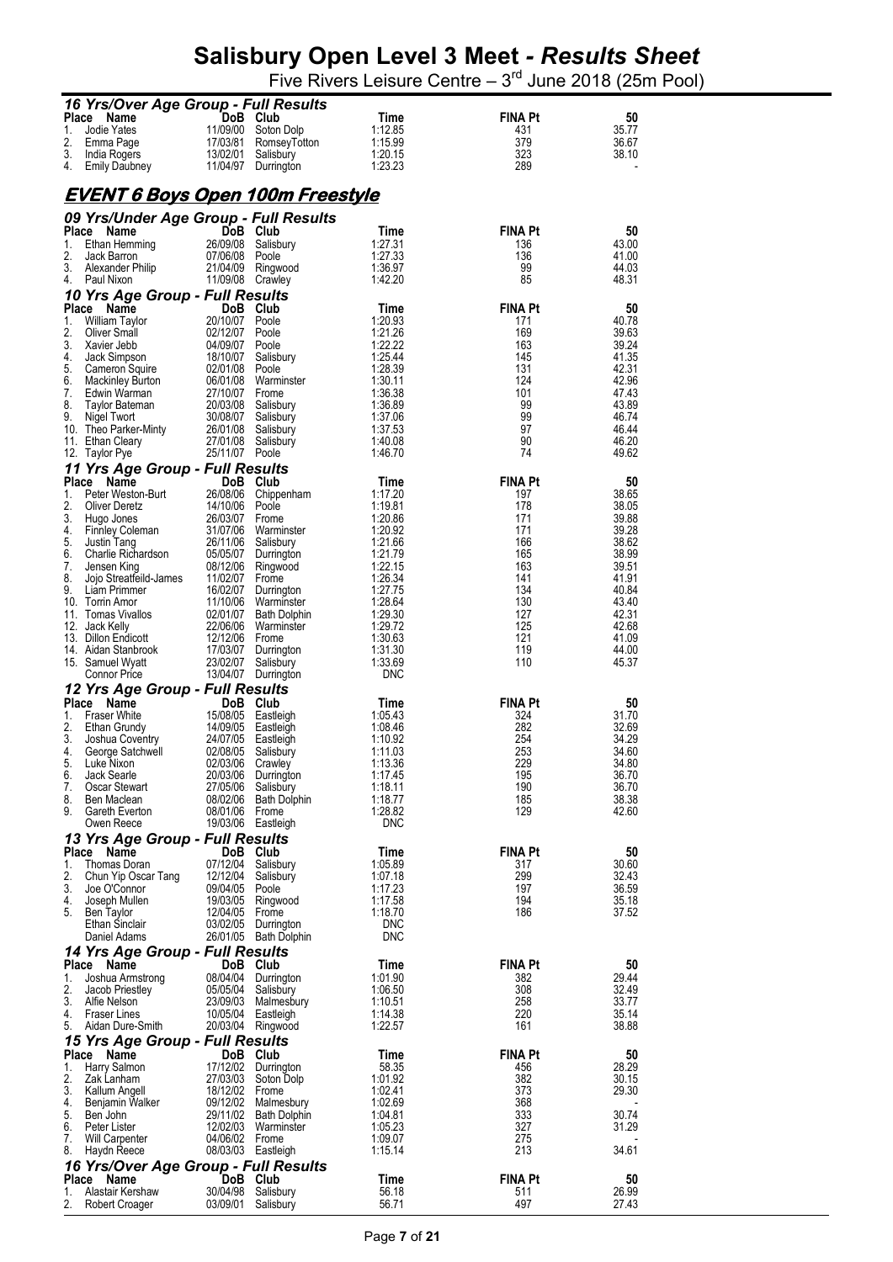| 16 Yrs/Over Age Group - Full Results                |                                 |                         |                    |                       |                |
|-----------------------------------------------------|---------------------------------|-------------------------|--------------------|-----------------------|----------------|
| Place<br>Name                                       | DoB                             | Club                    | <b>Time</b>        | <b>FINA Pt</b>        | 50             |
| Jodie Yates<br>1.                                   | 11/09/00                        | Soton Dolp              | 1:12.85            | 431                   | 35.77          |
| 2.<br>Emma Page                                     | 17/03/81                        | RomseyTotton            | 1:15.99            | 379                   | 36.67          |
| 3.<br>India Rogers                                  | 13/02/01                        | Salisbury               | 1:20.15            | 323                   | 38.10          |
| 4.<br><b>Emily Daubney</b>                          | 11/04/97                        | Durrington              | 1:23.23            | 289                   |                |
|                                                     |                                 |                         |                    |                       |                |
| <u>EVENT 6 Boys Open 100m Freestyle</u>             |                                 |                         |                    |                       |                |
|                                                     |                                 |                         |                    |                       |                |
| 09 Yrs/Under Age Group - Full Results<br>Place Name | DoB Club                        |                         | Time               | <b>FINA Pt</b>        | 50             |
| 1.<br>Ethan Hemming                                 | 26/09/08                        | Salisbury               | 1:27.31            | 136                   | 43.00          |
| 2.<br>Jack Barron                                   | 07/06/08                        | Poole                   | 1:27.33            | 136                   | 41.00          |
| 3.<br>Alexander Philip                              | 21/04/09                        | Ringwood                | 1:36.97            | 99                    | 44.03          |
| 4.<br>Paul Nixon                                    | 11/09/08 Crawley                |                         | 1:42.20            | 85                    | 48.31          |
| 10 Yrs Age Group - Full Results                     |                                 |                         |                    |                       |                |
| <b>Place</b><br>Name                                | DoB Club                        |                         | Time               | <b>FINA Pt</b>        | 50             |
| 1.<br>William Taylor                                | 20/10/07                        | Poole                   | 1:20.93            | 171                   | 40.78          |
| 2.<br>Oliver Small                                  | 02/12/07                        | Poole                   | 1:21.26            | 169                   | 39.63          |
| 3.<br>Xavier Jebb                                   | 04/09/07                        | Poole                   | 1:22.22            | 163                   | 39.24          |
| 4.<br>Jack Simpson<br>5.<br>Cameron Squire          | 18/10/07<br>02/01/08            | Salisbury<br>Poole      | 1:25.44<br>1:28.39 | 145<br>131            | 41.35<br>42.31 |
| 6.<br><b>Mackinley Burton</b>                       | 06/01/08                        | Warminster              | 1:30.11            | 124                   | 42.96          |
| 7.<br>Edwin Warman                                  | 27/10/07                        | Frome                   | 1:36.38            | 101                   | 47.43          |
| 8.<br><b>Taylor Bateman</b>                         | 20/03/08                        | Salisbury               | 1:36.89            | 99                    | 43.89          |
| 9.<br>Nigel Twort                                   | 30/08/07                        | Salisbury               | 1:37.06            | 99                    | 46.74          |
| 10. Theo Parker-Minty                               | 26/01/08                        | Salisbury               | 1:37.53            | 97                    | 46.44          |
| 11. Ethan Cleary                                    | 27/01/08<br>25/11/07            | Salisbury<br>Poole      | 1:40.08<br>1:46.70 | 90<br>74              | 46.20<br>49.62 |
| 12. Taylor Pye                                      |                                 |                         |                    |                       |                |
| 11 Yrs Age Group - Full Results<br>Place Name       | <b>DoB</b>                      | Club                    |                    | <b>FINA Pt</b>        |                |
| 1.<br>Peter Weston-Burt                             | 26/08/06                        | Chippenham              | Time<br>1:17.20    | 197                   | 50<br>38.65    |
| 2.<br>Oliver Deretz                                 | 14/10/06                        | Poole                   | 1:19.81            | 178                   | 38.05          |
| 3.<br>Hugo Jones                                    | 26/03/07                        | Frome                   | 1:20.86            | 171                   | 39.88          |
| 4.<br><b>Finnley Coleman</b>                        | 31/07/06                        | Warminster              | 1:20.92            | 171                   | 39.28          |
| 5.<br>Justin Tang                                   | 26/11/06                        | Salisbury               | 1:21.66            | 166                   | 38.62          |
| 6.<br>Charlie Richardson                            | 05/05/07                        | Durrington              | 1:21.79            | 165                   | 38.99          |
| 7.<br>Jensen King<br>8.<br>Jojo Streatfeild-James   | 08/12/06<br>11/02/07            | Ringwood<br>Frome       | 1:22.15<br>1:26.34 | 163<br>141            | 39.51<br>41.91 |
| 9.<br>Liam Primmer                                  | 16/02/07                        | Durrington              | 1:27.75            | 134                   | 40.84          |
| 10. Torrin Amor                                     | 11/10/06                        | Warminster              | 1:28.64            | 130                   | 43.40          |
| 11. Tomas Vivallos                                  | 02/01/07                        | <b>Bath Dolphin</b>     | 1:29.30            | 127                   | 42.31          |
| 12. Jack Kelly                                      | 22/06/06                        | Warminster              | 1:29.72            | 125                   | 42.68          |
| 13. Dillon Endicott                                 | 12/12/06                        | Frome                   | 1:30.63            | 121                   | 41.09          |
| 14. Aidan Stanbrook<br>15. Samuel Wyatt             | 17/03/07<br>23/02/07            | Durrington<br>Salisbury | 1:31.30<br>1:33.69 | 119<br>110            | 44.00<br>45.37 |
| <b>Connor Price</b>                                 | 13/04/07                        | Durrington              | <b>DNC</b>         |                       |                |
| 12 Yrs Age Group - Full Results                     |                                 |                         |                    |                       |                |
| <b>Place</b><br>Name                                | DoB                             | Club                    | Time               | <b>FINA Pt</b>        | 50             |
| 1.<br><b>Fraser White</b>                           | 15/08/05                        | Eastleigh               | 1:05.43            | 324                   | 31.70          |
| 2.<br>Ethan Grundy                                  | 14/09/05                        | Eastleigh               | 1:08.46            | 282                   | 32.69          |
| 3.<br>Joshua Coventry                               | 24/07/05                        | Eastleigh               | 1:10.92            | 254                   | 34.29          |
| 4.<br>George Satchwell<br>5.<br>Luke Nixon          | 02/08/05<br>02/03/06 Crawley    | Salisbury               | 1:11.03<br>1:13.36 | 253<br>229            | 34.60<br>34.80 |
| 6.<br>Jack Searle                                   | 20/03/06 Durrington             |                         | 1:17.45            | 195                   | 36.70          |
| 7.<br>Oscar Stewart                                 | 27/05/06                        | Salisbury               | 1:18.11            | 190                   | 36.70          |
| 8.<br>Ben Maclean                                   | 08/02/06                        | Bath Dolphin            | 1:18.77            | 185                   | 38.38          |
| 9.<br>Gareth Everton                                | 08/01/06                        | Frome                   | 1:28.82            | 129                   | 42.60          |
| Owen Reece                                          | 19/03/06 Eastleigh              |                         | <b>DNC</b>         |                       |                |
| 13 Yrs Age Group - Full Results                     |                                 |                         |                    |                       |                |
| Place Name<br>1.<br>Thomas Doran                    | DoB Club<br>07/12/04            | Salisbury               | Time<br>1:05.89    | <b>FINA Pt</b><br>317 | 50<br>30.60    |
| 2.<br>Chun Yip Oscar Tang                           | 12/12/04                        | Salisbury               | 1:07.18            | 299                   | 32.43          |
| 3.<br>Joe O'Connor                                  | 09/04/05                        | Poole                   | 1:17.23            | 197                   | 36.59          |
| 4.<br>Joseph Mullen                                 | 19/03/05                        | Ringwood                | 1:17.58            | 194                   | 35.18          |
| 5.<br>Ben Taylor                                    | 12/04/05                        | Frome                   | 1:18.70            | 186                   | 37.52          |
| Ethan Sinclair                                      | 03/02/05                        | Durrington              | <b>DNC</b>         |                       |                |
| Daniel Adams                                        |                                 | 26/01/05 Bath Dolphin   | <b>DNC</b>         |                       |                |
| 14 Yrs Age Group - Full Results                     |                                 |                         |                    |                       |                |
| Place Name<br>1.                                    | DoB Club<br>08/04/04 Durrington |                         | Time<br>1:01.90    | <b>FINA Pt</b><br>382 | 50<br>29.44    |
| Joshua Armstrong<br>2.<br>Jacob Priestley           | 05/05/04                        | Salisbury               | 1:06.50            | 308                   | 32.49          |
| 3.<br>Alfie Nelson                                  | 23/09/03                        | Malmesbury              | 1:10.51            | 258                   | 33.77          |
| 4.<br>Fraser Lines                                  | 10/05/04 Eastleigh              |                         | 1:14.38            | 220                   | 35.14          |
| 5.<br>Aidan Dure-Smith                              | 20/03/04 Ringwood               |                         | 1:22.57            | 161                   | 38.88          |
| 15 Yrs Age Group - Full Results                     |                                 |                         |                    |                       |                |
| Place Name                                          | DoB Club                        |                         | Time               | <b>FINA Pt</b>        | 50             |
| 1.<br>Harry Salmon                                  | 17/12/02 Durrington             |                         | 58.35              | 456                   | 28.29          |
| 2.<br>Zak Lanham<br>3.<br>Kallum Angell             | 27/03/03<br>18/12/02 Frome      | Soton Dolp              | 1:01.92<br>1:02.41 | 382<br>373            | 30.15<br>29.30 |
| 4.<br>Benjamin Walker                               |                                 | 09/12/02 Malmesbury     | 1:02.69            | 368                   |                |
| 5.<br>Ben John                                      |                                 | 29/11/02 Bath Dolphin   | 1:04.81            | 333                   | 30.74          |
| 6.<br>Peter Lister                                  | 12/02/03                        | Warminster              | 1:05.23            | 327                   | 31.29          |
| 7.<br>Will Carpenter                                | 04/06/02 Frome                  |                         | 1:09.07            | 275                   |                |
| 8.<br>Haydn Reece                                   | 08/03/03 Eastleigh              |                         | 1:15.14            | 213                   | 34.61          |
| 16 Yrs/Over Age Group - Full Results                |                                 |                         |                    |                       |                |
| Place<br>Name<br>Alastair Kershaw<br>1.             | DoB Club<br>30/04/98 Salisbury  |                         | Time<br>56.18      | <b>FINA Pt</b><br>511 | 50<br>26.99    |
| 2.<br>Robert Croager                                | 03/09/01 Salisbury              |                         | 56.71              | 497                   | 27.43          |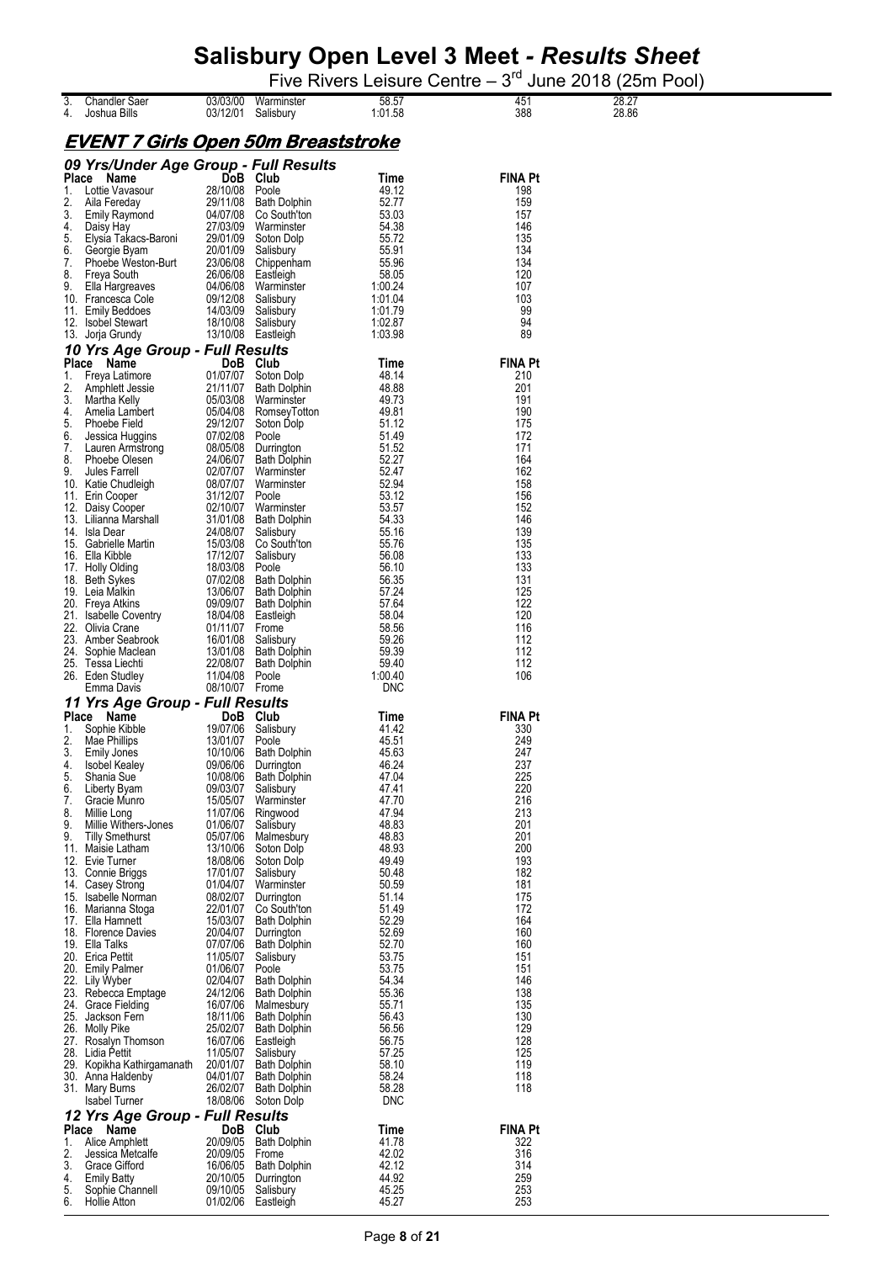|       |                                            |            |                     |            |                | .     |
|-------|--------------------------------------------|------------|---------------------|------------|----------------|-------|
| 3.    | <b>Chandler Saer</b>                       | 03/03/00   | Warminster          | 58.57      | 451            | 28.27 |
| 4.    | Joshua Bills                               | 03/12/01   | Salisbury           | 1:01.58    | 388            | 28.86 |
|       |                                            |            |                     |            |                |       |
|       |                                            |            |                     |            |                |       |
|       | <u>EVENT 7 Girls Open 50m Breaststroke</u> |            |                     |            |                |       |
|       | 09 Yrs/Under Age Group - Full Results      |            |                     |            |                |       |
|       |                                            |            |                     |            |                |       |
|       | Place Name                                 |            | DoB Club            | Time       | <b>FINA Pt</b> |       |
| 1.    | Lottie Vavasour                            | 28/10/08   | Poole               | 49.12      | 198            |       |
| 2.    | Aila Fereday                               | 29/11/08   | <b>Bath Dolphin</b> | 52.77      | 159            |       |
| 3.    | <b>Emily Raymond</b>                       | 04/07/08   | Co South'ton        | 53.03      | 157            |       |
| 4.    | Daisy Hay                                  | 27/03/09   | Warminster          | 54.38      | 146            |       |
| 5.    | Elysia Takacs-Baroni                       | 29/01/09   | Soton Dolp          | 55.72      | 135            |       |
| 6.    | Georgie Byam                               | 20/01/09   | Salisbury           | 55.91      | 134            |       |
| 7.    | Phoebe Weston-Burt                         | 23/06/08   | Chippenham          | 55.96      | 134            |       |
| 8.    | Freya South                                | 26/06/08   | Eastleigh           | 58.05      | 120            |       |
| 9.    | Ella Hargreaves                            | 04/06/08   | Warminster          | 1:00.24    | 107            |       |
|       | 10. Francesca Cole                         | 09/12/08   | Salisbury           | 1:01.04    | 103            |       |
| 11.   | <b>Emily Beddoes</b>                       | 14/03/09   | Salisbury           | 1:01.79    | 99             |       |
|       | 12. Isobel Stewart                         | 18/10/08   | Salisbury           | 1:02.87    | 94             |       |
| 13.   | Jorja Grundy                               | 13/10/08   | Eastleigh           | 1:03.98    | 89             |       |
|       | 10 Yrs Age Group - Full Results            |            |                     |            |                |       |
|       | Place Name                                 |            | DoB Club            | Time       | <b>FINA Pt</b> |       |
| 1.    | Freya Latimore                             | 01/07/07   | Soton Dolp          | 48.14      | 210            |       |
| 2.    | Amphlett Jessie                            | 21/11/07   | <b>Bath Dolphin</b> | 48.88      | 201            |       |
| 3.    | Martha Kelly                               | 05/03/08   | Warminster          | 49.73      | 191            |       |
| 4.    | Amelia Lambert                             | 05/04/08   | RomseyTotton        | 49.81      | 190            |       |
| 5.    | Phoebe Field                               | 29/12/07   | Soton Dolp          | 51.12      | 175            |       |
| 6.    | Jessica Huggins                            | 07/02/08   | Poole               | 51.49      | 172            |       |
| 7.    | Lauren Armstrong                           | 08/05/08   | Durrington          | 51.52      | 171            |       |
| 8.    | Phoebe Olesen                              | 24/06/07   | <b>Bath Dolphin</b> | 52.27      | 164            |       |
| 9.    | Jules Farrell                              | 02/07/07   | Warminster          | 52.47      | 162            |       |
|       | 10. Katie Chudleigh                        | 08/07/07   | Warminster          | 52.94      | 158            |       |
| 11.   | Erin Cooper                                | 31/12/07   | Poole               | 53.12      | 156            |       |
|       | 12. Daisy Cooper                           | 02/10/07   | Warminster          | 53.57      | 152            |       |
|       | 13. Lilianna Marshall                      | 31/01/08   | <b>Bath Dolphin</b> | 54.33      | 146            |       |
|       | 14. Isla Dear                              | 24/08/07   | Salisbury           | 55.16      | 139            |       |
|       | 15. Gabrielle Martin                       | 15/03/08   | Co South'ton        | 55.76      | 135            |       |
| 16.   | Ella Kibble                                | 17/12/07   | Salisbury           | 56.08      | 133            |       |
|       | 17. Holly Olding                           | 18/03/08   | Poole               | 56.10      | 133            |       |
|       | 18. Beth Sykes                             | 07/02/08   | <b>Bath Dolphin</b> | 56.35      | 131            |       |
|       | 19. Leia Malkin                            | 13/06/07   | <b>Bath Dolphin</b> | 57.24      | 125            |       |
|       | 20. Freya Atkins                           | 09/09/07   | <b>Bath Dolphin</b> | 57.64      | 122            |       |
| 21.   | <b>Isabelle Coventry</b>                   | 18/04/08   | Eastleigh           | 58.04      | 120            |       |
| 22.   | Olivia Crane                               | 01/11/07   | Frome               | 58.56      | 116            |       |
| 23.   | Amber Seabrook                             | 16/01/08   | Salisbury           | 59.26      | 112            |       |
| 24.   | Sophie Maclean                             | 13/01/08   | <b>Bath Dolphin</b> | 59.39      | 112            |       |
|       | 25. Tessa Liechti                          | 22/08/07   | <b>Bath Dolphin</b> | 59.40      | 112            |       |
| 26.   | Eden Studley                               | 11/04/08   | Poole               | 1:00.40    | 106            |       |
|       | Emma Davis                                 | 08/10/07   | Frome               | DNC        |                |       |
|       | 11 Yrs Age Group - Full Results            |            |                     |            |                |       |
| Place | Name                                       | <b>DoB</b> | Club                | Time       | <b>FINA Pt</b> |       |
| 1.    | Sophie Kibble                              | 19/07/06   | Salisbury           | 41.42      | 330            |       |
| 2.    | Mae Phillips                               | 13/01/07   | Poole               | 45.51      | 249            |       |
| 3.    | Emily Jones                                | 10/10/06   | <b>Bath Dolphin</b> | 45.63      | 247            |       |
| 4.    | Isobel Kealey                              | 09/06/06   | Durrington          | 46.24      | 237            |       |
| 5.    | Shania Sue                                 | 10/08/06   | <b>Bath Dolphin</b> | 47.04      | 225            |       |
| 6.    | Liberty Byam                               | 09/03/07   | Salisbury           | 47.41      | 220            |       |
| 7.    | Gracie Munro                               | 15/05/07   | Warminster          | 47.70      | 216            |       |
| 8.    | Millie Long                                | 11/07/06   | Ringwood            | 47.94      | 213            |       |
| 9.    | Millie Withers-Jones                       | 01/06/07   | Salisbury           | 48.83      | 201            |       |
| 9.    | <b>Tilly Smethurst</b>                     | 05/07/06   | Malmesbury          | 48.83      | 201            |       |
|       | 11. Maisie Latham                          | 13/10/06   | Soton Dolp          | 48.93      | 200            |       |
|       | 12. Evie Turner                            | 18/08/06   | Soton Dolp          | 49.49      | 193            |       |
|       | 13. Connie Briggs                          | 17/01/07   | Salisbury           | 50.48      | 182            |       |
|       | 14. Casey Strong                           | 01/04/07   | Warminster          | 50.59      | 181            |       |
| 15.   | Isabelle Norman                            | 08/02/07   | Durrington          | 51.14      | 175            |       |
|       | 16. Marianna Stoga                         | 22/01/07   | Co South'ton        | 51.49      | 172            |       |
|       | 17. Ella Hamnett                           | 15/03/07   | <b>Bath Dolphin</b> | 52.29      | 164            |       |
|       | 18. Florence Davies                        | 20/04/07   | Durrington          | 52.69      | 160            |       |
|       | 19. Ella Talks                             | 07/07/06   | <b>Bath Dolphin</b> | 52.70      | 160            |       |
|       | 20. Erica Pettit                           | 11/05/07   | Salisbury           | 53.75      | 151            |       |
|       | 20. Emily Palmer                           | 01/06/07   | Poole               | 53.75      | 151            |       |
|       | 22. Lily Wyber                             | 02/04/07   | <b>Bath Dolphin</b> | 54.34      | 146            |       |
|       | 23. Rebecca Emptage                        | 24/12/06   | <b>Bath Dolphin</b> | 55.36      | 138            |       |
|       | 24. Grace Fielding                         | 16/07/06   | Malmesbury          | 55.71      | 135            |       |
|       | 25. Jackson Fern                           | 18/11/06   | <b>Bath Dolphin</b> | 56.43      | 130            |       |
|       | 26. Molly Pike                             | 25/02/07   | <b>Bath Dolphin</b> | 56.56      | 129            |       |
|       | 27. Rosalyn Thomson                        | 16/07/06   | Eastleigh           | 56.75      | 128            |       |
|       | 28. Lidia Pettit                           | 11/05/07   | Salisbury           | 57.25      | 125            |       |
| 29.   | Kopikha Kathirgamanath                     | 20/01/07   | <b>Bath Dolphin</b> | 58.10      | 119            |       |
|       | 30. Anna Haldenby                          | 04/01/07   | <b>Bath Dolphin</b> | 58.24      | 118            |       |
|       | 31. Mary Burns                             | 26/02/07   | <b>Bath Dolphin</b> | 58.28      | 118            |       |
|       | Isabel Turner                              | 18/08/06   | Soton Dolp          | <b>DNC</b> |                |       |
|       | 12 Yrs Age Group - Full Results            |            |                     |            |                |       |
|       | Place Name                                 |            | DoB Club            | Time       | <b>FINA Pt</b> |       |
| 1.    | Alice Amphlett                             | 20/09/05   | <b>Bath Dolphin</b> | 41.78      | 322            |       |
| 2.    | Jessica Metcalfe                           | 20/09/05   | Frome               | 42.02      | 316            |       |
| 3.    | Grace Gifford                              | 16/06/05   | <b>Bath Dolphin</b> | 42.12      | 314            |       |
| 4.    | <b>Emily Batty</b>                         | 20/10/05   | Durrington          | 44.92      | 259            |       |
| 5.    | Sophie Channell                            | 09/10/05   | Salisbury           | 45.25      | 253            |       |
| 6.    | <b>Hollie Atton</b>                        | 01/02/06   | Eastleigh           | 45.27      | 253            |       |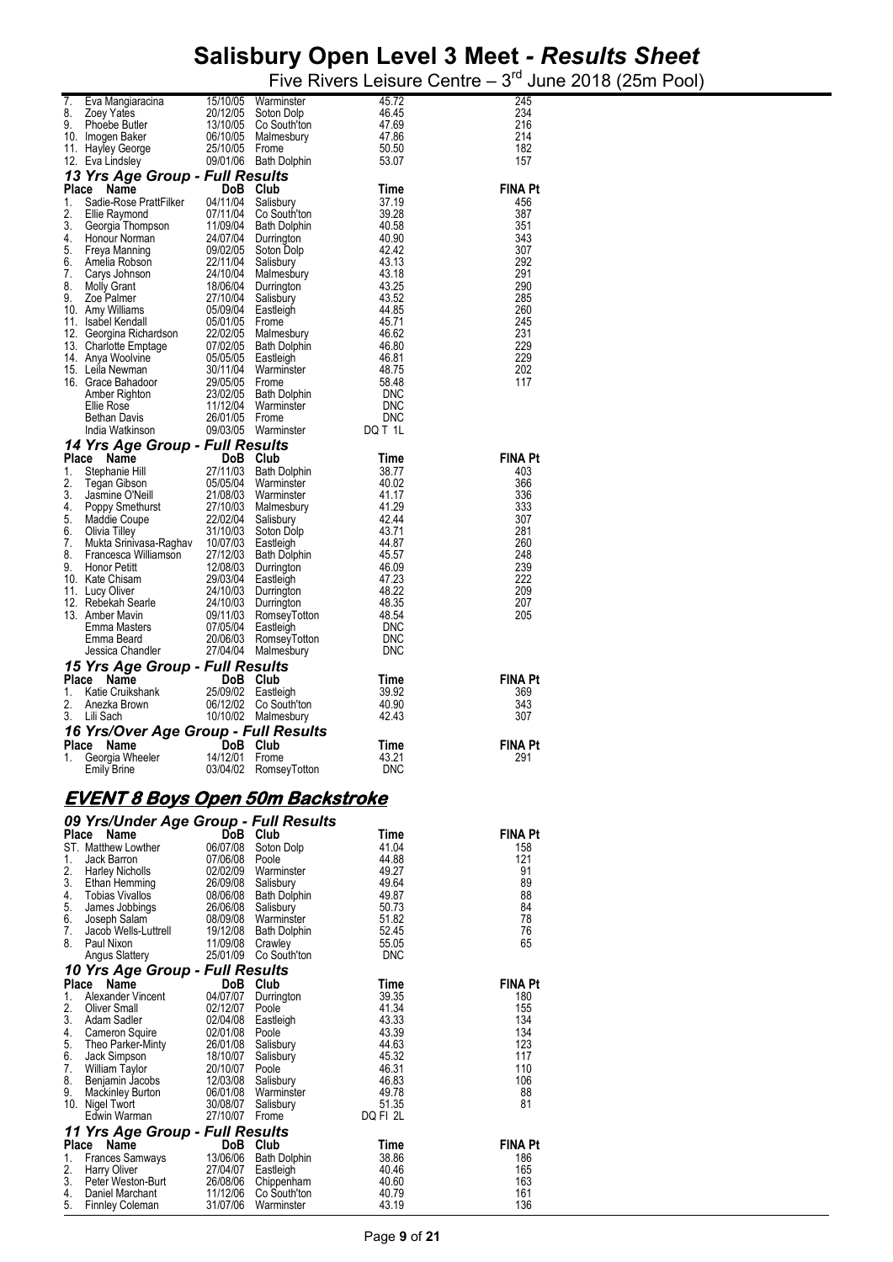| 7.<br>8.                   | Eva Mangiaracina<br>Zoey Yates                                 | 15/10/05<br>20/12/05                                            | Warminster<br>Soton Dolp                          | 45.72<br>46.45           | 245<br>234            |
|----------------------------|----------------------------------------------------------------|-----------------------------------------------------------------|---------------------------------------------------|--------------------------|-----------------------|
| 9.                         | Phoebe Butler                                                  | 13/10/05                                                        | Co South'ton                                      | 47.69                    | 216                   |
|                            | 10. Imogen Baker                                               | 06/10/05                                                        | Malmesbury                                        | 47.86                    | 214                   |
|                            | 11. Hayley George<br>12. Eva Lindsley                          | 25/10/05 Frome                                                  | 09/01/06 Bath Dolphin                             | 50.50<br>53.07           | 182<br>157            |
|                            | 13 Yrs Age Group - Full Results                                |                                                                 |                                                   |                          |                       |
| Place                      | Name                                                           | DoB Club                                                        |                                                   | Time                     | <b>FINA Pt</b>        |
| 1.<br>2.                   | Sadie-Rose PrattFilker<br>Ellie Raymond                        | 04/11/04<br>07/11/04                                            | Salisbury<br>Co South'ton                         | 37.19<br>39.28           | 456<br>387            |
| 3.                         | Georgia Thompson                                               |                                                                 | 11/09/04 Bath Dolphin                             | 40.58                    | 351                   |
| 4.<br>5.                   | Honour Norman                                                  |                                                                 | 24/07/04 Durrington                               | 40.90<br>42.42           | 343<br>307            |
| 6.                         | Freya Manning<br>Amelia Robson                                 | 09/02/05<br>22/11/04<br>24/10/04                                | Soton Dolp<br>Salisbury                           | 43.13                    | 292                   |
| 7.                         | Carys Johnson                                                  |                                                                 | Malmesbury                                        | 43.18                    | 291                   |
| 8.<br>9.                   | <b>Molly Grant</b><br>Zoe Palmer                               | 18/06/04 Durringtor<br>27/10/04 Salisbury<br>05/09/04 Eastleigh | Durrington                                        | 43.25<br>43.52           | 290<br>285            |
|                            | 10. Amy Williams                                               |                                                                 |                                                   | 44.85                    | 260                   |
|                            | 11. Isabel Kendall                                             | 05/01/05                                                        | Frome                                             | 45.71<br>46.62           | 245<br>231            |
|                            |                                                                |                                                                 |                                                   | 46.80                    | 229                   |
|                            | 15. Leila Newman                                               | 30/11/04                                                        | Warminster                                        | 46.81<br>48.75           | 229<br>202            |
|                            | 16. Grace Bahadoor                                             | 29/05/05                                                        | Frome                                             | 58.48                    | 117                   |
|                            | Amber Righton<br>Ellie Rose                                    | 23/02/05<br>11/12/04                                            | <b>Bath Dolphin</b><br>Warminster                 | <b>DNC</b><br><b>DNC</b> |                       |
|                            | <b>Bethan Davis</b>                                            | 26/01/05                                                        | Frome                                             | <b>DNC</b>               |                       |
|                            | India Watkinson                                                |                                                                 | 09/03/05 Warminster                               | DQ T 1L                  |                       |
|                            | 14 Yrs Age Group - Full Results<br>Place                       |                                                                 |                                                   |                          | <b>FINA Pt</b>        |
| 1.                         | Name<br>Stephanie Hill                                         | DoB Club                                                        | 27/11/03 Bath Dolphin                             | Time<br>38.77            | 403                   |
| 2.                         | Tegan Gibson                                                   |                                                                 | 05/05/04 Warminster                               | 40.02                    | 366                   |
| 3.<br>4.                   | Jasmine O'Neill<br>Poppy Smethurst                             | 21/08/03                                                        | Warminster<br>27/10/03 Malmesbury                 | 41.17<br>41.29           | 336<br>333            |
| 5.                         | Maddie Coupe                                                   | 22/02/04                                                        | Salisbury                                         | 42.44                    | 307                   |
| 6.<br>7.                   | Olivia Tilley<br>Mukta Srinivasa-Raghav 10/07/03 Eastleigh     | 31/10/03                                                        | Soton Dolp                                        | 43.71<br>44.87           | 281<br>260            |
| 8.                         | Francesca Williamson                                           | 27/12/03                                                        | <b>Bath Dolphin</b>                               | 45.57                    | 248                   |
| 9.                         | <b>Honor Petitt</b><br>10. Kate Chisam                         | 12/08/03<br>29/03/04 Eastleigh                                  | Durrington                                        | 46.09<br>47.23           | 239<br>222            |
|                            | 11. Lucy Oliver                                                | 24/10/03                                                        | Durrington                                        | 48.22                    | 209                   |
|                            | 12. Rebekah Searle<br>13. Amber Mavin                          | 24/10/03<br>09/11/03                                            | Durrington<br>RomseyTotton                        | 48.35<br>48.54           | 207<br>205            |
|                            | Emma Masters                                                   | 07/05/04                                                        | Eastleigh                                         | DNC                      |                       |
|                            | Emma Beard<br>Jessica Chandler                                 | 20/06/03                                                        | RomseyTotton<br>27/04/04 Malmesbury               | <b>DNC</b><br><b>DNC</b> |                       |
|                            | 15 Yrs Age Group - Full Results                                |                                                                 |                                                   |                          |                       |
|                            |                                                                |                                                                 |                                                   |                          |                       |
|                            | Place Name                                                     | DoB Club                                                        |                                                   | Time                     | <b>FINA Pt</b>        |
| 1.                         | Katie Cruikshank                                               | 25/09/02                                                        | Eastleigh                                         | 39.92                    | 369                   |
| 2.<br>3.                   | Anezka Brown<br>Lili Sach                                      |                                                                 | 06/12/02 Co South'ton<br>10/10/02 Malmesbury      | 40.90<br>42.43           | 343<br>307            |
|                            | 16 Yrs/Over Age Group - Full Results                           |                                                                 |                                                   |                          |                       |
|                            | Name                                                           | DoB Club                                                        |                                                   | Time                     | <b>FINA Pt</b>        |
| Place<br>1.                | Georgia Wheeler<br><b>Emily Brine</b>                          | 14/12/01                                                        | Frome<br>03/04/02 RomseyTotton                    | 43.21<br><b>DNC</b>      | 291                   |
|                            |                                                                |                                                                 |                                                   |                          |                       |
|                            | <u>EVENT 8 Boys Open 50m Backstroke</u>                        |                                                                 |                                                   |                          |                       |
|                            | 09 Yrs/Under Age Group - Full Results                          |                                                                 |                                                   |                          |                       |
|                            | Place Name                                                     | DoB Club                                                        |                                                   | Time                     | <b>FINA Pt</b>        |
| 1.                         | ST. Matthew Lowther<br>Jack Barron                             | 06/07/08<br>07/06/08                                            | Soton Dolp<br>Poole                               | 41.04<br>44.88           | 158<br>121            |
| 2.                         | <b>Harley Nicholls</b>                                         | 02/02/09                                                        | Warminster                                        | 49.27                    | 91                    |
| 3.<br>4.                   | Ethan Hemming<br>Tobias Vivallos                               | 26/09/08                                                        | Salisbury<br>08/06/08 Bath Dolphin                | 49.64<br>49.87           | 89<br>88              |
| 5.                         | James Jobbings                                                 | 26/06/08                                                        | Salisbury                                         | 50.73                    | 84                    |
| 6.<br>7.                   | Joseph Salam<br>Jacob Wells-Luttrell                           |                                                                 | 08/09/08 Warminster<br>19/12/08 Bath Dolphin      | 51.82<br>52.45           | 78<br>76              |
| 8.                         | Paul Nixon                                                     | 11/09/08 Crawley                                                |                                                   | 55.05                    | 65                    |
|                            | Angus Slattery                                                 |                                                                 | 25/01/09 Co South'ton                             | <b>DNC</b>               |                       |
|                            | 10 Yrs Age Group - Full Results                                |                                                                 |                                                   |                          |                       |
| 1.                         | Place Name<br>Alexander Vincent                                | DoB Club<br>04/07/07                                            | Durrington                                        | Time<br>39.35            | <b>FINA Pt</b><br>180 |
| 2.                         | Oliver Small                                                   | 02/12/07                                                        | Poole                                             | 41.34                    | 155                   |
| 3.<br>4.                   | Adam Sadler<br>Cameron Squire                                  | 02/01/08 Poole                                                  | 02/04/08 Eastleigh                                | 43.33<br>43.39           | 134<br>134            |
| 5.                         | Theo Parker-Minty                                              | 26/01/08                                                        | Salisbury                                         | 44.63                    | 123                   |
| 6.<br>7.                   | Jack Simpson<br>William Taylor                                 | 18/10/07<br>20/10/07                                            | Salisbury<br>Poole                                | 45.32<br>46.31           | 117<br>110            |
| 8.                         | Benjamin Jacobs                                                | 12/03/08                                                        | Salisbury                                         | 46.83                    | 106                   |
|                            | Mackinley Burton<br>10. Nigel Twort                            | 30/08/07                                                        | 06/01/08 Warminster<br>Salisbury                  | 49.78<br>51.35           | 88<br>81              |
| 9.                         | Edwin Warman                                                   | 27/10/07 Frome                                                  |                                                   | DQ FI 2L                 |                       |
|                            | 11 Yrs Age Group - Full Results                                | DoB Club                                                        |                                                   | Time                     | <b>FINA Pt</b>        |
|                            | Place Name<br><b>Frances Samways</b>                           | 13/06/06                                                        | <b>Bath Dolphin</b>                               | 38.86                    | 186                   |
|                            | <b>Harry Oliver</b>                                            | 27/04/07 Eastleigh                                              |                                                   | 40.46                    | 165                   |
| 1.<br>2.<br>3.<br>4.<br>5. | Peter Weston-Burt<br>Daniel Marchant<br><b>Finnley Coleman</b> | 11/12/06<br>31/07/06                                            | 26/08/06 Chippenham<br>Co South'ton<br>Warminster | 40.60<br>40.79<br>43.19  | 163<br>161<br>136     |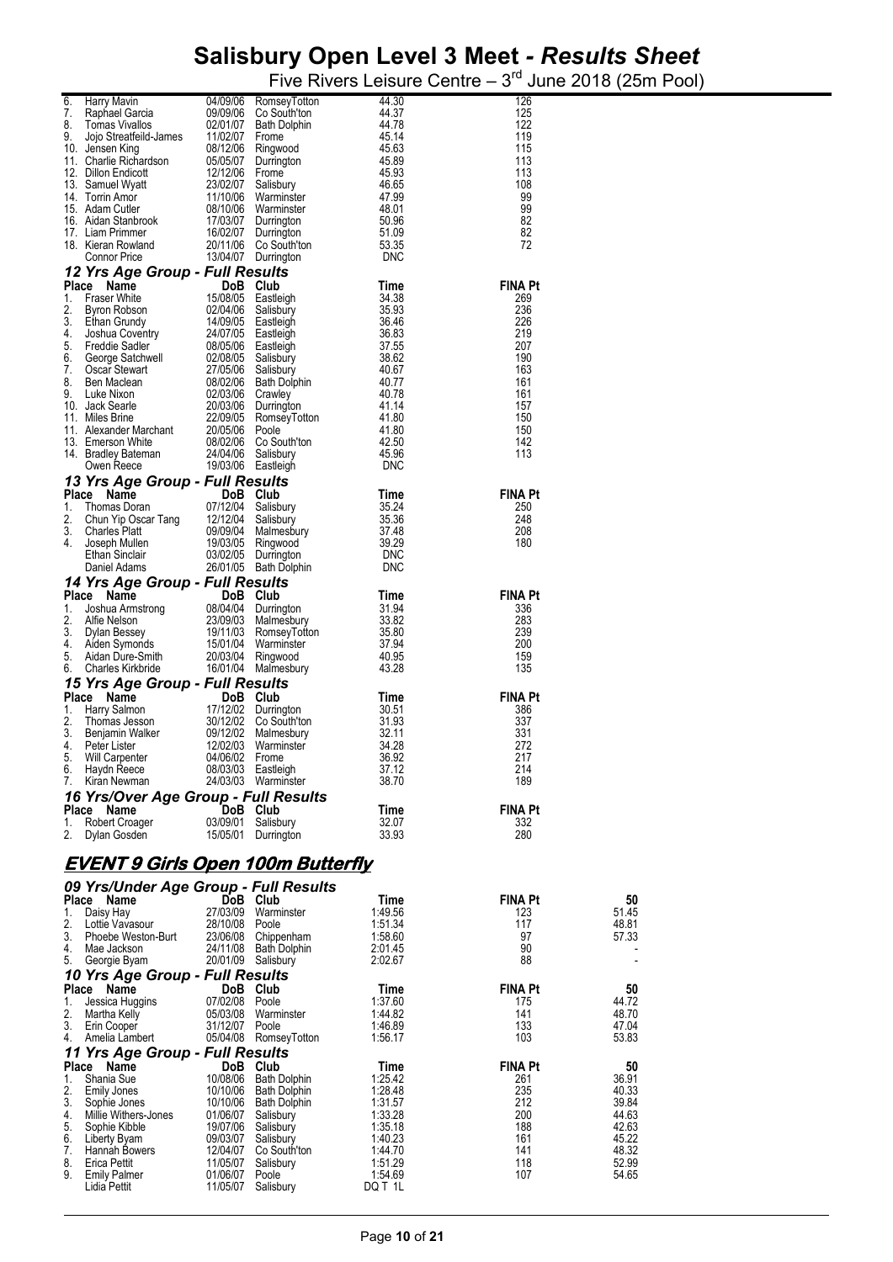| 6.<br>7. | Harry Mavin<br>Raphael Garcia                            | 04/09/06                                                       | RomseyTotton<br>09/09/06 Co South'ton                             | 44.30<br>44.37     | 126<br>125            |                |
|----------|----------------------------------------------------------|----------------------------------------------------------------|-------------------------------------------------------------------|--------------------|-----------------------|----------------|
| 8.       | Tomas Vivallos                                           |                                                                | 02/01/07 Bath Dolphin                                             | 44.78              | 122                   |                |
| 9.       | Jojo Streatfeild-James 11/02/07 Frome<br>10. Jensen King |                                                                | 08/12/06 Ringwood                                                 | 45.14<br>45.63     | 119<br>115            |                |
|          | 11. Charlie Richardson                                   |                                                                | 05/05/07 Durrington                                               | 45.89              | 113                   |                |
|          | 12. Dillon Endicott                                      | 12/12/06 Frome                                                 |                                                                   | 45.93              | 113                   |                |
|          | 13. Samuel Wyatt<br>14. Torrin Amor                      |                                                                | 23/02/07 Salisbury<br>11/10/06 Warminster                         | 46.65<br>47.99     | 108<br>99             |                |
|          | 15. Adam Cutler                                          |                                                                | 08/10/06 Warminster                                               | 48.01              | 99                    |                |
|          | 16. Aidan Stanbrook                                      |                                                                | 17/03/07 Durrington                                               | 50.96              | 82                    |                |
|          | 17. Liam Primmer<br>18. Kieran Rowland                   |                                                                | 16/02/07 Durrington<br>20/11/06 Co South'ton                      | 51.09<br>53.35     | 82<br>72              |                |
|          | Connor Price                                             |                                                                | 13/04/07 Durrington                                               | <b>DNC</b>         |                       |                |
|          | 12 Yrs Age Group - Full Results                          |                                                                |                                                                   |                    |                       |                |
| 1.       | Place<br>Name<br><b>Fraser White</b>                     |                                                                | DoB Club<br>15/08/05 Eastleigh                                    | Time<br>34.38      | <b>FINA Pt</b><br>269 |                |
| 2.       | Byron Robson                                             |                                                                | 02/04/06 Salisbury                                                | 35.93              | 236                   |                |
| 3.       | Ethan Grundy                                             | 14/09/05 Eastleigh<br>24/07/05 Eastleigh<br>08/05/06 Eastleigh |                                                                   | 36.46              | 226                   |                |
| 4.<br>5. | Joshua Coventry<br>Freddie Sadler                        |                                                                |                                                                   | 36.83<br>37.55     | 219<br>207            |                |
| 6.       | George Satchwell                                         |                                                                |                                                                   | 38.62              | 190                   |                |
| 7.<br>8. | Oscar Stewart<br>Ben Maclean                             |                                                                | 02/08/05 Salisbury<br>27/05/06 Salisbury<br>08/02/06 Bath Dolphin | 40.67<br>40.77     | 163<br>161            |                |
| 9.       | Luke Nixon                                               | 02/03/06 Crawley                                               |                                                                   | 40.78              | 161                   |                |
|          | 10. Jack Searle                                          |                                                                | 20/03/06 Durrington                                               | 41.14              | 157                   |                |
|          | 11. Miles Brine<br>11. Alexander Marchant                | 20/05/06 Poole                                                 | 22/09/05 RomseyTotton                                             | 41.80<br>41.80     | 150<br>150            |                |
|          | 13. Emerson White                                        |                                                                | 08/02/06 Co South'ton                                             | 42.50              | 142                   |                |
|          | 14. Bradley Bateman                                      |                                                                | 24/04/06 Salisbury                                                | 45.96              | 113                   |                |
|          | Owen Reece                                               |                                                                | 19/03/06 Eastleigh                                                | <b>DNC</b>         |                       |                |
|          | 13 Yrs Age Group - Full Results<br>Place Name            |                                                                | DoB Club                                                          | Time               | <b>FINA Pt</b>        |                |
| 1.       | Thomas Doran                                             |                                                                | 07/12/04 Salisbury                                                | 35.24              | 250                   |                |
| 2.       | Chun Yip Oscar Tang                                      | 12/12/04 Salisbury                                             |                                                                   | 35.36              | 248                   |                |
| 3.<br>4. | Charles Platt<br>Joseph Mullen                           |                                                                | 09/09/04 Malmesbury<br>19/03/05 Ringwood                          | 37.48<br>39.29     | 208<br>180            |                |
|          | Ethan Sinclair                                           |                                                                | 03/02/05 Durrington                                               | <b>DNC</b>         |                       |                |
|          | Daniel Adams                                             |                                                                | 26/01/05 Bath Dolphin                                             | <b>DNC</b>         |                       |                |
|          | 14 Yrs Age Group - Full Results<br>Place Name            |                                                                | DoB Club                                                          | Time               | <b>FINA Pt</b>        |                |
| 1.       | Joshua Armstrong                                         |                                                                | 08/04/04 Durrington                                               | 31.94              | 336                   |                |
| 2.       | Alfie Nelson                                             |                                                                | 23/09/03 Malmesbury                                               | 33.82              | 283                   |                |
| 3.<br>4. | Dylan Bessey<br>Aiden Symonds                            |                                                                | 19/11/03 RomseyTotton<br>15/01/04 Warminster                      | 35.80<br>37.94     | 239<br>200            |                |
| 5.       | Aidan Dure-Smith                                         |                                                                | 20/03/04 Ringwood                                                 | 40.95              | 159                   |                |
| 6.       | Charles Kirkbride                                        |                                                                | 16/01/04 Malmesbury                                               | 43.28              | 135                   |                |
|          | 15 Yrs Age Group - Full Results                          |                                                                | DoB Club                                                          |                    | <b>FINA Pt</b>        |                |
| 1.       | Place Name<br>Harry Salmon                               |                                                                | 17/12/02 Durrington                                               | Time<br>30.51      | 386                   |                |
| 2.       | Thomas Jesson                                            |                                                                | 30/12/02 Co South'ton                                             | 31.93              | 337                   |                |
| 3.<br>4. | Benjamin Walker<br>Peter Lister                          |                                                                | 09/12/02 Malmesbury<br>12/02/03 Warminster                        | 32.11<br>34.28     | 331<br>272            |                |
| 5.       | Will Carpenter                                           | 04/06/02 Frome                                                 |                                                                   | 36.92              | 217                   |                |
| 6.       | Haydn Reece                                              |                                                                | 08/03/03 Eastleigh                                                | 37.12              | 214                   |                |
| 7.       | Kiran Newman                                             |                                                                | 24/03/03 Warminster                                               | 38.70              | 189                   |                |
|          | 16 Yrs/Over Age Group - Full Results<br>Place Name       |                                                                | DoB Club                                                          | Time               | <b>FINA Pt</b>        |                |
| 1.       | Robert Croager                                           | 03/09/01                                                       | Salisbury                                                         | 32.07              | 332                   |                |
| 2.       | Dylan Gosden                                             |                                                                | 15/05/01 Durrington                                               | 33.93              | 280                   |                |
|          |                                                          |                                                                |                                                                   |                    |                       |                |
|          | <b>EVENT 9 Girls Open 100m Butterfly</b>                 |                                                                |                                                                   |                    |                       |                |
|          | 09 Yrs/Under Age Group - Full Results                    |                                                                |                                                                   |                    |                       |                |
| 1.       | Place Name<br>Daisy Hay                                  |                                                                | DoB Club<br>27/03/09 Warminster                                   | Time<br>1:49.56    | <b>FINA Pt</b><br>123 | 50<br>51.45    |
| 2.       | Lottie Vavasour                                          | 28/10/08 Poole                                                 |                                                                   | 1:51.34            | 117                   | 48.81          |
| 3.       | Phoebe Weston-Burt                                       |                                                                | 23/06/08 Chippenham                                               | 1:58.60            | 97                    | 57.33          |
| 4.<br>5. | Mae Jackson<br>Georgie Byam                              |                                                                | 24/11/08 Bath Dolphin<br>20/01/09 Salisbury                       | 2:01.45<br>2:02.67 | 90<br>88              |                |
|          | 10 Yrs Age Group - Full Results                          |                                                                |                                                                   |                    |                       |                |
|          | Place Name                                               |                                                                | DoB Club                                                          | Time               | <b>FINA Pt</b>        | 50             |
| 1.<br>2. | Jessica Huggins                                          | 07/02/08 Poole<br>05/03/08                                     | Warminster                                                        | 1:37.60<br>1:44.82 | 175<br>141            | 44.72<br>48.70 |
| 3.       | Martha Kelly<br>Erin Cooper                              | 31/12/07 Poole                                                 |                                                                   | 1:46.89            | 133                   | 47.04          |
| 4.       | Amelia Lambert                                           |                                                                | 05/04/08 RomseyTotton                                             | 1:56.17            | 103                   | 53.83          |
|          |                                                          |                                                                |                                                                   |                    |                       |                |
|          | 11 Yrs Age Group - Full Results                          |                                                                |                                                                   |                    |                       |                |
|          | Place Name                                               |                                                                | DoB Club                                                          | Time               | <b>FINA Pt</b>        | 50             |
| 1.<br>2. | Shania Sue<br>Emily Jones                                |                                                                | 10/08/06 Bath Dolphin<br>10/10/06 Bath Dolphin                    | 1:25.42<br>1:28.48 | 261<br>235            | 36.91<br>40.33 |
| 3.       | Sophie Jones                                             |                                                                | 10/10/06 Bath Dolphin                                             | 1:31.57            | 212                   | 39.84          |
| 4.       | Millie Withers-Jones                                     | 01/06/07                                                       | Salisbury                                                         | 1:33.28            | 200                   | 44.63          |
| 5.<br>6. | Sophie Kibble<br>Liberty Byam                            | 19/07/06<br>09/03/07                                           | Salisbury<br>Salisbury                                            | 1:35.18<br>1:40.23 | 188<br>161            | 42.63<br>45.22 |
| 7.       | Hannah Bowers                                            |                                                                | 12/04/07 Co South'ton                                             | 1:44.70            | 141                   | 48.32          |
| 8.<br>9. | Erica Pettit<br><b>Emily Palmer</b>                      | 11/05/07<br>01/06/07                                           | Salisbury<br>Poole                                                | 1:51.29<br>1:54.69 | 118<br>107            | 52.99<br>54.65 |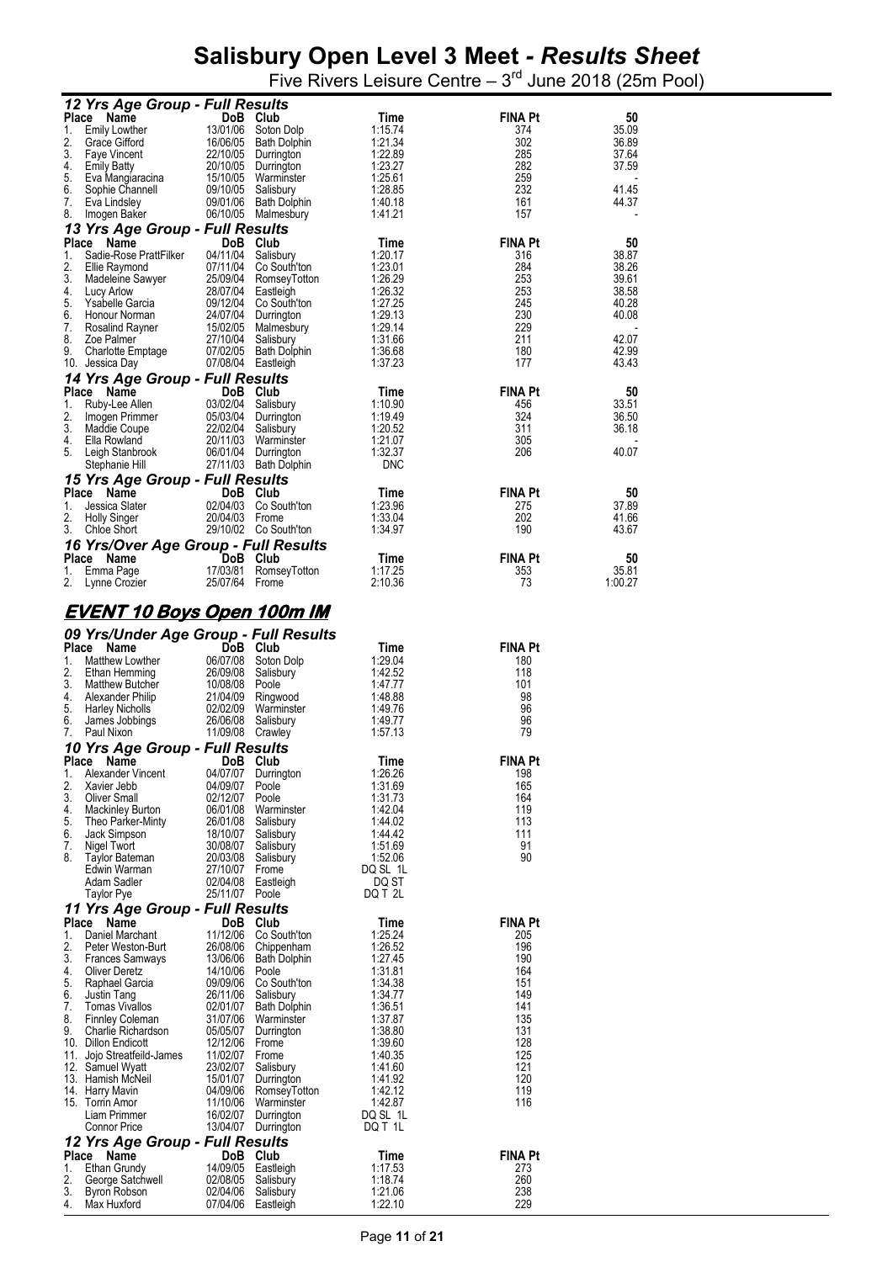|              | 12 Yrs Age Group - Full Results                        |                            |                                             |                     |                       |                |
|--------------|--------------------------------------------------------|----------------------------|---------------------------------------------|---------------------|-----------------------|----------------|
| Place<br>1.  | Name<br><b>Emily Lowther</b>                           | 13/01/06                   | DoB Club<br>Soton Dolp                      | Time<br>1:15.74     | <b>FINA Pt</b><br>374 | 50<br>35.09    |
| 2.           | Grace Gifford                                          |                            | 16/06/05 Bath Dolphin                       | 1:21.34             | 302                   | 36.89          |
| 3.<br>4.     | <b>Faye Vincent</b><br><b>Emily Batty</b>              |                            | 22/10/05 Durrington<br>20/10/05 Durrington  | 1:22.89<br>1:23.27  | 285<br>282            | 37.64<br>37.59 |
| 5.           | Eva Mangiaracina                                       |                            | 15/10/05 Warminster                         | 1:25.61             | 259                   |                |
| 6.<br>7.     | Sophie Channell<br>Eva Lindsley                        |                            | 09/10/05 Salisbury<br>09/01/06 Bath Dolphin | 1:28.85<br>1:40.18  | 232<br>161            | 41.45<br>44.37 |
| 8.           | Imogen Baker                                           |                            | 06/10/05 Malmesbury                         | 1:41.21             | 157                   |                |
|              | 13 Yrs Age Group - Full Results                        |                            |                                             |                     |                       |                |
| 1.           | Place<br>Name<br>Sadie-Rose PrattFilker                | 04/11/04                   | DoB Club<br>Salisbury                       | Time<br>1:20.17     | <b>FINA Pt</b><br>316 | 50<br>38.87    |
| 2.           | Ellie Raymond                                          |                            | 07/11/04 Co South'ton                       | 1:23.01             | 284                   | 38.26          |
| 3.<br>4.     | Madeleine Sawyer<br>Lucy Arlow                         |                            | 25/09/04 RomseyTotton<br>28/07/04 Eastleigh | 1:26.29<br>1:26.32  | 253<br>253            | 39.61<br>38.58 |
| 5.           | Ysabelle Garcia                                        |                            | 09/12/04 Co South'ton                       | 1:27.25             | 245                   | 40.28          |
| 6.<br>7.     | Honour Norman<br>Rosalind Rayner                       |                            | 24/07/04 Durrington<br>15/02/05 Malmesbury  | 1:29.13<br>1:29.14  | 230<br>229            | 40.08          |
| 8.           | Zoe Palmer                                             |                            | 27/10/04 Salisbury                          | 1:31.66             | 211                   | 42.07          |
| 9.           | <b>Charlotte Emptage</b><br>10. Jessica Day            |                            | 07/02/05 Bath Dolphin<br>07/08/04 Eastleigh | 1:36.68<br>1:37.23  | 180<br>177            | 42.99<br>43.43 |
|              | 14 Yrs Age Group - Full Results                        |                            |                                             |                     |                       |                |
| Place        | Name                                                   |                            | DoB Club                                    | Time                | <b>FINA Pt</b>        | 50             |
| 1.<br>2.     | Ruby-Lee Allen<br>Imogen Primmer                       | 03/02/04                   | Salisbury<br>05/03/04 Durrington            | 1:10.90<br>1:19.49  | 456<br>324            | 33.51<br>36.50 |
| 3.           | Maddie Coupe                                           | 22/02/04                   | Salisbury                                   | 1:20.52             | 311                   | 36.18          |
| 4.<br>5.     | Ella Rowland<br>Leigh Stanbrook                        |                            | 20/11/03 Warminster<br>06/01/04 Durrington  | 1:21.07<br>1:32.37  | 305<br>206            | 40.07          |
|              | Stephanie Hill                                         |                            | 27/11/03 Bath Dolphin                       | <b>DNC</b>          |                       |                |
|              | 15 Yrs Age Group - Full Results<br>Place               |                            |                                             |                     |                       |                |
| 1.           | Name<br>Jessica Slater                                 |                            | DoB Club<br>02/04/03 Co South'ton           | Time<br>1:23.96     | FINA Pt<br>275        | 50<br>37.89    |
| 2.           | <b>Holly Singer</b>                                    | 20/04/03 Frome             |                                             | 1:33.04             | 202                   | 41.66          |
| 3.           | Chloe Short<br>16 Yrs/Over Age Group - Full Results    |                            | 29/10/02 Co South'ton                       | 1:34.97             | 190                   | 43.67          |
|              | Place<br>Name                                          |                            | DoB Club                                    | Time                | <b>FINA Pt</b>        | 50             |
| 1.           | Emma Page                                              | 17/03/81                   | RomseyTotton                                | 1:17.25             | 353                   | 35.81          |
| 2.           | Lynne Crozier                                          | 25/07/64 Frome             |                                             | 2:10.36             | 73                    | 1:00.27        |
|              | <u>EVENT 10 Boys Open 100m IM</u>                      |                            |                                             |                     |                       |                |
|              | 09 Yrs/Under Age Group - Full Results                  |                            |                                             |                     |                       |                |
|              | Place Name                                             |                            | DoB Club                                    | Time                | <b>FINA Pt</b>        |                |
| 1.<br>2.     | Matthew Lowther<br>Ethan Hemming                       | 26/09/08                   | 06/07/08 Soton Dolp<br>Salisbury            | 1:29.04<br>1:42.52  | 180<br>118            |                |
| 3.           | Matthew Butcher                                        | 10/08/08 Poole             |                                             | 1:47.77             | 101                   |                |
| 4.<br>5.     | Alexander Philip<br>Harley Nicholls                    |                            | 21/04/09 Ringwood<br>02/02/09 Warminster    | 1:48.88<br>1:49.76  | 98<br>96              |                |
| 6.           | James Jobbings                                         | 26/06/08                   | Salisbury                                   | 1:49.77             | 96                    |                |
| 7.           | Paul Nixon                                             | 11/09/08 Crawley           |                                             | 1:57.13             | 79                    |                |
| <b>Place</b> | 10 Yrs Age Group - Full Results<br>Name                |                            | DoB Club                                    | Time                | <b>FINA Pt</b>        |                |
| 1.           | Alexander Vincent                                      | 04/07/07                   | Durrington                                  | 1:26.26             | 198                   |                |
| 2.<br>3.     | Xavier Jebb<br><b>Oliver Small</b>                     | 04/09/07<br>02/12/07       | Poole<br>Poole                              | 1:31.69<br>1:31.73  | 165<br>164            |                |
| 4.           | <b>Mackinley Burton</b>                                | 06/01/08                   | Warminster                                  | 1:42.04             | 119                   |                |
| 5.<br>6.     | Theo Parker-Minty<br>Jack Simpson                      | 26/01/08<br>18/10/07       | Salisbury<br>Salisbury                      | 1:44.02<br>1:44.42  | 113<br>111            |                |
| 7.           | Nigel Twort                                            | 30/08/07                   | Salisbury                                   | 1:51.69             | 91                    |                |
| 8.           | Taylor Bateman<br>Edwin Warman                         | 20/03/08<br>27/10/07 Frome | Salisbury                                   | 1:52.06<br>DQ SL 1L | 90                    |                |
|              | Adam Sadler                                            | 02/04/08                   | Eastleigh                                   | DQ ST               |                       |                |
|              | Taylor Pye<br>11 Yrs Age Group - Full Results          | 25/11/07 Poole             |                                             | DQ T 2L             |                       |                |
| Place        | Name                                                   |                            | DoB Club                                    | Time                | <b>FINA Pt</b>        |                |
| 1.<br>2.     | Daniel Marchant                                        | 11/12/06                   | Co South'ton                                | 1:25.24             | 205                   |                |
| 3.           | Peter Weston-Burt<br><b>Frances Samways</b>            | 26/08/06                   | Chippenham<br>13/06/06 Bath Dolphin         | 1:26.52<br>1:27.45  | 196<br>190            |                |
| 4.           | <b>Oliver Deretz</b>                                   | 14/10/06                   | Poole                                       | 1:31.81             | 164                   |                |
| 5.<br>6.     | Raphael Garcia<br>Justin Tang                          | 09/09/06<br>26/11/06       | Co South'ton<br>Salisbury                   | 1:34.38<br>1:34.77  | 151<br>149            |                |
| 7.           | <b>Tomas Vivallos</b>                                  | 02/01/07                   | <b>Bath Dolphin</b>                         | 1:36.51             | 141                   |                |
| 8.<br>9.     | <b>Finnley Coleman</b><br>Charlie Richardson           |                            | 31/07/06 Warminster<br>05/05/07 Durrington  | 1:37.87<br>1:38.80  | 135<br>131            |                |
|              | 10. Dillon Endicott                                    | 12/12/06 Frome             |                                             | 1:39.60             | 128                   |                |
| 11.          | Jojo Streatfeild-James<br>12. Samuel Wyatt             | 11/02/07 Frome<br>23/02/07 | Salisbury                                   | 1:40.35<br>1:41.60  | 125<br>121            |                |
|              | 13. Hamish McNeil                                      | 15/01/07                   | Durrington                                  | 1:41.92             | 120                   |                |
|              | 14. Harry Mavin<br>15. Torrin Amor                     | 04/09/06                   | RomseyTotton<br>11/10/06 Warminster         | 1:42.12<br>1:42.87  | 119<br>116            |                |
|              | Liam Primmer                                           | 16/02/07                   | Durrington                                  | DQ SL 1L            |                       |                |
|              | <b>Connor Price</b><br>12 Yrs Age Group - Full Results |                            | 13/04/07 Durrington                         | DQ T 1L             |                       |                |
| <b>Place</b> | Name                                                   |                            | DoB Club                                    | Time                | <b>FINA Pt</b>        |                |
| 1.<br>2.     | Ethan Grundy<br>George Satchwell                       | 14/09/05<br>02/08/05       | Eastleigh<br>Salisbury                      | 1:17.53<br>1:18.74  | 273<br>260            |                |
| 3.           | Byron Robson                                           | 02/04/06                   | Salisbury                                   | 1:21.06             | 238                   |                |
| 4.           | Max Huxford                                            |                            | 07/04/06 Eastleigh                          | 1:22.10             | 229                   |                |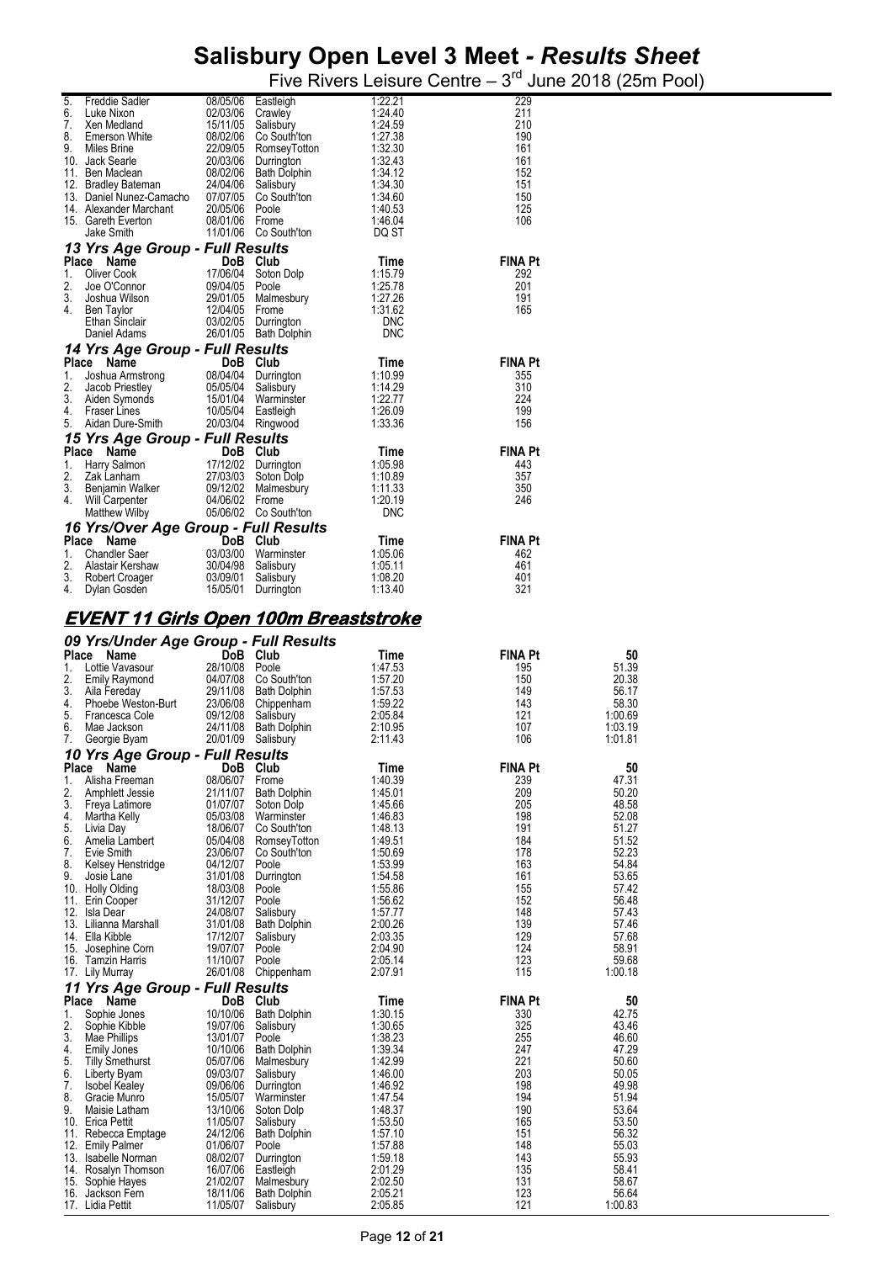| 5.<br>6.    | Freddie Sadler                                                                                                  |                      | 08/05/06 Eastleigh                                                                                                                                      | 1:22.21<br>1:24.40       | 229<br>211            |                         |
|-------------|-----------------------------------------------------------------------------------------------------------------|----------------------|---------------------------------------------------------------------------------------------------------------------------------------------------------|--------------------------|-----------------------|-------------------------|
| 7.          | Luke Nixon<br>Xen Medland                                                                                       |                      | 02/03/06 Crawley<br>15/11/05 Salisbury<br>15/11/05 Salisbury<br>08/02/06 Co South't<br>22/09/05 RomseyToi<br>20/03/06 Durrington<br>08/02/06 Bath Dolph | 1:24.59                  | 210                   |                         |
| 8.          | Emerson White                                                                                                   |                      | 08/02/06 Co South'ton                                                                                                                                   | 1:27.38                  | 190                   |                         |
| 9.          | Miles Brine<br>10. Jack Searle                                                                                  |                      | 22/09/05 RomseyTotton                                                                                                                                   | 1:32.30<br>1:32.43       | 161<br>161            |                         |
|             | 11. Ben Maclean                                                                                                 |                      | 08/02/06 Bath Dolphin                                                                                                                                   | 1:34.12                  | 152                   |                         |
|             | 12. Bradley Bateman 24/04/06 Salisbury<br>13. Daniel Nunez-Camacho 07/07/05 Co South'ton                        |                      |                                                                                                                                                         | 1:34.30<br>1:34.60       | 151<br>150            |                         |
|             | 14. Alexander Marchant                                                                                          | 20/05/06 Poole       |                                                                                                                                                         | 1:40.53                  | 125                   |                         |
|             | 15. Gareth Everton                                                                                              | 08/01/06 Frome       |                                                                                                                                                         | 1:46.04                  | 106                   |                         |
|             | Jake Smith<br>13 Yrs Age Group - Full Results                                                                   |                      | 11/01/06 Co South'ton                                                                                                                                   | DQ ST                    |                       |                         |
|             | Place Name                                                                                                      |                      | DoB Club                                                                                                                                                | Time                     | <b>FINA Pt</b>        |                         |
| 1.          | Oliver Cook                                                                                                     |                      | 17/06/04 Soton Dolp                                                                                                                                     | 1:15.79                  | 292                   |                         |
| 2.<br>3.    | Joe O'Connor<br>Joshua Wilson                                                                                   |                      |                                                                                                                                                         | 1:25.78<br>1:27.26       | 201<br>191            |                         |
| 4.          | Ben Taylor                                                                                                      | 12/04/05 Frome       |                                                                                                                                                         | 1:31.62                  | 165                   |                         |
|             | Ethan Sinclair<br>Daniel Adams                                                                                  |                      | 03/02/05 Durrington<br>26/01/05 Bath Dolphin                                                                                                            | <b>DNC</b><br><b>DNC</b> |                       |                         |
|             | 14 Yrs Age Group - Full Results                                                                                 |                      |                                                                                                                                                         |                          |                       |                         |
|             | Place Name                                                                                                      |                      | DoB Club                                                                                                                                                | Time                     | <b>FINA Pt</b>        |                         |
| 1.<br>2.    | Joshua Armstrong 08/04/04 Durrington<br>Jacob Priestley 05/05/04 Salisbury<br>Aiden Symonds 15/01/04 Warminster |                      |                                                                                                                                                         | 1:10.99<br>1:14.29       | 355<br>310            |                         |
| 3.          | Jacob Priestley<br>Aiden Symonds<br>Freest lines                                                                |                      |                                                                                                                                                         | 1:22.77                  | 224                   |                         |
| 4.<br>5.    | <b>Fraser Lines</b><br>Aidan Dure-Smith                                                                         |                      | 10/05/04 Eastleigh<br>20/03/04 Ringwood                                                                                                                 | 1:26.09<br>1:33.36       | 199<br>156            |                         |
|             | 15 Yrs Age Group - Full Results                                                                                 |                      |                                                                                                                                                         |                          |                       |                         |
|             | Place Name                                                                                                      |                      | <b>DOB Club</b><br>17/12/02 Durrington<br>27/03/03 Soton Dolp<br>09/12/02 Malmosh                                                                       | Time                     | <b>FINA Pt</b>        |                         |
| 1.<br>2.    | Harry Salmon<br>Zak Lanham                                                                                      |                      |                                                                                                                                                         | 1:05.98<br>1:10.89       | 443<br>357            |                         |
| 3.          | Benjamin Walker                                                                                                 |                      | 09/12/02 Malmesbury                                                                                                                                     | 1:11.33                  | 350                   |                         |
| 4.          | Will Carpenter                                                                                                  | 04/06/02 Frome       |                                                                                                                                                         | 1:20.19                  | 246                   |                         |
|             | Matthew Wilby<br>16 Yrs/Over Age Group - Full Results                                                           |                      | 05/06/02 Co South'ton                                                                                                                                   | <b>DNC</b>               |                       |                         |
|             | Place Name                                                                                                      |                      | DoB Club                                                                                                                                                | Time                     | <b>FINA Pt</b>        |                         |
| 1.          | <b>Chandler Saer</b>                                                                                            |                      | 03/03/00 Warminster                                                                                                                                     | 1:05.06                  | 462                   |                         |
| 2.<br>3.    | Alastair Kershaw<br>Robert Croager                                                                              | 30/04/98 Salisbury   | 03/09/01 Salisbury                                                                                                                                      | 1:05.11<br>1:08.20       | 461<br>401            |                         |
| 4.          | Dylan Gosden                                                                                                    |                      | 15/05/01 Durrington                                                                                                                                     | 1:13.40                  | 321                   |                         |
|             | <u>EVENT 11 Girls Open 100m Breaststroke</u>                                                                    |                      |                                                                                                                                                         |                          |                       |                         |
|             |                                                                                                                 |                      |                                                                                                                                                         |                          |                       |                         |
|             |                                                                                                                 |                      |                                                                                                                                                         |                          |                       |                         |
|             | 09 Yrs/Under Age Group - Full Results                                                                           |                      |                                                                                                                                                         |                          |                       |                         |
| 1.          | Place<br>Name<br>Lottie Vavasour                                                                                | 28/10/08 Poole       | DoB Club                                                                                                                                                | Time<br>1:47.53          | <b>FINA Pt</b><br>195 | 50<br>51.39             |
| 2.          | Emily Raymond                                                                                                   |                      | 04/07/08 Co South'ton                                                                                                                                   | 1:57.20                  | 150                   | 20.38                   |
| 3.<br>4.    | Aila Fereday<br>Phoebe Weston-Burt                                                                              |                      | 29/11/08 Bath Dolphin                                                                                                                                   | 1:57.53<br>1:59.22       | 149<br>143            | 56.17<br>58.30          |
| 5.          | Francesca Cole                                                                                                  |                      | 23/06/08 Chippenham<br>09/12/08 Salisbury                                                                                                               | 2:05.84                  | 121                   | 1:00.69                 |
| 6.          | Mae Jackson                                                                                                     |                      | 24/11/08 Bath Dolphin                                                                                                                                   | 2:10.95                  | 107<br>106            | 1:03.19                 |
| 7.          | Georgie Byam                                                                                                    |                      | 20/01/09 Salisbury                                                                                                                                      | 2:11.43                  |                       | 1:01.81                 |
| Place       | 10 Yrs Age Group - Full Results<br>name                                                                         | <b>DoB</b>           | Club                                                                                                                                                    | <b>Time</b>              | <b>FINA Pt</b>        | 50                      |
| 1.          | Alisha Freeman                                                                                                  | 08/06/07             | Frome                                                                                                                                                   | 1:40.39<br>1:45.01       | 239                   | 47.31                   |
| 2.<br>3.    | Amphlett Jessie<br>Freya Latimore                                                                               | 21/11/07<br>01/07/07 | <b>Bath Dolphin</b><br>Soton Dolp                                                                                                                       | 1:45.66                  | 209<br>205            | 50.20<br>48.58          |
| 4.          | Martha Kelly                                                                                                    | 05/03/08             | Warminster                                                                                                                                              | 1:46.83                  | 198                   | 52.08                   |
| 5.<br>6.    | Livia Day<br>Amelia Lambert                                                                                     | 18/06/07<br>05/04/08 | Co South'ton<br>RomseyTotton                                                                                                                            | 1:48.13<br>1:49.51       | 191<br>184            | 51.27<br>51.52          |
| 7.          | Evie Smith                                                                                                      | 23/06/07             | Co South'ton                                                                                                                                            | 1:50.69                  | 178                   | 52.23                   |
| 8.<br>9.    | Kelsey Henstridge<br>Josie Lane                                                                                 | 04/12/07<br>31/01/08 | Poole<br>Durrington                                                                                                                                     | 1:53.99<br>1:54.58       | 163<br>161            | 54.84<br>53.65          |
|             | 10. Holly Olding                                                                                                | 18/03/08             | Poole                                                                                                                                                   | 1:55.86                  | 155                   | 57.42                   |
|             | 11. Erin Cooper<br>12. Isla Dear                                                                                | 31/12/07             | Poole                                                                                                                                                   | 1:56.62<br>1:57.77       | 152<br>148            | 56.48                   |
|             | 13. Lilianna Marshall                                                                                           | 24/08/07<br>31/01/08 | Salisbury<br><b>Bath Dolphin</b>                                                                                                                        | 2:00.26                  | 139                   | 57.43<br>57.46          |
|             | 14. Ella Kibble                                                                                                 | 17/12/07             | Salisbury                                                                                                                                               | 2:03.35                  | 129                   | 57.68                   |
|             | 15. Josephine Corn<br>16. Tamzin Harris                                                                         | 19/07/07<br>11/10/07 | Poole<br>Poole                                                                                                                                          | 2:04.90<br>2:05.14       | 124<br>123            | 58.91<br>59.68          |
|             | 17. Lily Murray                                                                                                 |                      | 26/01/08 Chippenham                                                                                                                                     | 2:07.91                  | 115                   | 1:00.18                 |
|             | 11 Yrs Age Group - Full Results                                                                                 |                      |                                                                                                                                                         |                          |                       |                         |
| Place<br>1. | Name<br>Sophie Jones                                                                                            | 10/10/06             | DoB Club<br><b>Bath Dolphin</b>                                                                                                                         | Time<br>1:30.15          | <b>FINA Pt</b><br>330 | 50<br>42.75             |
| 2.          | Sophie Kibble                                                                                                   | 19/07/06             | Salisbury                                                                                                                                               | 1:30.65                  | 325                   | 43.46                   |
| 3.<br>4.    | Mae Phillips<br><b>Emily Jones</b>                                                                              | 13/01/07<br>10/10/06 | Poole<br><b>Bath Dolphin</b>                                                                                                                            | 1:38.23<br>1:39.34       | 255<br>247            | 46.60<br>47.29          |
| 5.          | <b>Tilly Smethurst</b>                                                                                          | 05/07/06             | Malmesbury                                                                                                                                              | 1:42.99                  | 221                   | 50.60                   |
| 6.<br>7.    | Liberty Byam<br><b>Isobel Kealey</b>                                                                            | 09/03/07<br>09/06/06 | Salisbury<br>Durrington                                                                                                                                 | 1:46.00<br>1:46.92       | 203<br>198            | 50.05<br>49.98          |
| 8.          | Gracie Munro                                                                                                    | 15/05/07             | Warminster                                                                                                                                              | 1:47.54                  | 194                   | 51.94                   |
| 9.          | Maisie Latham                                                                                                   | 13/10/06             | Soton Dolp                                                                                                                                              | 1:48.37                  | 190<br>165            | 53.64                   |
|             | 10. Erica Pettit<br>11. Rebecca Emptage                                                                         | 11/05/07<br>24/12/06 | Salisbury<br><b>Bath Dolphin</b>                                                                                                                        | 1:53.50<br>1:57.10       | 151                   | 53.50<br>56.32          |
|             | 12. Emily Palmer                                                                                                | 01/06/07             | Poole                                                                                                                                                   | 1:57.88                  | 148                   |                         |
|             | 13. Isabelle Norman<br>14. Rosalyn Thomson                                                                      | 08/02/07<br>16/07/06 | Durrington<br>Eastleigh                                                                                                                                 | 1:59.18<br>2:01.29       | 143<br>135            | 55.03<br>55.93<br>58.41 |
| 15.         | Sophie Hayes<br>16. Jackson Fern                                                                                | 21/02/07<br>18/11/06 | Malmesbury<br><b>Bath Dolphin</b>                                                                                                                       | 2:02.50<br>2:05.21       | 131<br>123            | 58.67<br>56.64          |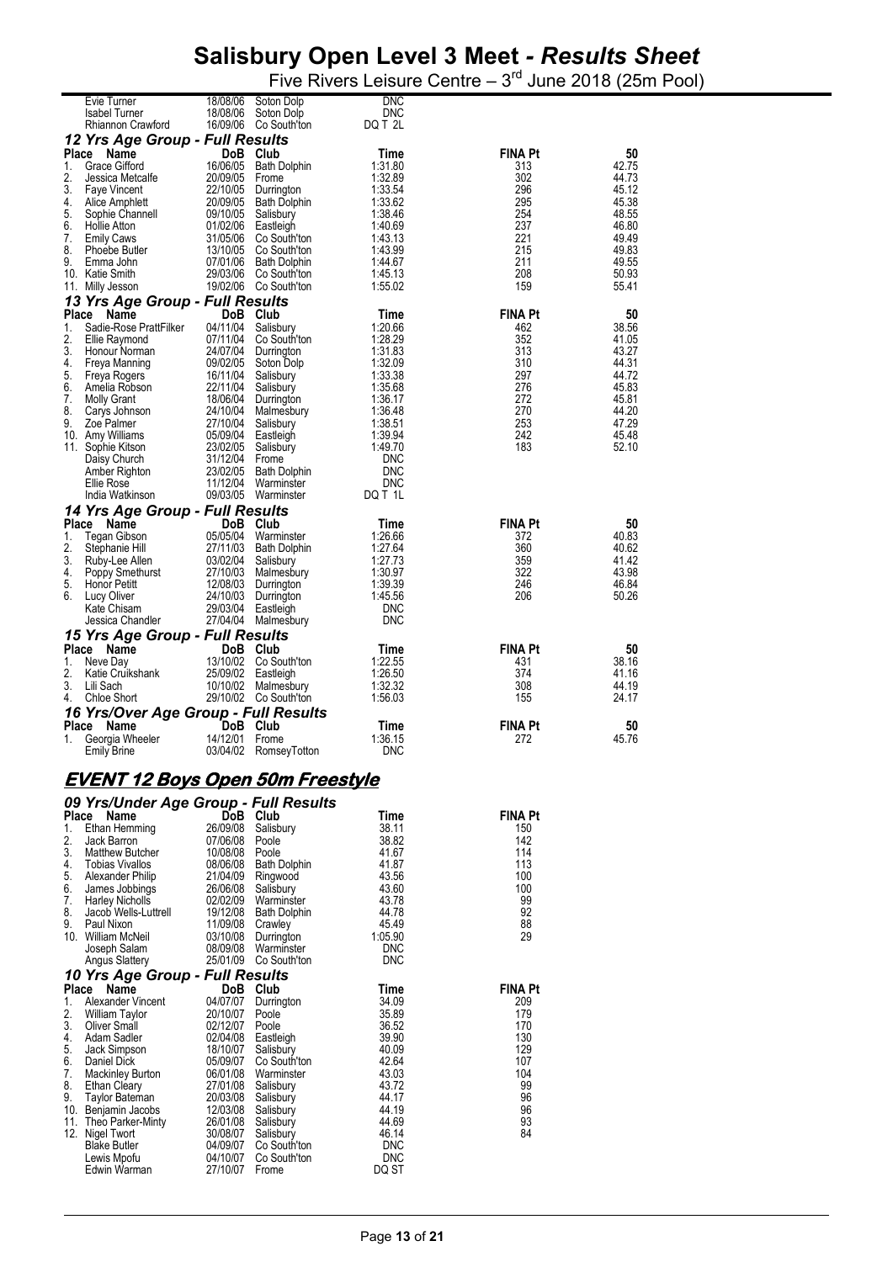Five Rivers Leisure Centre  $-3<sup>rd</sup>$  June 2018 (25m Pool)

|                                                             | Evie Turner<br><b>Isabel Turner</b><br>Rhiannon Crawford                                                                                                                                                                                                                           | 18/08/06<br>18/08/06                                                                                                                                                               | Soton Dolp<br>Soton Dolp<br>16/09/06 Co South'ton                                                                                                                                                                               | <b>DNC</b><br><b>DNC</b><br>DQ T 2L                                                                                                                                  |                                                                                             |                                                                                                       |
|-------------------------------------------------------------|------------------------------------------------------------------------------------------------------------------------------------------------------------------------------------------------------------------------------------------------------------------------------------|------------------------------------------------------------------------------------------------------------------------------------------------------------------------------------|---------------------------------------------------------------------------------------------------------------------------------------------------------------------------------------------------------------------------------|----------------------------------------------------------------------------------------------------------------------------------------------------------------------|---------------------------------------------------------------------------------------------|-------------------------------------------------------------------------------------------------------|
|                                                             | 12 Yrs Age Group - Full Results                                                                                                                                                                                                                                                    |                                                                                                                                                                                    |                                                                                                                                                                                                                                 |                                                                                                                                                                      |                                                                                             |                                                                                                       |
| Place<br>1.<br>2.<br>3.<br>4.<br>5.<br>6.<br>7.<br>8.<br>9. | Name<br><b>Grace Gifford</b><br>Jessica Metcalfe<br><b>Faye Vincent</b><br>Alice Amphlett<br>Sophie Channell<br><b>Hollie Atton</b><br><b>Emily Caws</b><br>Phoebe Butler<br>Emma John<br>10. Katie Smith<br>11. Milly Jesson                                                      | DoB<br>16/06/05<br>20/09/05<br>22/10/05<br>20/09/05<br>09/10/05<br>01/02/06<br>31/05/06<br>13/10/05<br>29/03/06                                                                    | Club<br>Bath Dolphin<br>Frome<br>Durrington<br>Bath Dolphin<br>Salisbury<br>Eastleigh<br>Co South'ton<br>Co South'ton<br>07/01/06 Bath Dolphin<br>Co South'ton<br>19/02/06 Co South'ton                                         | Time<br>1:31.80<br>1:32.89<br>1:33.54<br>1:33.62<br>1:38.46<br>1:40.69<br>1:43.13<br>1:43.99<br>1:44.67<br>1:45.13<br>1:55.02                                        | <b>FINA Pt</b><br>313<br>302<br>296<br>295<br>254<br>237<br>221<br>215<br>211<br>208<br>159 | 50<br>42.75<br>44.73<br>45.12<br>45.38<br>48.55<br>46.80<br>49.49<br>49.83<br>49.55<br>50.93<br>55.41 |
|                                                             | 13 Yrs Age Group - Full Results                                                                                                                                                                                                                                                    |                                                                                                                                                                                    |                                                                                                                                                                                                                                 |                                                                                                                                                                      |                                                                                             |                                                                                                       |
| Place<br>1.<br>2.<br>3.<br>4.<br>5.<br>6.<br>7.<br>8.<br>9. | Name<br>Sadie-Rose PrattFilker<br>Ellie Raymond<br>Honour Norman<br>Freya Manning<br>Freya Rogers<br>Amelia Robson<br><b>Molly Grant</b><br>Carys Johnson<br>Zoe Palmer<br>10. Amy Williams<br>11. Sophie Kitson<br>Daisy Church<br>Amber Righton<br>Ellie Rose<br>India Watkinson | <b>DoB</b><br>04/11/04<br>07/11/04<br>24/07/04<br>09/02/05<br>16/11/04<br>22/11/04<br>18/06/04<br>24/10/04<br>27/10/04<br>05/09/04<br>23/02/05<br>31/12/04<br>23/02/05<br>11/12/04 | Club<br>Salisbury<br>Co South'ton<br>Durrington<br>Soton Dolp<br>Salisbury<br>Salisbury<br>Durrington<br>Malmesbury<br>Salisbury<br>Eastleigh<br>Salisbury<br>Frome<br><b>Bath Dolphin</b><br>Warminster<br>09/03/05 Warminster | Time<br>1:20.66<br>1:28.29<br>1:31.83<br>1:32.09<br>1:33.38<br>1:35.68<br>1:36.17<br>1:36.48<br>1:38.51<br>1:39.94<br>1:49.70<br>DNC<br>DNC<br><b>DNC</b><br>DQ T 1L | <b>FINA Pt</b><br>462<br>352<br>313<br>310<br>297<br>276<br>272<br>270<br>253<br>242<br>183 | 50<br>38.56<br>41.05<br>43.27<br>44.31<br>44.72<br>45.83<br>45.81<br>44.20<br>47.29<br>45.48<br>52.10 |
|                                                             | 14 Yrs Age Group - Full Results                                                                                                                                                                                                                                                    |                                                                                                                                                                                    |                                                                                                                                                                                                                                 |                                                                                                                                                                      |                                                                                             |                                                                                                       |
| <b>Place</b><br>1.<br>2.<br>3.<br>4.<br>5.<br>6.            | Name<br>Tegan Gibson<br>Stephanie Hill<br>Ruby-Lee Allen<br>Poppy Smethurst<br>Honor Petitt<br>Lucy Oliver<br>Kate Chisam<br>Jessica Chandler                                                                                                                                      | DoB.<br>27/11/03<br>12/08/03<br>24/10/03                                                                                                                                           | Club<br>05/05/04 Warminster<br>Bath Dolphin<br>03/02/04 Salisbury<br>27/10/03 Malmesbury<br>Durrington<br>Durrington<br>29/03/04 Eastleigh<br>27/04/04 Malmesbury                                                               | Time<br>1:26.66<br>1:27.64<br>1:27.73<br>1:30.97<br>1:39.39<br>1:45.56<br>DNC<br>DNC                                                                                 | <b>FINA Pt</b><br>372<br>360<br>359<br>322<br>246<br>206                                    | 50<br>40.83<br>40.62<br>41.42<br>43.98<br>46.84<br>50.26                                              |
|                                                             | 15 Yrs Age Group - Full Results                                                                                                                                                                                                                                                    |                                                                                                                                                                                    |                                                                                                                                                                                                                                 |                                                                                                                                                                      |                                                                                             |                                                                                                       |
| Place<br>1.<br>2.<br>3.<br>4.                               | Name<br>Neve Day<br>Katie Cruikshank<br>Lili Sach<br>Chloe Short                                                                                                                                                                                                                   | 13/10/02<br>25/09/02<br>10/10/02                                                                                                                                                   | DoB Club<br>Co South'ton<br>Eastleigh<br>Malmesbury<br>29/10/02 Co South'ton                                                                                                                                                    | Time<br>1:22.55<br>1:26.50<br>1:32.32<br>1:56.03                                                                                                                     | <b>FINA Pt</b><br>431<br>374<br>308<br>155                                                  | 50<br>38.16<br>41.16<br>44.19<br>24.17                                                                |
| <b>Place</b>                                                | 16 Yrs/Over Age Group - Full Results<br>Name                                                                                                                                                                                                                                       |                                                                                                                                                                                    | DoB Club                                                                                                                                                                                                                        | Time                                                                                                                                                                 | <b>FINA Pt</b>                                                                              | 50                                                                                                    |
| 1.                                                          | Georgia Wheeler<br>Emily Brine                                                                                                                                                                                                                                                     | 14/12/01<br>03/04/02                                                                                                                                                               | Frome<br>RomseyTotton                                                                                                                                                                                                           | 1:36.15<br>DNC                                                                                                                                                       | 272                                                                                         | 45.76                                                                                                 |

#### **EVENT 12 Boys Open 50m Freestyle**

| <b>Place</b><br>1.<br>2.<br>3.<br>4.<br>5.<br>6.<br>7.<br>8.<br>9.<br>10.               | 09 Yrs/Under Age Group - Full Results<br>Name<br>Ethan Hemming<br>Jack Barron<br><b>Matthew Butcher</b><br><b>Tobias Vivallos</b><br>Alexander Philip<br>James Jobbings<br>Harley Nicholls<br>Jacob Wells-Luttrell<br>Paul Nixon<br>William McNeil<br>Joseph Salam<br>Angus Slattery                                          | DoB <b>D</b><br>26/09/08<br>07/06/08<br>10/08/08<br>08/06/08<br>21/04/09<br>26/06/08<br>02/02/09<br>19/12/08<br>11/09/08<br>03/10/08<br>08/09/08<br>25/01/09                            | Club<br>Salisbury<br>Poole<br>Poole<br>Bath Dolphin<br>Ringwood<br>Salisbury<br>Warminster<br>Bath Dolphin<br>Crawley<br>Durrington<br>Warminster<br>Co South'ton                                      | Time<br>38.11<br>38.82<br>41.67<br>41.87<br>43.56<br>43.60<br>43.78<br>44.78<br>45.49<br>1:05.90<br><b>DNC</b><br><b>DNC</b>                          | <b>FINA Pt</b><br>150<br>142<br>114<br>113<br>100<br>100<br>99<br>92<br>88<br>29              |
|-----------------------------------------------------------------------------------------|-------------------------------------------------------------------------------------------------------------------------------------------------------------------------------------------------------------------------------------------------------------------------------------------------------------------------------|-----------------------------------------------------------------------------------------------------------------------------------------------------------------------------------------|--------------------------------------------------------------------------------------------------------------------------------------------------------------------------------------------------------|-------------------------------------------------------------------------------------------------------------------------------------------------------|-----------------------------------------------------------------------------------------------|
| <b>Place</b><br>1.<br>2.<br>3.<br>4.<br>5.<br>6.<br>7.<br>8.<br>9.<br>10.<br>11.<br>12. | 10 Yrs Age Group - Full Results<br>Name<br>Alexander Vincent<br>William Taylor<br>Oliver Small<br>Adam Sadler<br>Jack Simpson<br>Daniel Dick<br><b>Mackinley Burton</b><br>Ethan Cleary<br><b>Taylor Bateman</b><br>Benjamin Jacobs<br>Theo Parker-Minty<br>Nigel Twort<br><b>Blake Butler</b><br>Lewis Mpofu<br>Edwin Warman | DoB<br>04/07/07<br>20/10/07<br>02/12/07<br>02/04/08<br>18/10/07<br>05/09/07<br>06/01/08<br>27/01/08<br>20/03/08<br>12/03/08<br>26/01/08<br>30/08/07<br>04/09/07<br>04/10/07<br>27/10/07 | Club<br>Durrington<br>Poole<br>Poole<br>Eastleigh<br>Salisbury<br>Co South'ton<br>Warminster<br>Salisbury<br>Salisbury<br>Salisbury<br>Salisbury<br>Salisbury<br>Co South'ton<br>Co South'ton<br>Frome | Time<br>34.09<br>35.89<br>36.52<br>39.90<br>40.09<br>42.64<br>43.03<br>43.72<br>44.17<br>44.19<br>44.69<br>46.14<br><b>DNC</b><br><b>DNC</b><br>DQ ST | <b>FINA Pt</b><br>209<br>179<br>170<br>130<br>129<br>107<br>104<br>99<br>96<br>96<br>93<br>84 |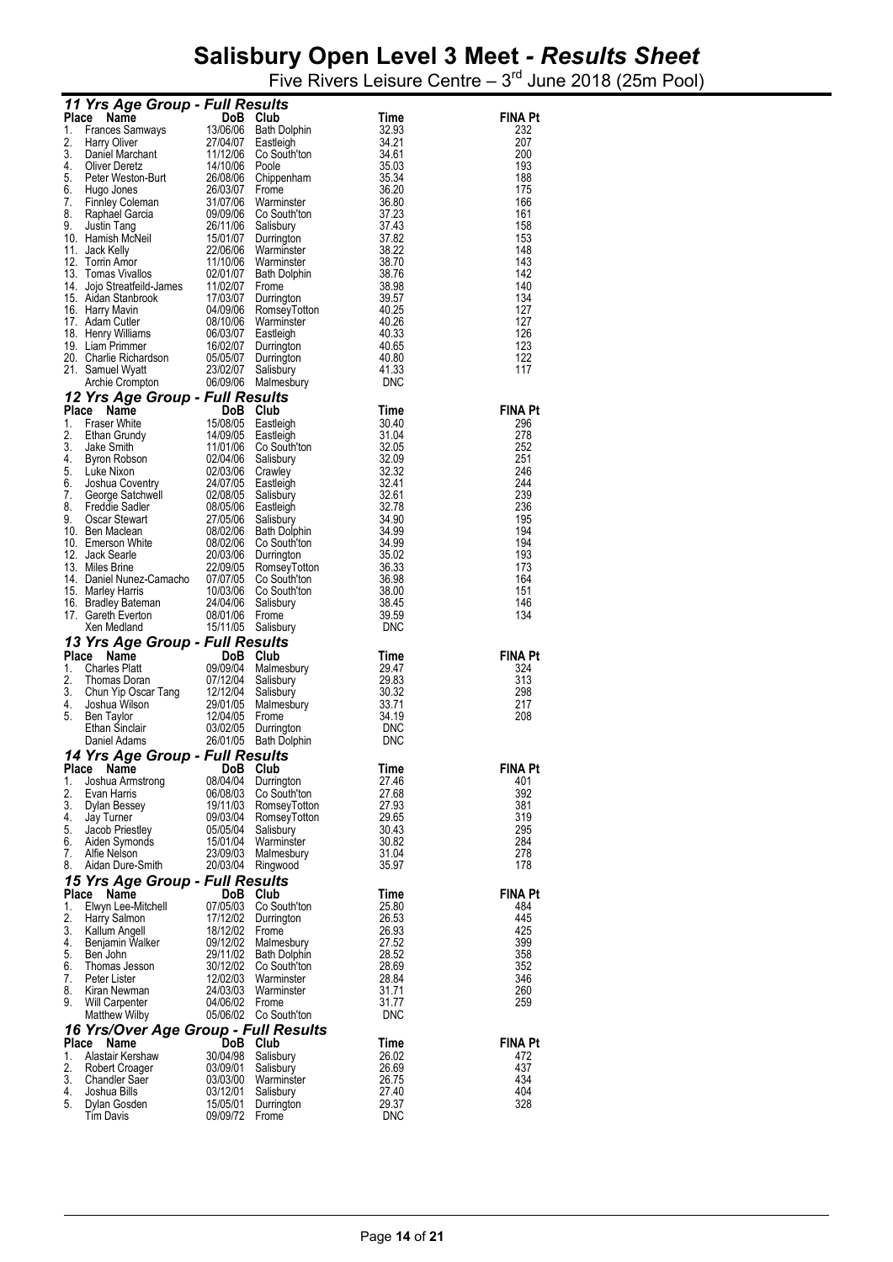|              | 11 Yrs Age Group - Full Results                                                                                                                                                                                                                                    |                                      |                                              |                          |                       |
|--------------|--------------------------------------------------------------------------------------------------------------------------------------------------------------------------------------------------------------------------------------------------------------------|--------------------------------------|----------------------------------------------|--------------------------|-----------------------|
| Place        | Name                                                                                                                                                                                                                                                               | DoB Club                             |                                              | Time                     | <b>FINA Pt</b>        |
| 1.           | Frances Samways<br>Harry Oliver                                                                                                                                                                                                                                    |                                      | 13/06/06 Bath Dolphin                        | 32.93                    | 232                   |
| 2.<br>3.     | Harry Oliver                                                                                                                                                                                                                                                       | 27/04/07<br>11/12/06                 | Eastleigh<br>Co South'ton                    | 34.21<br>34.61           | 207<br>200            |
| 4.           | Daniel Marchant<br>Oliver Deretz<br><b>Oliver Deretz</b>                                                                                                                                                                                                           | 14/10/06                             | Poole                                        | 35.03                    | 193                   |
| 5.           | Peter Weston-Burt                                                                                                                                                                                                                                                  |                                      | 26/08/06 Chippenham                          | 35.34                    | 188                   |
|              | France Color:<br>The Color:<br>The Color:<br>The Color:<br>The Color:<br>The Color:<br>The Color:<br>The Color:<br>The Color:<br>The Color:<br>The Color:<br>The Color:<br>The Color:<br>The Color:<br>The Color:<br>The Color:<br>The Color:<br>The Color:<br>The | 26/03/07                             | Frome                                        | 36.20                    | 175                   |
|              |                                                                                                                                                                                                                                                                    | 31/07/06                             | Warminster<br>09/09/06 Co South'ton          | 36.80<br>37.23           | 166<br>161            |
|              |                                                                                                                                                                                                                                                                    | 26/11/06                             | Salisbury                                    | 37.43                    | 158                   |
|              |                                                                                                                                                                                                                                                                    | 15/01/07                             | Durrington                                   | 37.82                    | 153                   |
|              |                                                                                                                                                                                                                                                                    |                                      | 22/06/06 Warminster<br>11/10/06 Warminster   | 38.22<br>38.70           | 148<br>143            |
|              |                                                                                                                                                                                                                                                                    | 02/01/07                             | Bath Dolphin                                 | 38.76                    | 142                   |
|              |                                                                                                                                                                                                                                                                    | 11/02/07                             | Frome                                        | 38.98                    | 140                   |
|              |                                                                                                                                                                                                                                                                    | 17/03/07                             | Durrington                                   | 39.57                    | 134                   |
|              |                                                                                                                                                                                                                                                                    |                                      | 04/09/06 RomseyTotton<br>08/10/06 Warminster | 40.25<br>40.26           | 127<br>127            |
|              | 18. Henry Williams                                                                                                                                                                                                                                                 | 06/03/07                             | Eastleigh                                    | 40.33                    | 126                   |
|              | 19. Liam Primmer                                                                                                                                                                                                                                                   |                                      | 16/02/07 Durrington                          | 40.65                    | 123                   |
|              | 20. Charlie Richardson<br>21. Samuel Wuett<br>21. Samuel Wyatt                                                                                                                                                                                                     | 05/05/07<br>23/02/07                 | Durrington<br>Salisbury                      | 40.80<br>41.33           | 122<br>117            |
|              | Archie Crompton                                                                                                                                                                                                                                                    | 06/09/06                             | Malmesbury                                   | <b>DNC</b>               |                       |
|              | 12 Yrs Age Group - Full Results                                                                                                                                                                                                                                    |                                      |                                              |                          |                       |
|              | Place<br>Name                                                                                                                                                                                                                                                      | $\overline{D}$ oB $\overline{C}$ lub |                                              | <b>Time</b>              | <b>FINA Pt</b>        |
| 1.           | <b>Fraser White</b>                                                                                                                                                                                                                                                |                                      | Eastleigh                                    | 30.40                    | 296                   |
| 2.<br>3.     | Ethan Grundy<br>Jake Smith                                                                                                                                                                                                                                         | 14/09/05 Eastleigh                   | 11/01/06 Co South'ton                        | 31.04<br>32.05           | 278<br>252            |
| 4.           | Byron Robson                                                                                                                                                                                                                                                       | 02/04/06                             | Salisbury                                    | 32.09                    | 251                   |
| 5.           | Luke Nixon                                                                                                                                                                                                                                                         | 02/03/06                             | Crawley                                      | 32.32                    | 246                   |
| 6.           | Joshua Coventry                                                                                                                                                                                                                                                    | 24/07/05 Eastleigh                   |                                              | 32.41                    | 244                   |
| 7.<br>8.     | George Satchwell<br>Freddie Sadler                                                                                                                                                                                                                                 | 02/08/05<br>08/05/06                 | Salisbury<br>Eastleigh                       | 32.61<br>32.78           | 239<br>236            |
| 9.           | Oscar Stewart                                                                                                                                                                                                                                                      | 27/05/06                             | Salisbury                                    | 34.90                    | 195                   |
|              | 10. Ben Maclean                                                                                                                                                                                                                                                    | 08/02/06                             | <b>Bath Dolphin</b>                          | 34.99                    | 194                   |
|              | 10. Emerson White<br>12. Jack Searle<br>13. Miles Brine                                                                                                                                                                                                            |                                      | 08/02/06 Co South'ton<br>20/03/06 Durrington | 34.99<br>35.02           | 194<br>193            |
|              | 13. Miles Brine                                                                                                                                                                                                                                                    | 22/09/05                             | RomseyTotton                                 | 36.33                    | 173                   |
|              | 14. Daniel Nunez-Camacho                                                                                                                                                                                                                                           |                                      | 07/07/05 Co South'ton                        | 36.98                    | 164                   |
|              | 15. Marley Harris                                                                                                                                                                                                                                                  |                                      | 10/03/06 Co South'ton                        | 38.00                    | 151                   |
|              | 16. Bradley Bateman<br>17. Gareth Everton                                                                                                                                                                                                                          | 24/04/06<br>08/01/06                 | Salisbury<br>Frome                           | 38.45<br>39.59           | 146<br>134            |
|              | Xen Medland                                                                                                                                                                                                                                                        | 15/11/05 Salisbury                   |                                              | <b>DNC</b>               |                       |
|              | 13 Yrs Age Group - Full Results                                                                                                                                                                                                                                    |                                      |                                              |                          |                       |
|              | Place<br>Name                                                                                                                                                                                                                                                      | DoB Club                             |                                              | Time                     | <b>FINA Pt</b>        |
| 1.<br>2.     | <b>Charles Platt</b><br>Thomas Doran                                                                                                                                                                                                                               | 09/09/04<br>07/12/04 Salisbury       | Malmesbury                                   | 29.47<br>29.83           | 324<br>313            |
| 3.           |                                                                                                                                                                                                                                                                    | 12/12/04 Salisbury                   |                                              | 30.32                    | 298                   |
| 4.           | Chun Yip Oscar Tang<br>Joshua Wilson<br>Ben Tavlor                                                                                                                                                                                                                 | 29/01/05                             | Malmesbury                                   | 33.71                    | 217                   |
| 5.           | Ben Taylor                                                                                                                                                                                                                                                         | 12/04/05                             | Frome                                        | 34.19                    | 208                   |
|              | Ethan Sinclair<br>Daniel Adams                                                                                                                                                                                                                                     | 03/02/05                             | Durrington<br>26/01/05 Bath Dolphin          | <b>DNC</b><br><b>DNC</b> |                       |
|              | 14 Yrs Age Group - Full Results                                                                                                                                                                                                                                    |                                      |                                              |                          |                       |
| Place        | Name                                                                                                                                                                                                                                                               | DoB                                  | Club                                         | Time                     | FINA Pt               |
| 1.           | Joshua Armstrong                                                                                                                                                                                                                                                   | 08/04/04                             | Durrington                                   | 27.46                    | 401                   |
| 2.<br>3.     | Evan Harris<br>Dylan Bessey                                                                                                                                                                                                                                        | 06/08/03<br>19/11/03                 | Co South'ton<br>RomseyTotton                 | 27.68<br>27.93           | 392<br>381            |
| 4.           | Jay Turner                                                                                                                                                                                                                                                         | 09/03/04                             | RomseyTotton                                 | 29.65                    | 319                   |
| 5.           | Jacob Priestley                                                                                                                                                                                                                                                    | 05/05/04                             | Salisbury                                    | 30.43                    | 295                   |
| 6.           | Aiden Symonds                                                                                                                                                                                                                                                      | 15/01/04<br>23/09/03                 | Warminster                                   | 30.82                    | 284                   |
| 7.<br>8.     | Alfie Nelson<br>Aidan Dure-Smith                                                                                                                                                                                                                                   | 20/03/04                             | Malmesbury<br>Ringwood                       | 31.04<br>35.97           | 278<br>178            |
|              | 15 Yrs Age Group - Full Results                                                                                                                                                                                                                                    |                                      |                                              |                          |                       |
| <b>Place</b> | Name                                                                                                                                                                                                                                                               | DoB Club                             |                                              | Time                     | <b>FINA Pt</b>        |
| 1.           | Elwyn Lee-Mitchell                                                                                                                                                                                                                                                 | 07/05/03                             | Co South'ton                                 | 25.80                    | 484                   |
| 2.<br>3.     | Harry Salmon<br>Kallum Angell                                                                                                                                                                                                                                      | 17/12/02<br>18/12/02                 | Durrington<br>Frome                          | 26.53<br>26.93           | 445<br>425            |
| 4.           | Benjamin Walker                                                                                                                                                                                                                                                    | 09/12/02                             | Malmesbury                                   | 27.52                    | 399                   |
| 5.           | Ben John                                                                                                                                                                                                                                                           | 29/11/02                             | <b>Bath Dolphin</b>                          | 28.52                    | 358                   |
| 6.           | Thomas Jesson                                                                                                                                                                                                                                                      | 30/12/02                             | Co South'ton                                 | 28.69                    | 352                   |
| 7.<br>8.     | Peter Lister<br>Kiran Newman                                                                                                                                                                                                                                       | 12/02/03<br>24/03/03                 | Warminster<br>Warminster                     | 28.84<br>31.71           | 346<br>260            |
| 9.           | Will Carpenter                                                                                                                                                                                                                                                     | 04/06/02                             | Frome                                        | 31.77                    | 259                   |
|              | <b>Matthew Wilby</b>                                                                                                                                                                                                                                               |                                      | 05/06/02 Co South'ton                        | <b>DNC</b>               |                       |
|              | 16 Yrs/Over Age Group - Full Results                                                                                                                                                                                                                               |                                      |                                              |                          |                       |
| Place        | Name<br>Alastair Kershaw                                                                                                                                                                                                                                           | DoB<br>30/04/98                      | Club                                         | Time                     | <b>FINA Pt</b><br>472 |
| 1.<br>2.     | Robert Croager                                                                                                                                                                                                                                                     | 03/09/01                             | Salisbury<br>Salisbury                       | 26.02<br>26.69           | 437                   |
| 3.           | Chandler Saer                                                                                                                                                                                                                                                      | 03/03/00                             | Warminster                                   | 26.75                    | 434                   |
| 4.<br>5.     | Joshua Bills                                                                                                                                                                                                                                                       | 03/12/01                             | Salisbury                                    | 27.40                    | 404                   |
|              | Dylan Gosden<br><b>Tim Davis</b>                                                                                                                                                                                                                                   | 15/05/01<br>09/09/72                 | Durrington<br>Frome                          | 29.37<br><b>DNC</b>      | 328                   |
|              |                                                                                                                                                                                                                                                                    |                                      |                                              |                          |                       |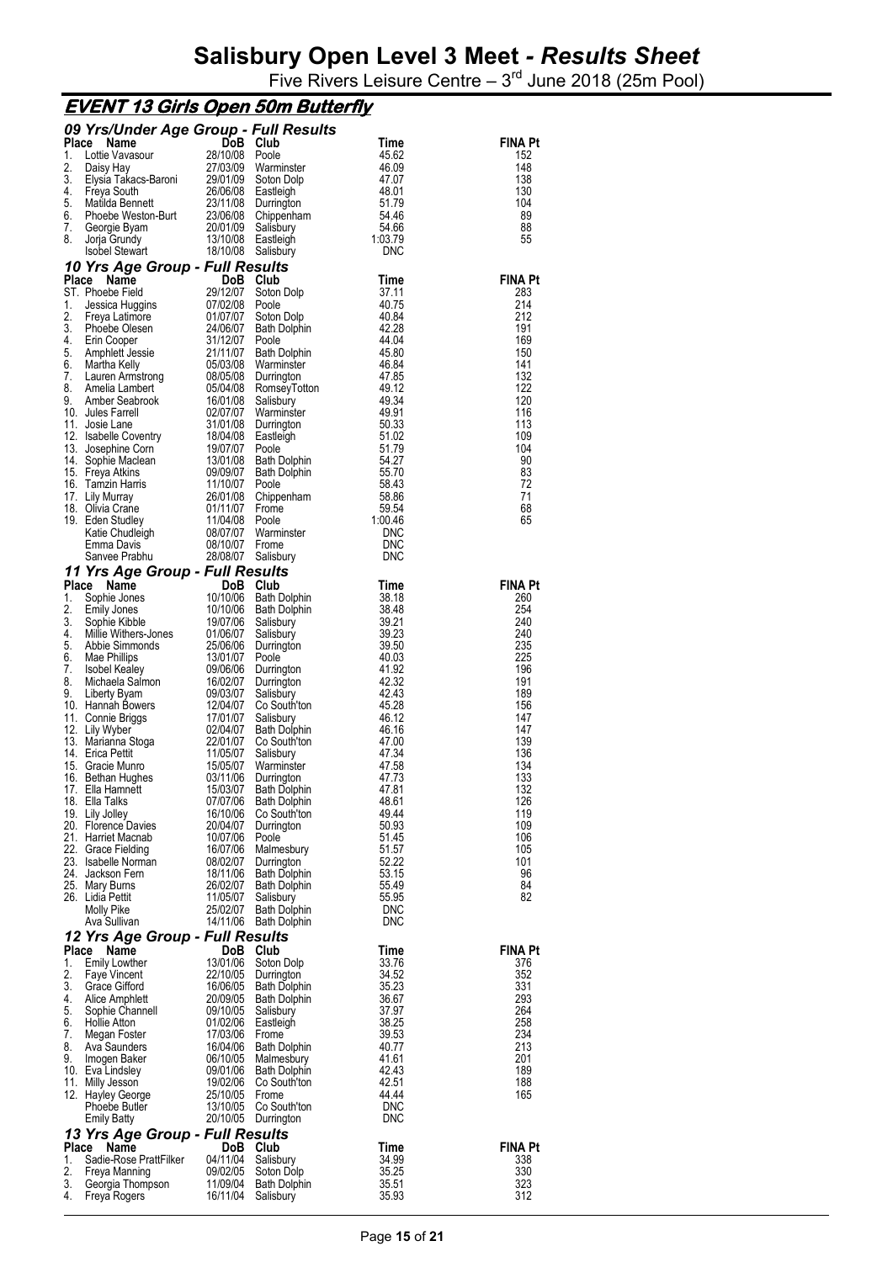|              | <u>EVENT 13 Girls Open 50m Butterfly</u>  |                      |                                     |                          |                |
|--------------|-------------------------------------------|----------------------|-------------------------------------|--------------------------|----------------|
|              | 09 Yrs/Under Age Group - Full Results     |                      |                                     |                          |                |
| Place        | Name                                      | DoB                  | Club                                | Time                     | <b>FINA Pt</b> |
| 1.           | Lottie Vavasour                           | 28/10/08             | Poole                               | 45.62                    | 152            |
| 2.<br>3.     | Daisy Hay<br>Elysia Takacs-Baroni         | 27/03/09<br>29/01/09 | Warminster<br>Soton Dolp            | 46.09<br>47.07           | 148<br>138     |
| 4.           | Freya South                               | 26/06/08             | Eastleigh                           | 48.01                    | 130            |
| 5.           | Matilda Bennett                           | 23/11/08             | Durrington                          | 51.79                    | 104            |
| 6.           | Phoebe Weston-Burt                        | 23/06/08             | Chippenham                          | 54.46                    | 89             |
| 7.           | Georgie Byam                              | 20/01/09             | Salisbury                           | 54.66                    | 88             |
| 8.           | Jorja Grundy<br><b>Isobel Stewart</b>     | 13/10/08<br>18/10/08 | Eastleigh<br>Salisbury              | 1:03.79<br><b>DNC</b>    | 55             |
|              | 10 Yrs Age Group - Full Results           |                      |                                     |                          |                |
| <b>Place</b> | Name                                      | DoB.                 | Club                                | Time                     | <b>FINA Pt</b> |
|              | ST. Phoebe Field                          | 29/12/07             | Soton Dolp                          | 37.11                    | 283            |
| 1.           | Jessica Huggins                           | 07/02/08             | Poole                               | 40.75                    | 214            |
| 2.           | Freya Latimore                            | 01/07/07             | Soton Dolp                          | 40.84                    | 212            |
| 3.<br>4.     | Phoebe Olesen<br>Erin Cooper              | 24/06/07<br>31/12/07 | Bath Dolphin<br>Poole               | 42.28<br>44.04           | 191<br>169     |
| 5.           | Amphlett Jessie                           | 21/11/07             | Bath Dolphin                        | 45.80                    | 150            |
| 6.           | Martha Kelly                              | 05/03/08             | Warminster                          | 46.84                    | 141            |
| 7.           | Lauren Armstrong                          | 08/05/08             | Durrington                          | 47.85                    | 132            |
| 8.<br>9.     | Amelia Lambert                            | 05/04/08             | RomseyTotton                        | 49.12<br>49.34           | 122            |
|              | Amber Seabrook<br>10. Jules Farrell       | 16/01/08<br>02/07/07 | Salisbury<br>Warminster             | 49.91                    | 120<br>116     |
| 11.          | Josie Lane                                | 31/01/08             | Durrington                          | 50.33                    | 113            |
|              | 12. Isabelle Coventry                     | 18/04/08             | Eastleigh                           | 51.02                    | 109            |
| 13.          | Josephine Corn                            | 19/07/07             | Poole                               | 51.79                    | 104            |
| 14.          | Sophie Maclean<br>15. Freya Atkins        | 13/01/08<br>09/09/07 | Bath Dolphin                        | 54.27<br>55.70           | 90<br>83       |
| 16.          | Tamzin Harris                             | 11/10/07             | <b>Bath Dolphin</b><br>Poole        | 58.43                    | 72             |
|              | 17. Lily Murray                           | 26/01/08             | Chippenham                          | 58.86                    | 71             |
|              | 18. Olivia Crane                          | 01/11/07             | Frome                               | 59.54                    | 68             |
|              | 19. Eden Studley                          | 11/04/08             | Poole                               | 1:00.46                  | 65             |
|              | Katie Chudleigh<br>Emma Davis             | 08/07/07<br>08/10/07 | Warminster<br>Frome                 | <b>DNC</b><br><b>DNC</b> |                |
|              | Sanvee Prabhu                             | 28/08/07             | Salisbury                           | <b>DNC</b>               |                |
|              | 11 Yrs Age Group - Full Results           |                      |                                     |                          |                |
| Place        | Name                                      | DoB.                 | Club                                | Time                     | FINA Pt        |
| 1.           | Sophie Jones                              | 10/10/06             | <b>Bath Dolphin</b>                 | 38.18                    | 260            |
| 2.           | <b>Emily Jones</b>                        | 10/10/06             | Bath Dolphin                        | 38.48                    | 254            |
| 3.<br>4.     | Sophie Kibble<br>Millie Withers-Jones     | 19/07/06<br>01/06/07 | Salisbury                           | 39.21<br>39.23           | 240<br>240     |
| 5.           | Abbie Simmonds                            | 25/06/06             | Salisbury<br>Durrington             | 39.50                    | 235            |
| 6.           | Mae Phillips                              | 13/01/07             | Poole                               | 40.03                    | 225            |
| 7.           | <b>Isobel Kealey</b>                      | 09/06/06             | Durrington                          | 41.92                    | 196            |
| 8.           | Michaela Salmon                           | 16/02/07             | Durrington                          | 42.32                    | 191            |
| 9.           | Liberty Byam<br>10. Hannah Bowers         | 09/03/07<br>12/04/07 | Salisbury<br>Co South'ton           | 42.43<br>45.28           | 189<br>156     |
|              | 11. Connie Briggs                         | 17/01/07             | Salisbury                           | 46.12                    | 147            |
| 12.          | Lily Wyber                                | 02/04/07             | Bath Dolphin                        | 46.16                    | 147            |
|              | 13. Marianna Stoga                        | 22/01/07             | Co South'ton                        | 47.00                    | 139            |
|              | 14. Erica Pettit<br>15. Gracie Munro      | 11/05/07<br>15/05/07 | Salisbury<br>Warminster             | 47.34<br>47.58           | 136<br>134     |
|              | 16. Bethan Hughes                         | 03/11/06             | Durrington                          | 47.73                    | 133            |
|              | 17. Ella Hamnett                          | 15/03/07             | <b>Bath Dolphin</b>                 | 47.81                    | 132            |
|              | 18. Ella Talks                            | 07/07/06             | <b>Bath Dolphin</b>                 | 48.61                    | 126            |
|              | 19. Lily Jolley                           | 16/10/06             | Co South'ton                        | 49.44                    | 119            |
|              | 20. Florence Davies<br>21. Harriet Macnab | 20/04/07<br>10/07/06 | Durrington<br>Poole                 | 50.93<br>51.45           | 109<br>106     |
|              | 22. Grace Fielding                        | 16/07/06             | Malmesbury                          | 51.57                    | 105            |
|              | 23. Isabelle Norman                       | 08/02/07             | Durrington                          | 52.22                    | 101            |
|              | 24. Jackson Fern                          | 18/11/06             | <b>Bath Dolphin</b>                 | 53.15                    | 96             |
|              | 25. Mary Burns<br>26. Lidia Pettit        | 26/02/07<br>11/05/07 | <b>Bath Dolphin</b><br>Salisbury    | 55.49<br>55.95           | 84<br>82       |
|              | <b>Molly Pike</b>                         | 25/02/07             | <b>Bath Dolphin</b>                 | <b>DNC</b>               |                |
|              | Ava Sullivan                              | 14/11/06             | <b>Bath Dolphin</b>                 | <b>DNC</b>               |                |
|              | 12 Yrs Age Group - Full Results           |                      |                                     |                          |                |
| Place        | Name                                      | DoB Club             |                                     | Time                     | <b>FINA Pt</b> |
| 1.           | <b>Emily Lowther</b>                      | 13/01/06             | Soton Dolp                          | 33.76                    | 376            |
| 2.<br>3.     | Faye Vincent<br>Grace Gifford             | 22/10/05<br>16/06/05 | Durrington                          | 34.52<br>35.23           | 352<br>331     |
| 4.           | Alice Amphlett                            | 20/09/05             | Bath Dolphin<br><b>Bath Dolphin</b> | 36.67                    | 293            |
| 5.           | Sophie Channell                           | 09/10/05             | Salisbury                           | 37.97                    | 264            |
| 6.           | <b>Hollie Atton</b>                       | 01/02/06             | Eastleigh                           | 38.25                    | 258            |
| 7.           | Megan Foster                              | 17/03/06             | Frome                               | 39.53                    | 234            |
| 8.<br>9.     | Ava Saunders<br>Imogen Baker              | 16/04/06<br>06/10/05 | <b>Bath Dolphin</b><br>Malmesbury   | 40.77<br>41.61           | 213<br>201     |
|              | 10. Eva Lindsley                          | 09/01/06             | <b>Bath Dolphin</b>                 | 42.43                    | 189            |
|              | 11. Milly Jesson                          | 19/02/06             | Co South'ton                        | 42.51                    | 188            |
|              | 12. Hayley George                         | 25/10/05             | Frome                               | 44.44                    | 165            |
|              | Phoebe Butler                             | 13/10/05             | Co South'ton                        | <b>DNC</b><br><b>DNC</b> |                |
|              | <b>Emily Batty</b>                        | 20/10/05             | Durrington                          |                          |                |
| Place        | 13 Yrs Age Group - Full Results<br>Name   | DoB                  | Club                                | Time                     | <b>FINA Pt</b> |
| 1.           | Sadie-Rose PrattFilker                    | 04/11/04             | Salisbury                           | 34.99                    | 338            |
| 2.           | Freya Manning                             | 09/02/05             | Soton Dolp                          | 35.25                    | 330            |
| 3.           | Georgia Thompson                          | 11/09/04             | Bath Dolphin                        | 35.51                    | 323            |
| 4.           | Freya Rogers                              | 16/11/04             | Salisbury                           | 35.93                    | 312            |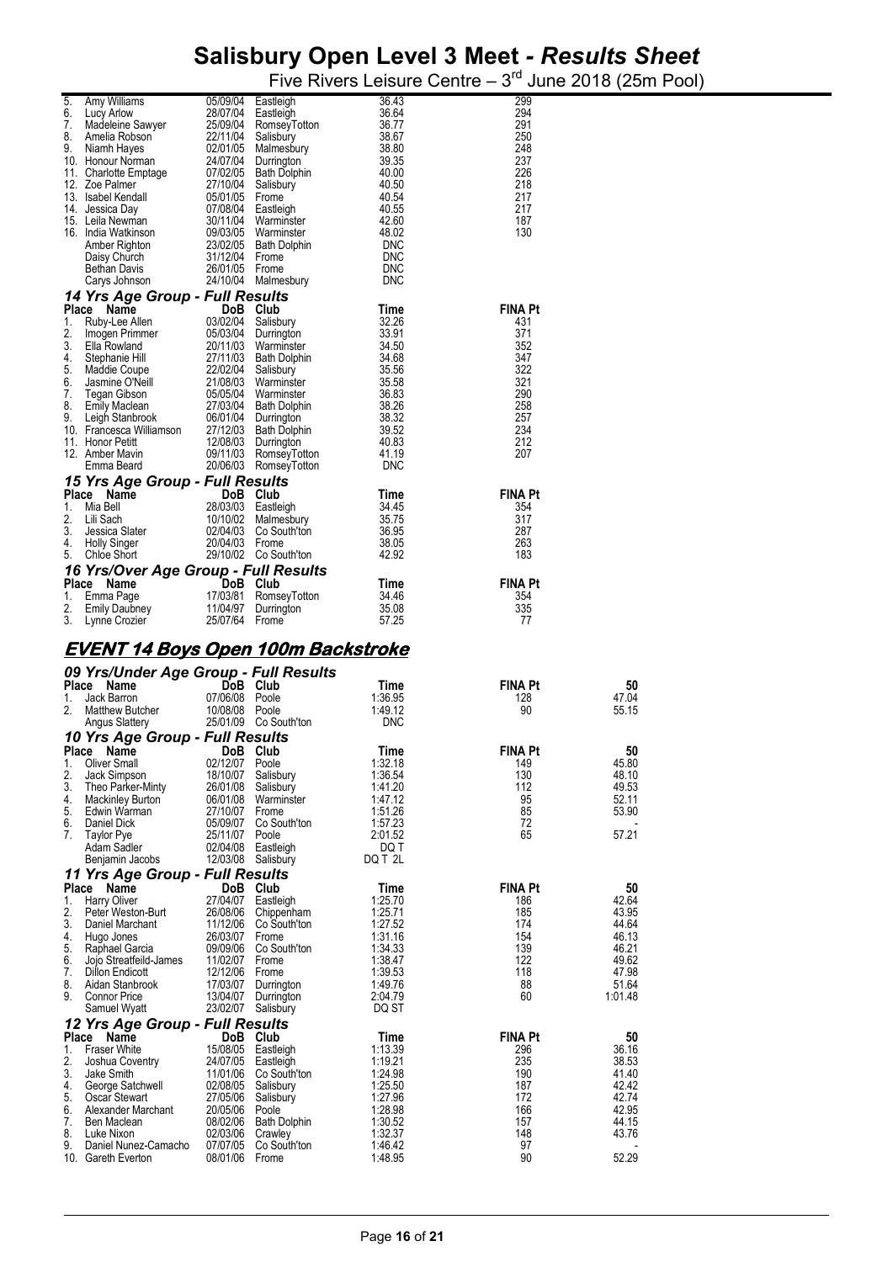| 5.       | Amy Williams                                  | 05/09/04 Eastleigh         |                                                | 36.43               | 299                   |                |
|----------|-----------------------------------------------|----------------------------|------------------------------------------------|---------------------|-----------------------|----------------|
| 6.       | Lucy Arlow                                    | 28/07/04 Eastleigh         |                                                | 36.64               | 294                   |                |
| 7.       | Madeleine Sawyer                              |                            | 25/09/04 RomseyTotton                          | 36.77               | 291                   |                |
| 8.       | Amelia Robson                                 | 22/11/04 Salisbury         |                                                | 38.67               | 250                   |                |
| 9.       | Niamh Hayes<br>10. Honour Norman              |                            | 02/01/05 Malmesbury<br>24/07/04 Durrington     | 38.80<br>39.35      | 248<br>237            |                |
|          | 11. Charlotte Emptage                         |                            | 07/02/05 Bath Dolphin                          | 40.00               | 226                   |                |
|          | 12. Zoe Palmer                                | 27/10/04 Salisbury         |                                                | 40.50               | 218                   |                |
|          | 13. Isabel Kendall                            | 05/01/05 Frome             |                                                | 40.54               | 217                   |                |
|          | 14. Jessica Day                               | 07/08/04 Eastleigh         |                                                | 40.55               | 217                   |                |
|          | 15. Leila Newman                              |                            | 30/11/04 Warminster                            | 42.60               | 187                   |                |
|          | 16. India Watkinson<br>Amber Righton          |                            | 09/03/05 Warminster<br>23/02/05 Bath Dolphin   | 48.02<br>DNC        | 130                   |                |
|          | Daisy Church                                  | 31/12/04 Frome             |                                                | <b>DNC</b>          |                       |                |
|          | <b>Bethan Davis</b>                           | 26/01/05 Frome             |                                                | <b>DNC</b>          |                       |                |
|          | Carys Johnson                                 |                            | 24/10/04 Malmesbury                            | <b>DNC</b>          |                       |                |
|          | 14 Yrs Age Group - Full Results               |                            |                                                |                     |                       |                |
|          | Place Name                                    | DoB Club                   |                                                | Time                | FINA Pt               |                |
| 1.       | Ruby-Lee Allen                                |                            | 03/02/04 Salisbury                             | 32.26               | 431                   |                |
| 2.       | Imogen Primmer                                |                            | 05/03/04 Durrington                            | 33.91               | 371                   |                |
| 3.       | Ella Rowland                                  |                            | 20/11/03 Warminster                            | 34.50               | 352                   |                |
| 4.<br>5. | Stephanie Hill<br>Maddie Coupe                | 22/02/04 Salisbury         | 27/11/03 Bath Dolphin                          | 34.68<br>35.56      | 347<br>322            |                |
| 6.       | Jasmine O'Neill                               |                            | 21/08/03 Warminster                            | 35.58               | 321                   |                |
| 7.       | Tegan Gibson                                  |                            | 05/05/04 Warminster                            | 36.83               | 290                   |                |
| 8.       | Emily Maclean                                 |                            | 27/03/04 Bath Dolphin                          | 38.26               | 258                   |                |
| 9.       | Leigh Stanbrook                               |                            | 06/01/04 Durrington                            | 38.32               | 257                   |                |
|          | 10. Francesca Williamson                      |                            | 27/12/03 Bath Dolphin                          | 39.52               | 234                   |                |
|          | 11. Honor Petitt                              |                            | 12/08/03 Durrington                            | 40.83               | 212                   |                |
|          | 12. Amber Mavin<br>Emma Beard                 |                            | 09/11/03 RomseyTotton<br>20/06/03 RomseyTotton | 41.19<br><b>DNC</b> | 207                   |                |
|          |                                               |                            |                                                |                     |                       |                |
|          | 15 Yrs Age Group - Full Results<br>Place Name | DoB Club                   |                                                |                     | <b>FINA Pt</b>        |                |
| 1.       | Mia Bell                                      | 28/03/03 Eastleigh         |                                                | Time<br>34.45       | 354                   |                |
| 2.       | Lili Sach                                     |                            | 10/10/02 Malmesbury                            | 35.75               | 317                   |                |
| 3.       | Jessica Slater                                |                            | 02/04/03 Co South'ton                          | 36.95               | 287                   |                |
| 4.       | Holly Singer                                  | 20/04/03 Frome             |                                                | 38.05               | 263                   |                |
| 5.       | Chloe Short                                   |                            | 29/10/02 Co South'ton                          | 42.92               | 183                   |                |
|          | 16 Yrs/Over Age Group - Full Results          |                            |                                                |                     |                       |                |
|          | Place Name                                    | DoB Club                   |                                                | Time                | <b>FINA Pt</b>        |                |
| 1.       | Emma Page                                     |                            | 17/03/81 RomseyTotton                          | 34.46               | 354                   |                |
|          |                                               |                            |                                                |                     |                       |                |
| 2.       | <b>Emily Daubney</b>                          |                            | 11/04/97 Durrington                            | 35.08               | 335                   |                |
| 3.       | Lynne Crozier                                 | 25/07/64 Frome             |                                                | 57.25               | 77                    |                |
|          |                                               |                            |                                                |                     |                       |                |
|          | <u>EVENT 14 Boys Open 100m Backstroke</u>     |                            |                                                |                     |                       |                |
|          |                                               |                            |                                                |                     |                       |                |
|          | 09 Yrs/Under Age Group - Full Results         |                            |                                                |                     |                       |                |
| 1.       | Place Name<br>Jack Barron                     | DoB Club<br>07/06/08 Poole |                                                | Time<br>1:36.95     | <b>FINA Pt</b><br>128 | 50<br>47.04    |
| 2.       | Matthew Butcher                               | 10/08/08 Poole             |                                                | 1:49.12             | 90                    | 55.15          |
|          | Angus Slattery                                |                            | 25/01/09 Co South'ton                          | <b>DNC</b>          |                       |                |
|          |                                               |                            |                                                |                     |                       |                |
|          | 10 Yrs Age Group - Full Results<br>Place Name | DoB Club                   |                                                | Time                | <b>FINA Pt</b>        | 50             |
|          | 1. Oliver Small                               | 02/12/07 Poole             |                                                | 1:32.18             | 149                   | 45.80          |
| 2.       | Jack Simpson                                  | 18/10/07 Salisbury         |                                                | 1:36.54             | 130                   | 48.10          |
| 3.       | Theo Parker-Minty                             | 26/01/08 Salisbury         |                                                | 1:41.20             | 112                   | 49.53          |
| 4.       | Mackinley Burton                              |                            | 06/01/08 Warminster                            | 1:47.12             | 95                    | 52.11          |
| 5.       | Edwin Warman                                  | 27/10/07 Frome             |                                                | 1:51.26             | 85                    | 53.90          |
| 6.<br>7. | Daniel Dick<br>Taylor Pye                     | 25/11/07 Poole             | 05/09/07 Co South'ton                          | 1:57.23<br>2:01.52  | 72<br>65              | 57.21          |
|          | Adam Sadler                                   | 02/04/08 Eastleigh         |                                                | DQ T                |                       |                |
|          | Benjamin Jacobs                               | 12/03/08 Salisbury         |                                                | DQ T 2L             |                       |                |
|          | 11 Yrs Age Group - Full Results               |                            |                                                |                     |                       |                |
|          | Place Name                                    | DoB Club                   |                                                | Time                | <b>FINA Pt</b>        | 50             |
| 1.       | <b>Harry Oliver</b>                           | 27/04/07 Eastleigh         |                                                | 1:25.70             | 186                   | 42.64          |
| 2.       | Peter Weston-Burt                             |                            | 26/08/06 Chippenham                            | 1:25.71             | 185                   | 43.95          |
| 3.       | Daniel Marchant                               |                            | 11/12/06 Co South'ton                          | 1:27.52             | 174                   | 44.64          |
| 4.       | Hugo Jones                                    | 26/03/07 Frome             |                                                | 1:31.16             | 154                   | 46.13          |
| 5.<br>6. | Raphael Garcia<br>Jojo Streatfeild-James      | 11/02/07 Frome             | 09/09/06 Co South'ton                          | 1:34.33<br>1:38.47  | 139<br>122            | 46.21          |
| 7.       | Dillon Endicott                               | 12/12/06 Frome             |                                                | 1:39.53             | 118                   | 49.62<br>47.98 |
|          | Aidan Stanbrook                               |                            | 17/03/07 Durrington                            | 1:49.76             | 88                    | 51.64          |
| 8.<br>9. | Connor Price                                  |                            | 13/04/07 Durrington                            | 2:04.79             | 60                    | 1:01.48        |
|          | Samuel Wyatt                                  | 23/02/07 Salisbury         |                                                | DQ ST               |                       |                |
|          | 12 Yrs Age Group - Full Results               |                            |                                                |                     |                       |                |
|          | Place Name                                    | DoB Club                   |                                                | Time                | <b>FINA Pt</b>        | 50             |
| 1.       | <b>Fraser White</b>                           | 15/08/05 Eastleigh         |                                                | 1:13.39             | 296                   | 36.16          |
| 2.       | Joshua Coventry                               | 24/07/05 Eastleigh         |                                                | 1:19.21             | 235                   | 38.53          |
| 3.<br>4. | Jake Smith<br>George Satchwell                | 02/08/05 Salisbury         | 11/01/06 Co South'ton                          | 1:24.98<br>1:25.50  | 190<br>187            | 41.40<br>42.42 |
| 5.       | Oscar Stewart                                 | 27/05/06 Salisbury         |                                                | 1:27.96             | 172                   | 42.74          |
|          | Alexander Marchant                            | 20/05/06 Poole             |                                                | 1:28.98             | 166                   | 42.95          |
| 6.<br>7. | Ben Maclean                                   |                            | 08/02/06 Bath Dolphin                          | 1:30.52             | 157                   | 44.15          |
|          | Luke Nixon                                    | 02/03/06 Crawley           |                                                | 1:32.37             | 148                   | 43.76          |
| 8.<br>9. | Daniel Nunez-Camacho<br>10. Gareth Everton    | 07/07/05<br>08/01/06 Frome | Co South'ton                                   | 1:46.42<br>1:48.95  | 97<br>90              | 52.29          |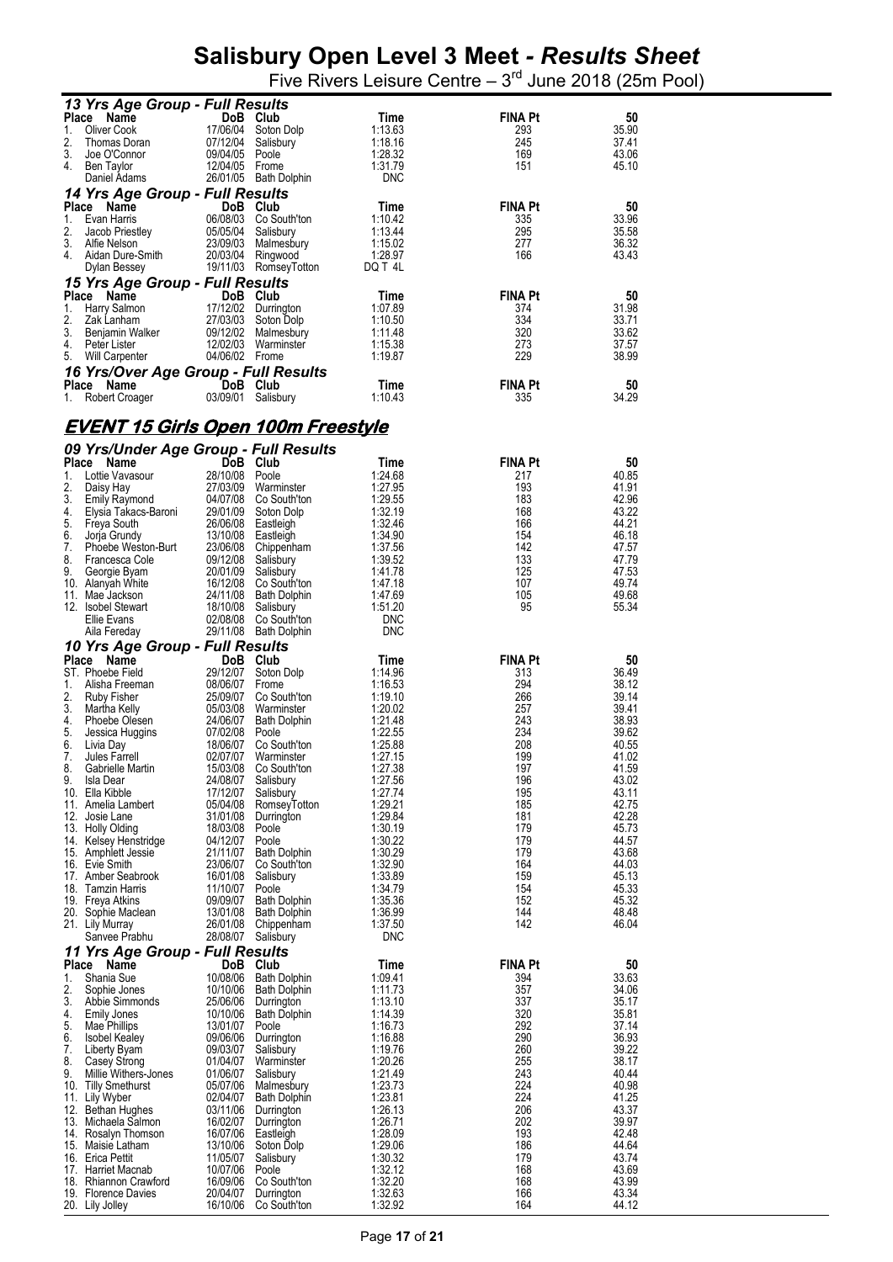|                    | 13 Yrs Age Group - Full Results               |                      |                                            |                       |                       |                |
|--------------------|-----------------------------------------------|----------------------|--------------------------------------------|-----------------------|-----------------------|----------------|
| 1.                 | Place<br>Name<br><b>Oliver Cook</b>           | 17/06/04             | DoB Club<br>Soton Dolp                     | Time<br>1:13.63       | <b>FINA Pt</b><br>293 | 50<br>35.90    |
| 2.                 | Thomas Doran                                  | 07/12/04             | Salisbury                                  | 1:18.16               | 245                   | 37.41          |
| 3.                 | Joe O'Connor                                  | 09/04/05             | Poole                                      | 1:28.32               | 169                   | 43.06          |
| 4.                 | Ben Taylor<br>Daniel Adams                    | 12/04/05             | Frome<br>26/01/05 Bath Dolphin             | 1:31.79<br><b>DNC</b> | 151                   | 45.10          |
|                    | 14 Yrs Age Group - Full Results               |                      |                                            |                       |                       |                |
|                    | Place<br>Name                                 |                      | DoB Club                                   | Time                  | <b>FINA Pt</b>        | 50             |
| 1.<br>2.           | Evan Harris<br>Jacob Priestley                | 06/08/03<br>05/05/04 | Co South'ton<br>Salisbury                  | 1:10.42<br>1:13.44    | 335<br>295            | 33.96<br>35.58 |
| 3.                 | Alfie Nelson                                  | 23/09/03             | Malmesbury                                 | 1:15.02               | 277                   | 36.32          |
| 4.                 | Aidan Dure-Smith                              | 20/03/04             | Ringwood                                   | 1:28.97               | 166                   | 43.43          |
|                    | Dylan Bessey                                  |                      | 19/11/03 RomseyTotton                      | DQ T4L                |                       |                |
|                    | 15 Yrs Age Group - Full Results<br>Place Name |                      | DoB Club                                   | Time                  | <b>FINA Pt</b>        | 50             |
| 1.                 | Harry Salmon                                  |                      | 17/12/02 Durrington                        | 1:07.89               | 374                   | 31.98          |
| 2.<br>3.           | Zak Lanham<br>Benjamin Walker                 | 27/03/03             | Soton Dolp<br>09/12/02 Malmesbury          | 1:10.50<br>1:11.48    | 334<br>320            | 33.71<br>33.62 |
| 4.                 | Peter Lister                                  | 12/02/03             | Warminster                                 | 1:15.38               | 273                   | 37.57          |
| 5.                 | <b>Will Carpenter</b>                         | 04/06/02 Frome       |                                            | 1:19.87               | 229                   | 38.99          |
|                    | 16 Yrs/Over Age Group - Full Results          |                      |                                            |                       | <b>FINA Pt</b>        |                |
| <b>Place</b><br>1. | Name<br>Robert Croager                        | 03/09/01             | DoB Club<br>Salisbury                      | Time<br>1:10.43       | 335                   | 50<br>34.29    |
|                    |                                               |                      |                                            |                       |                       |                |
|                    | <u>EVENT 15 Girls Open 100m Freestyle</u>     |                      |                                            |                       |                       |                |
|                    | 09 Yrs/Under Age Group - Full Results         |                      |                                            |                       |                       |                |
|                    | Place Name                                    |                      | Do <sub>B</sub> Club                       | Time                  | <b>FINA Pt</b>        | 50             |
| 1.                 | Lottie Vavasour                               | 28/10/08 Poole       |                                            | 1:24.68               | 217                   | 40.85          |
| 2.<br>3.           | Daisy Hay<br><b>Emily Raymond</b>             | 27/03/09<br>04/07/08 | Warminster<br>Co South'ton                 | 1:27.95<br>1:29.55    | 193<br>183            | 41.91<br>42.96 |
| 4.                 | Elysia Takacs-Baroni                          | 29/01/09             | Soton Dolp                                 | 1:32.19               | 168                   | 43.22          |
| 5.<br>6.           | Freya South                                   | 26/06/08<br>13/10/08 | Eastleigh                                  | 1:32.46<br>1:34.90    | 166<br>154            | 44.21<br>46.18 |
| 7.                 | Jorja Grundy<br>Phoebe Weston-Burt            | 23/06/08             | Eastleigh<br>Chippenham                    | 1:37.56               | 142                   | 47.57          |
| 8.                 | Francesca Cole                                | 09/12/08             | Salisbury                                  | 1:39.52               | 133                   | 47.79          |
| 9.                 | Georgie Byam<br>10. Alanyah White             | 20/01/09<br>16/12/08 | Salisbury<br>Co South'ton                  | 1:41.78<br>1:47.18    | 125<br>107            | 47.53<br>49.74 |
|                    | 11. Mae Jackson                               | 24/11/08             | Bath Dolphin                               | 1:47.69               | 105                   | 49.68          |
|                    | 12. Isobel Stewart<br>Ellie Evans             | 18/10/08<br>02/08/08 | Salisbury<br>Co South'ton                  | 1:51.20<br>DNC        | 95                    | 55.34          |
|                    | Aila Fereday                                  |                      | 29/11/08 Bath Dolphin                      | <b>DNC</b>            |                       |                |
|                    | 10 Yrs Age Group - Full Results               |                      |                                            |                       |                       |                |
|                    | Place Name                                    |                      | DoB Club                                   | Time                  | <b>FINA Pt</b>        | 50             |
| 1.                 | ST. Phoebe Field<br>Alisha Freeman            | 29/12/07<br>08/06/07 | Soton Dolp<br>Frome                        | 1:14.96<br>1:16.53    | 313<br>294            | 36.49<br>38.12 |
| 2.                 | Ruby Fisher                                   | 25/09/07             | Co South'ton                               | 1:19.10               | 266                   | 39.14          |
| 3.<br>4.           | Martha Kelly                                  | 05/03/08             | Warminster                                 | 1:20.02               | 257                   | 39.41          |
|                    |                                               |                      |                                            |                       |                       |                |
| 5.                 | Phoebe Olesen<br>Jessica Huggins              | 24/06/07<br>07/02/08 | <b>Bath Dolphin</b><br>Poole               | 1:21.48<br>1:22.55    | 243<br>234            | 38.93<br>39.62 |
| 6.                 | Livia Day                                     | 18/06/07             | Co South'ton                               | 1:25.88               | 208                   | 40.55          |
| 7.                 | Jules Farrell                                 | 02/07/07             | Warminster                                 | 1:27.15               | 199                   | 41.02          |
| 8.<br>9.           | Gabrielle Martin<br>Isla Dear                 | 24/08/07             | 15/03/08 Co South'ton<br>Salisbury         | 1:27.38<br>1:27.56    | 197<br>196            | 41.59<br>43.02 |
|                    | 10. Ella Kibble                               | 17/12/07             | Salisbury                                  | 1:27.74               | 195                   | 43.11          |
|                    | 11. Amelia Lambert<br>12. Josie Lane          | 05/04/08<br>31/01/08 | RomseyTotton<br>Durrington                 | 1:29.21<br>1:29.84    | 185<br>181            | 42.75<br>42.28 |
|                    | 13. Holly Olding                              | 18/03/08             | Poole                                      | 1:30.19               | 179                   | 45.73          |
|                    | 14. Kelsey Henstridge<br>15. Amphlett Jessie  | 04/12/07<br>21/11/07 | Poole<br><b>Bath Dolphin</b>               | 1:30.22<br>1:30.29    | 179<br>179            | 44.57<br>43.68 |
|                    | 16. Evie Smith                                | 23/06/07             | Co South'ton                               | 1:32.90               | 164                   | 44.03          |
|                    | 17. Amber Seabrook                            | 16/01/08             | Salisbury<br>Poole                         | 1:33.89<br>1:34.79    | 159                   | 45.13          |
|                    | 18. Tamzin Harris<br>19. Freya Atkins         | 11/10/07<br>09/09/07 | <b>Bath Dolphin</b>                        | 1:35.36               | 154<br>152            | 45.33<br>45.32 |
|                    | 20. Sophie Maclean                            | 13/01/08             | Bath Dolphin                               | 1:36.99               | 144                   | 48.48          |
|                    | 21. Lily Murray<br>Sanvee Prabhu              | 26/01/08<br>28/08/07 | Chippenham<br>Salisbury                    | 1:37.50<br><b>DNC</b> | 142                   | 46.04          |
|                    | 11 Yrs Age Group - Full Results               |                      |                                            |                       |                       |                |
|                    | Place Name                                    |                      | DoB Club                                   | Time                  | <b>FINA Pt</b>        | 50             |
| 1.<br>2.           | Shania Sue<br>Sophie Jones                    | 10/08/06<br>10/10/06 | <b>Bath Dolphin</b><br><b>Bath Dolphin</b> | 1:09.41<br>1:11.73    | 394<br>357            | 33.63<br>34.06 |
| 3.                 | Abbie Simmonds                                | 25/06/06             | Durrington                                 | 1:13.10               | 337                   | 35.17          |
| 4.                 | Emily Jones                                   | 10/10/06             | <b>Bath Dolphin</b>                        | 1:14.39               | 320                   | 35.81          |
| 5.<br>6.           | Mae Phillips<br><b>Isobel Kealey</b>          | 13/01/07<br>09/06/06 | Poole<br>Durrington                        | 1:16.73<br>1:16.88    | 292<br>290            | 37.14<br>36.93 |
| 7.                 | Liberty Byam                                  | 09/03/07             | Salisbury                                  | 1:19.76               | 260                   | 39.22          |
| 8.<br>9.           | Casey Strong<br>Millie Withers-Jones          | 01/04/07<br>01/06/07 | Warminster<br>Salisbury                    | 1:20.26<br>1:21.49    | 255<br>243            | 38.17<br>40.44 |
|                    | 10. Tilly Smethurst                           | 05/07/06             | Malmesbury                                 | 1:23.73               | 224                   | 40.98          |
|                    | 11. Lily Wyber                                | 02/04/07             | <b>Bath Dolphin</b>                        | 1:23.81               | 224<br>206            | 41.25<br>43.37 |
|                    | 12. Bethan Hughes<br>13. Michaela Salmon      | 03/11/06<br>16/02/07 | Durrington<br>Durrington                   | 1:26.13<br>1:26.71    | 202                   | 39.97          |
|                    | 14. Rosalyn Thomson                           | 16/07/06             | Eastleigh                                  | 1:28.09               | 193                   | 42.48          |
|                    | 15. Maisie Latham<br>16. Erica Pettit         | 13/10/06<br>11/05/07 | Soton Dolp<br>Salisbury                    | 1:29.06<br>1:30.32    | 186<br>179            | 44.64<br>43.74 |
|                    | 17. Harriet Macnab                            | 10/07/06             | Poole                                      | 1:32.12               | 168                   | 43.69          |
|                    | 18. Rhiannon Crawford<br>19. Florence Davies  | 16/09/06<br>20/04/07 | Co South'ton<br>Durrington                 | 1:32.20<br>1:32.63    | 168<br>166            | 43.99<br>43.34 |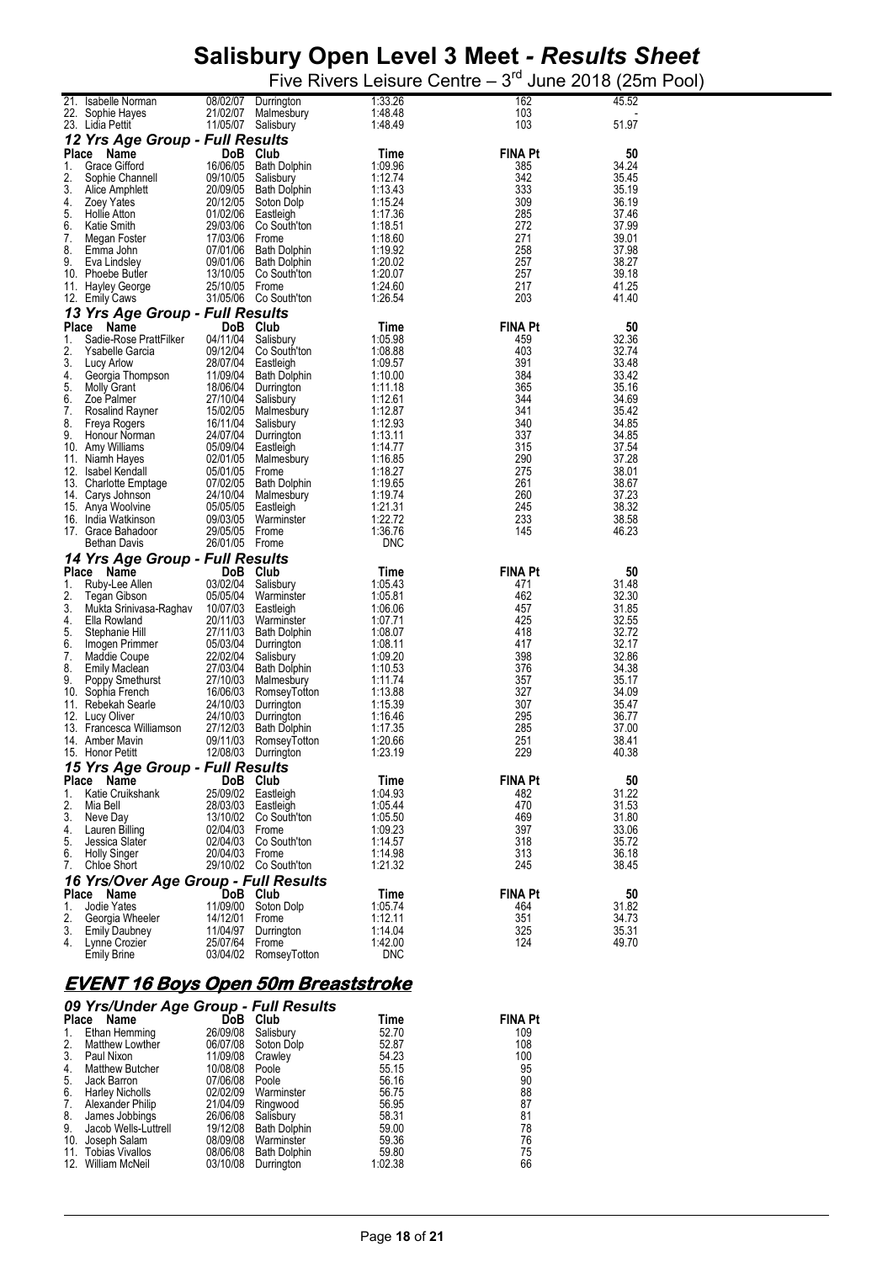Five Rivers Leisure Centre  $-3<sup>rd</sup>$  June 2018 (25m Pool)

|          |                                      |            |                                | 1:33.26               |                |       |
|----------|--------------------------------------|------------|--------------------------------|-----------------------|----------------|-------|
| 21.      | Isabelle Norman                      | 08/02/07   | Durrington                     |                       | 162            | 45.52 |
|          | 22. Sophie Hayes                     | 21/02/07   | Malmesbury                     | 1:48.48               | 103            |       |
|          | 23. Lidia Pettit                     | 11/05/07   | Salisbury                      | 1:48.49               | 103            | 51.97 |
|          | 12 Yrs Age Group - Full Results      |            |                                |                       |                |       |
|          |                                      |            |                                |                       |                |       |
| Place    | Name                                 |            | DoB Club                       | Time                  | <b>FINA Pt</b> | 50    |
| 1.       | Grace Gifford                        | 16/06/05   | <b>Bath Dolphin</b>            | 1:09.96               | 385            | 34.24 |
| 2.       | Sophie Channell                      | 09/10/05   | Salisbury                      | 1:12.74               | 342            | 35.45 |
| 3.       |                                      | 20/09/05   | <b>Bath Dolphin</b>            | 1:13.43               | 333            | 35.19 |
|          | Alice Amphlett                       |            |                                |                       |                |       |
| 4.       | Zoey Yates                           | 20/12/05   | Soton Dolp                     | 1:15.24               | 309            | 36.19 |
| 5.       | <b>Hollie Atton</b>                  | 01/02/06   | Eastleigh                      | 1:17.36               | 285            | 37.46 |
| 6.       | <b>Katie Smith</b>                   | 29/03/06   | Co South'ton                   | 1:18.51               | 272            | 37.99 |
| 7.       | Megan Foster                         | 17/03/06   | Frome                          | 1:18.60               | 271            | 39.01 |
| 8.       |                                      |            |                                | 1:19.92               |                |       |
|          | Emma John                            | 07/01/06   | <b>Bath Dolphin</b>            |                       | 258            | 37.98 |
| 9.       | Eva Lindsley                         | 09/01/06   | <b>Bath Dolphin</b>            | 1:20.02               | 257            | 38.27 |
|          | 10. Phoebe Butler                    | 13/10/05   | Co South'ton                   | 1:20.07               | 257            | 39.18 |
|          | 11. Hayley George                    | 25/10/05   | Frome                          | 1:24.60               | 217            | 41.25 |
|          | 12. Emily Caws                       | 31/05/06   | Co South'ton                   | 1:26.54               | 203            | 41.40 |
|          |                                      |            |                                |                       |                |       |
|          | 13 Yrs Age Group - Full Results      |            |                                |                       |                |       |
| Place    | Name                                 | <b>DoB</b> | Club                           | Time                  | <b>FINA Pt</b> | 50    |
| 1.       | Sadie-Rose PrattFilker               | 04/11/04   | Salisbury                      | 1:05.98               | 459            | 32.36 |
|          |                                      |            |                                |                       |                |       |
| 2.       | Ysabelle Garcia                      | 09/12/04   | Co South'ton                   | 1:08.88               | 403            | 32.74 |
| 3.       | Lucy Arlow                           | 28/07/04   | Eastleigh                      | 1:09.57               | 391            | 33.48 |
| 4.       | Georgia Thompson                     | 11/09/04   | Bath Dolphin                   | 1:10.00               | 384            | 33.42 |
| 5.       | <b>Molly Grant</b>                   | 18/06/04   | Durrington                     | 1:11.18               | 365            | 35.16 |
| 6.       | Zoe Palmer                           |            |                                |                       | 344            | 34.69 |
|          |                                      | 27/10/04   | Salisbury                      | 1:12.61               |                |       |
| 7.       | Rosalind Rayner                      | 15/02/05   | Malmesbury                     | 1:12.87               | 341            | 35.42 |
| 8.       | Freya Rogers                         | 16/11/04   | Salisbury                      | 1:12.93               | 340            | 34.85 |
| 9.       | Honour Norman                        | 24/07/04   | Durrington                     | 1:13.11               | 337            | 34.85 |
|          | 10. Amy Williams                     | 05/09/04   | Eastleigh                      | 1:14.77               | 315            | 37.54 |
|          |                                      |            |                                |                       |                |       |
| 11.      | Niamh Hayes                          | 02/01/05   | Malmesbury                     | 1:16.85               | 290            | 37.28 |
| 12.      | Isabel Kendall                       | 05/01/05   | Frome                          | 1:18.27               | 275            | 38.01 |
|          | 13. Charlotte Emptage                | 07/02/05   | <b>Bath Dolphin</b>            | 1:19.65               | 261            | 38.67 |
|          | 14. Carys Johnson                    | 24/10/04   | Malmesbury                     | 1:19.74               | 260            | 37.23 |
|          | 15. Anya Woolvine                    | 05/05/05   | Eastleigh                      | 1:21.31               | 245            | 38.32 |
|          |                                      |            |                                | 1:22.72               | 233            | 38.58 |
|          |                                      |            |                                |                       |                |       |
|          | 16. India Watkinson                  | 09/03/05   | Warminster                     |                       |                |       |
|          | 17. Grace Bahadoor                   | 29/05/05   | Frome                          | 1:36.76               | 145            | 46.23 |
|          | <b>Bethan Davis</b>                  | 26/01/05   | Frome                          | <b>DNC</b>            |                |       |
|          |                                      |            |                                |                       |                |       |
|          | 14 Yrs Age Group - Full Results      |            |                                |                       |                |       |
| Place    | Name                                 | <b>DoB</b> | Club                           | Time                  | <b>FINA Pt</b> | 50    |
| 1.       |                                      | 03/02/04   |                                | 1:05.43               | 471            | 31.48 |
|          | Ruby-Lee Allen                       |            | Salisbury                      |                       |                |       |
| 2.       | Tegan Gibson                         | 05/05/04   | Warminster                     | 1:05.81               | 462            | 32.30 |
| 3.       | Mukta Srinivasa-Raghav               | 10/07/03   | Eastleigh                      | 1:06.06               | 457            | 31.85 |
| 4.       | Ella Rowland                         | 20/11/03   | Warminster                     | 1:07.71               | 425            | 32.55 |
| 5.       | Stephanie Hill                       | 27/11/03   | <b>Bath Dolphin</b>            | 1:08.07               | 418            | 32.72 |
| 6.       | Imogen Primmer                       | 05/03/04   | Durrington                     | 1:08.11               | 417            | 32.17 |
|          |                                      |            |                                |                       |                |       |
| 7.       | Maddie Coupe                         | 22/02/04   | Salisbury                      | 1:09.20               | 398            | 32.86 |
| 8.       | <b>Emily Maclean</b>                 | 27/03/04   | <b>Bath Dolphin</b>            | 1:10.53               | 376            | 34.38 |
| 9.       | Poppy Smethurst                      | 27/10/03   | Malmesbury                     | 1:11.74               | 357            | 35.17 |
| 10.      | Sophia French                        | 16/06/03   | RomseyTotton                   | 1:13.88               | 327            | 34.09 |
| 11.      | Rebekah Searle                       | 24/10/03   | Durrington                     | 1:15.39               | 307            | 35.47 |
|          | 12. Lucy Oliver                      | 24/10/03   |                                | 1:16.46               | 295            | 36.77 |
|          |                                      |            | Durrington                     |                       |                |       |
|          | 13. Francesca Williamson             | 27/12/03   | <b>Bath Dolphin</b>            | 1:17.35               | 285            | 37.00 |
|          | 14. Amber Mavin                      | 09/11/03   | RomseyTotton                   | 1:20.66               | 251            | 38.41 |
|          | 15. Honor Petitt                     | 12/08/03   | Durrington                     | 1:23.19               | 229            | 40.38 |
|          |                                      |            |                                |                       |                |       |
|          | 15 Yrs Age Group - Full Results      |            |                                |                       |                |       |
|          | Place Name                           | DoB Club   |                                | Time                  | FINA Pt        | 50    |
| 1.       | Katie Cruikshank                     |            | 25/09/02 Eastleigh             | 1:04.93               | 482            | 31.22 |
| 2.       | Mia Bell                             | 28/03/03   | Eastleigh                      | 1:05.44               | 470            | 31.53 |
| 3.       | Neve Day                             | 13/10/02   | Co South'ton                   | 1:05.50               | 469            | 31.80 |
|          |                                      |            |                                |                       |                |       |
| 4.       | Lauren Billing                       | 02/04/03   | Frome                          | 1:09.23               | 397            | 33.06 |
|          | Jessica Slater                       | 02/04/03   | Co South'ton                   | 1:14.57               | 318            | 35.72 |
| 6.       | <b>Holly Singer</b>                  | 20/04/03   | Frome                          | 1:14.98               | 313            | 36.18 |
| 5.<br>7. | Chloe Short                          |            | 29/10/02 Co South'ton          | 1:21.32               | 245            | 38.45 |
|          |                                      |            |                                |                       |                |       |
|          | 16 Yrs/Over Age Group - Full Results |            |                                |                       |                |       |
| Place    | Name                                 |            | DoB Club                       | Time                  | <b>FINA Pt</b> | 50    |
| 1.       | Jodie Yates                          | 11/09/00   | Soton Dolp                     | 1:05.74               | 464            | 31.82 |
| 2.       | Georgia Wheeler                      | 14/12/01   | Frome                          | 1:12.11               | 351            | 34.73 |
| 3.       |                                      |            |                                |                       |                |       |
|          | <b>Emily Daubney</b>                 | 11/04/97   | Durrington                     | 1:14.04               | 325            | 35.31 |
| 4.       | Lynne Crozier<br><b>Emily Brine</b>  | 25/07/64   | Frome<br>03/04/02 RomseyTotton | 1:42.00<br><b>DNC</b> | 124            | 49.70 |

# **EVENT 16 Boys Open 50m Breaststroke**

|              | 09 Yrs/Under Age Group - Full Results |              |                     |         |                |
|--------------|---------------------------------------|--------------|---------------------|---------|----------------|
| <b>Place</b> | Name                                  | DoB <b>D</b> | Club                | Time    | <b>FINA Pt</b> |
| 1.           | Ethan Hemming                         | 26/09/08     | Salisbury           | 52.70   | 109            |
| 2.           | Matthew Lowther                       | 06/07/08     | Soton Dolp          | 52.87   | 108            |
| 3.           | Paul Nixon                            | 11/09/08     | Crawley             | 54.23   | 100            |
| 4.           | <b>Matthew Butcher</b>                | 10/08/08     | Poole               | 55.15   | 95             |
| 5.           | Jack Barron                           | 07/06/08     | Poole               | 56.16   | 90             |
| 6.           | <b>Harley Nicholls</b>                | 02/02/09     | Warminster          | 56.75   | 88             |
| 7.           | Alexander Philip                      | 21/04/09     | Ringwood            | 56.95   | 87<br>81       |
| 8.           | James Jobbings                        | 26/06/08     | Salisbury           | 58.31   |                |
| 9.           | Jacob Wells-Luttrell                  | 19/12/08     | <b>Bath Dolphin</b> | 59.00   | 78             |
| 10.          | Joseph Salam                          | 08/09/08     | Warminster          | 59.36   | 76             |
| 11.          | <b>Tobias Vivallos</b>                | 08/06/08     | <b>Bath Dolphin</b> | 59.80   | 75             |
|              | 12. William McNeil                    | 03/10/08     | Durrington          | 1:02.38 | 66             |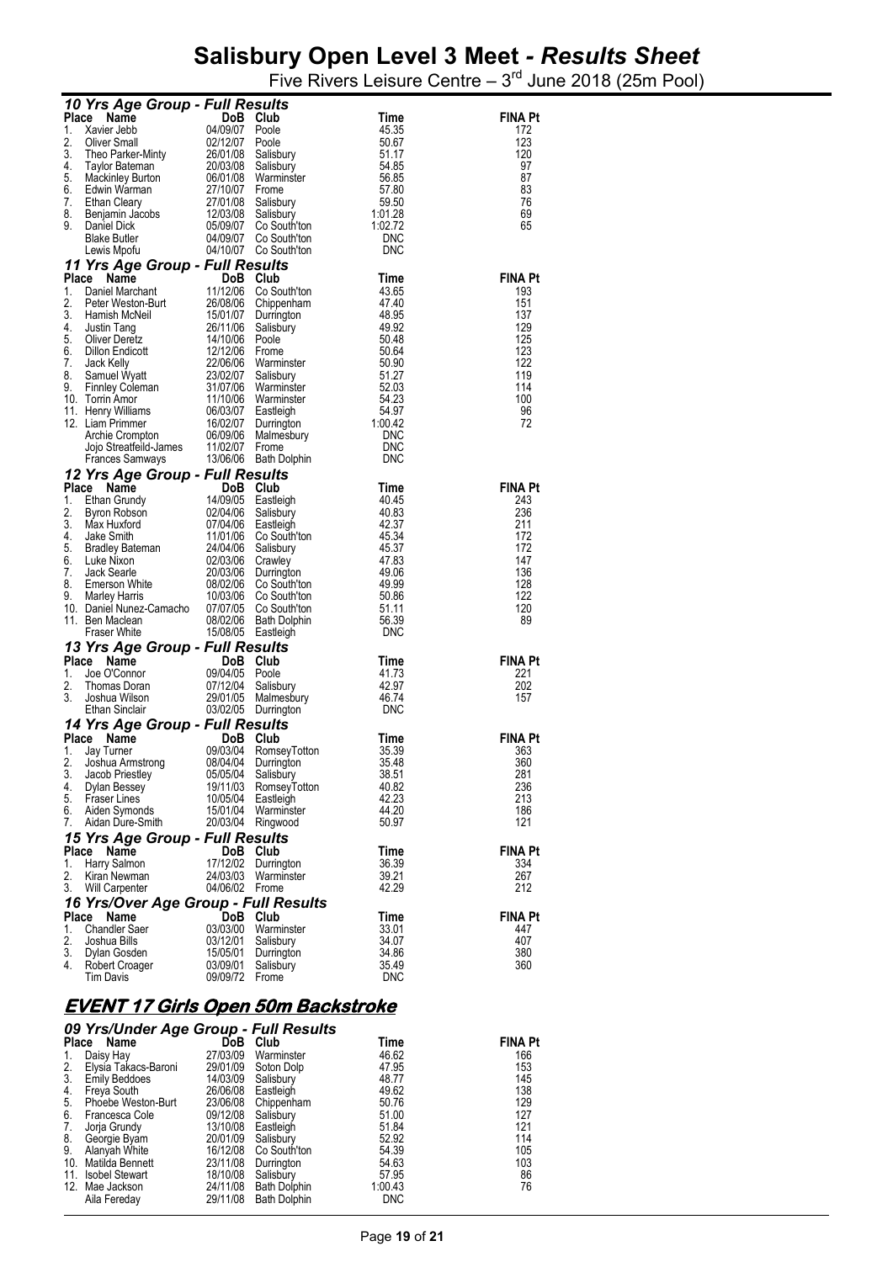Five Rivers Leisure Centre  $-3<sup>rd</sup>$  June 2018 (25m Pool)

|             | 10 Yrs Age Group - Full Results                                                                                                                                                                                                |                                               |                                              |                |                       |
|-------------|--------------------------------------------------------------------------------------------------------------------------------------------------------------------------------------------------------------------------------|-----------------------------------------------|----------------------------------------------|----------------|-----------------------|
| Place       | Name                                                                                                                                                                                                                           | DoB Club                                      |                                              | Time           | <b>FINA Pt</b>        |
| 1.          | Xavier Jebb                                                                                                                                                                                                                    | 04/09/07 Poole                                |                                              | 45.35          | 172                   |
| 2.          | Oliver Small<br>Theo Parker-Minty<br>Taylor Bateman 20/03/08 Salisbury<br>1. Alinlay Rurton 06/01/08 Warminstre 20/03/08 Theory                                                                                                |                                               |                                              | 50.67          | 123                   |
| 3.<br>4.    |                                                                                                                                                                                                                                |                                               |                                              | 51.17          | 120                   |
| 5.          |                                                                                                                                                                                                                                |                                               | Warminster                                   | 54.85<br>56.85 | 97<br>87              |
| 6.          |                                                                                                                                                                                                                                | 27/10/07                                      |                                              | 57.80          | 83                    |
| 7.          | Mackinley Burton<br>Edwin Warman<br>Ethan Cleary<br>Benjamin Jacobs<br>Daniel Dick                                                                                                                                             | 27/01/08<br>12/03/08                          | Salisbury                                    | 59.50          | 76                    |
| 8.          |                                                                                                                                                                                                                                |                                               | Salisbury                                    | 1:01.28        | 69                    |
| 9.          | Daniel Dick                                                                                                                                                                                                                    | 05/09/07                                      | Co South'ton                                 | 1:02.72        | 65                    |
|             | <b>Blake Butler</b>                                                                                                                                                                                                            |                                               | 04/09/07 Co South'ton                        | <b>DNC</b>     |                       |
|             | Lewis Mpofu                                                                                                                                                                                                                    |                                               | 04/10/07 Co South'ton                        | <b>DNC</b>     |                       |
| Place       | 11 Yrs Age Group - Full Results                                                                                                                                                                                                |                                               |                                              | Time           | <b>FINA Pt</b>        |
| 1.          | Comparison Comparison Comparison Comparison Comparison Comparison Comparison Comparison Comparison Comparison Comparison Comparison Comparison Comparison Comparison Comparison Comparison Comparison Comparison Comparison Co |                                               | 11/12/06 Co South'ton                        | 43.65          | 193                   |
| 2.          |                                                                                                                                                                                                                                |                                               | 26/08/06 Chippenham                          | 47.40          | 151                   |
| 3.          |                                                                                                                                                                                                                                |                                               | Durrington                                   | 48.95          | 137                   |
| 4.          |                                                                                                                                                                                                                                |                                               | Salisbury                                    | 49.92          | 129                   |
| 5.          |                                                                                                                                                                                                                                |                                               |                                              | 50.48          | 125                   |
| 6.          | <b>Dillon Endicott</b>                                                                                                                                                                                                         | 12/12/06 Frome                                |                                              | 50.64          | 123                   |
| 7.<br>8.    | Jack Kelly<br>Samuel Wyatt                                                                                                                                                                                                     | 23/02/07                                      | 22/06/06 Warminster<br>Salisbury             | 50.90<br>51.27 | 122<br>119            |
| 9.          | Finnley Coleman<br>Termin Amor                                                                                                                                                                                                 |                                               | 31/07/06 Warminster                          | 52.03          | 114                   |
|             | 10. Torrin Amor                                                                                                                                                                                                                |                                               | 11/10/06 Warminster                          | 54.23          | 100                   |
|             | 11. Henry Williams                                                                                                                                                                                                             | 06/03/07                                      | Eastleigh                                    | 54.97          | 96                    |
|             | 12. Liam Primmer                                                                                                                                                                                                               |                                               | 16/02/07 Durrington                          | 1:00.42        | 72                    |
|             |                                                                                                                                                                                                                                |                                               | 06/09/06 Malmesbury                          | <b>DNC</b>     |                       |
|             | Liam Primmer<br>Archie Crompton 06/09/06<br>Jojo Streatfeild-James 11/02/07<br>The Samways 13/06/06                                                                                                                            |                                               | Frome                                        | <b>DNC</b>     |                       |
|             |                                                                                                                                                                                                                                |                                               | 13/06/06 Bath Dolphin                        | <b>DNC</b>     |                       |
| Place       | 12 Yrs Age Group - Full Results<br>Jam Dolt<br><b>Print Results<br/> DoB Club<br/> 14/09/05 Eastleigh<br/> 02/04/06 Salishim</b><br>07/04/06 Salishim<br>Name                                                                  |                                               |                                              | Time           | <b>FINA Pt</b>        |
| 1.          | Ethan Grundy                                                                                                                                                                                                                   |                                               |                                              | 40.45          | 243                   |
| 2.          | <b>Byron Robson</b>                                                                                                                                                                                                            |                                               |                                              | 40.83          | 236                   |
| 3.          | Max Huxford                                                                                                                                                                                                                    |                                               |                                              | 42.37          | 211                   |
| 4.          | Jake Smith                                                                                                                                                                                                                     |                                               | 11/01/06 Co South'ton                        | 45.34          | 172                   |
| 5.          | Jacques Stateman 1240406 Salsbury<br>Bradley Bateman 22003/06 Crawley<br>Luke Nixon 20/03/06 Durringto                                                                                                                         | 24/04/06 Salisbury                            |                                              | 45.37          | 172                   |
| 6.          |                                                                                                                                                                                                                                |                                               |                                              | 47.83          | 147                   |
| 7.<br>8.    |                                                                                                                                                                                                                                |                                               | 20/03/06 Durrington<br>08/02/06 Co South'ton | 49.06<br>49.99 | 136<br>128            |
| 9.          | Emerson White<br>Marlev Harris                                                                                                                                                                                                 |                                               | 10/03/06 Co South'ton                        | 50.86          | 122                   |
|             | 10. Daniel Nunez-Camacho                                                                                                                                                                                                       |                                               | 07/07/05 Co South'ton                        | 51.11          | 120                   |
|             | 11. Ben Maclean                                                                                                                                                                                                                |                                               | 08/02/06 Bath Dolphin                        | 56.39          | 89                    |
|             | <b>Fraser White</b>                                                                                                                                                                                                            | 15/08/05 Eastleigh                            |                                              | <b>DNC</b>     |                       |
|             | 13 Yrs Age Group - Full Results                                                                                                                                                                                                |                                               |                                              |                |                       |
| Place       | Name                                                                                                                                                                                                                           | DoB Club<br>09/04/05 Poole<br>07/12/04 Salish |                                              | Time           | <b>FINA Pt</b>        |
| 1.<br>2.    | Joe O'Connor<br>Thomas Doran                                                                                                                                                                                                   |                                               |                                              | 41.73<br>42.97 | 221<br>202            |
| 3.          | Joshua Wilson                                                                                                                                                                                                                  |                                               | Salisbury<br>29/01/05 Malmesbury             | 46.74          | 157                   |
|             | Ethan Sinclair                                                                                                                                                                                                                 |                                               | 03/02/05 Durrington                          | DNC            |                       |
|             | 14 Yrs Age Group - Full Results                                                                                                                                                                                                |                                               |                                              |                |                       |
| Place       | Name                                                                                                                                                                                                                           | DoB Club                                      |                                              | Time           | <b>FINA Pt</b>        |
| 1.          | Jay Turner                                                                                                                                                                                                                     | 09/03/04                                      | RomseyTotton                                 | 35.39          | 363                   |
| 2           | Joshua Armstrong                                                                                                                                                                                                               |                                               | 08/04/04 Durrington                          | 35.48          | 360                   |
| 3.<br>4.    | Jacob Priestley                                                                                                                                                                                                                | 05/05/04 Salisbury                            |                                              | 38.51          | 281                   |
| 5.          | Dylan Bessey<br><b>Fraser Lines</b>                                                                                                                                                                                            | 10/05/04                                      | 19/11/03 RomseyTotton<br>Eastleigh           | 40.82<br>42.23 | 236<br>213            |
| 6.          | Aiden Symonds                                                                                                                                                                                                                  |                                               | 15/01/04 Warminster                          | 44.20          | 186                   |
| 7.          | Aidan Dure-Smith                                                                                                                                                                                                               | 20/03/04                                      | Ringwood                                     | 50.97          | 121                   |
|             | 15 Yrs Age Group - Full Results                                                                                                                                                                                                |                                               |                                              |                |                       |
| Place       | Name                                                                                                                                                                                                                           | DoB Club                                      |                                              | Time           | <b>FINA Pt</b>        |
| 1.          | Harry Salmon                                                                                                                                                                                                                   |                                               | 17/12/02 Durrington                          | 36.39          | 334                   |
| 2.          | Kiran Newman                                                                                                                                                                                                                   | 24/03/03                                      | Warminster                                   | 39.21          | 267                   |
| 3.          | <b>Will Carpenter</b>                                                                                                                                                                                                          | 04/06/02 Frome                                |                                              | 42.29          | 212                   |
|             | 16 Yrs/Over Age Group - Full Results                                                                                                                                                                                           |                                               |                                              |                |                       |
| Place<br>1. | Name<br><b>Chandler Saer</b>                                                                                                                                                                                                   | DoB Club<br>03/03/00                          | Warminster                                   | Time<br>33.01  | <b>FINA Pt</b><br>447 |
| 2.          | Joshua Bills                                                                                                                                                                                                                   | 03/12/01                                      | Salisbury                                    | 34.07          | 407                   |
| 3.          | Dylan Gosden                                                                                                                                                                                                                   | 15/05/01                                      | Durrington                                   | 34.86          | 380                   |
| 4.          | Robert Croager                                                                                                                                                                                                                 | 03/09/01                                      | Salisbury                                    | 35.49          | 360                   |
|             | Tim Davis                                                                                                                                                                                                                      | 09/09/72                                      | Frome                                        | <b>DNC</b>     |                       |

#### **EVENT 17 Girls Open 50m Backstroke**

|              | 09 Yrs/Under Age Group - Full Results |          |                     |            |                |
|--------------|---------------------------------------|----------|---------------------|------------|----------------|
| <b>Place</b> | Name                                  | DoB.     | Club                | Time       | <b>FINA Pt</b> |
| 1.           | Daisy Hay                             | 27/03/09 | Warminster          | 46.62      | 166            |
| 2.           | Elysia Takacs-Baroni                  | 29/01/09 | Soton Dolp          | 47.95      | 153            |
| 3.           | <b>Emily Beddoes</b>                  | 14/03/09 | Salisbury           | 48.77      | 145            |
| 4.           | Freya South                           | 26/06/08 | Eastleigh           | 49.62      | 138            |
| 5.           | Phoebe Weston-Burt                    | 23/06/08 | Chippenham          | 50.76      | 129            |
| 6.           | Francesca Cole                        | 09/12/08 | Salisbury           | 51.00      | 127            |
| 7.           | Joria Grundy                          | 13/10/08 | Eastleigh           | 51.84      | 121            |
| 8.           | Georgie Byam                          | 20/01/09 | Salisbury           | 52.92      | 114            |
| 9.           | Alanyah White                         | 16/12/08 | Co South'ton        | 54.39      | 105            |
| 10.          | Matilda Bennett                       | 23/11/08 | Durrington          | 54.63      | 103            |
| 11.          | <b>Isobel Stewart</b>                 | 18/10/08 | Salisbury           | 57.95      | 86             |
|              | 12. Mae Jackson                       | 24/11/08 | <b>Bath Dolphin</b> | 1:00.43    | 76             |
|              | Aila Fereday                          | 29/11/08 | <b>Bath Dolphin</b> | <b>DNC</b> |                |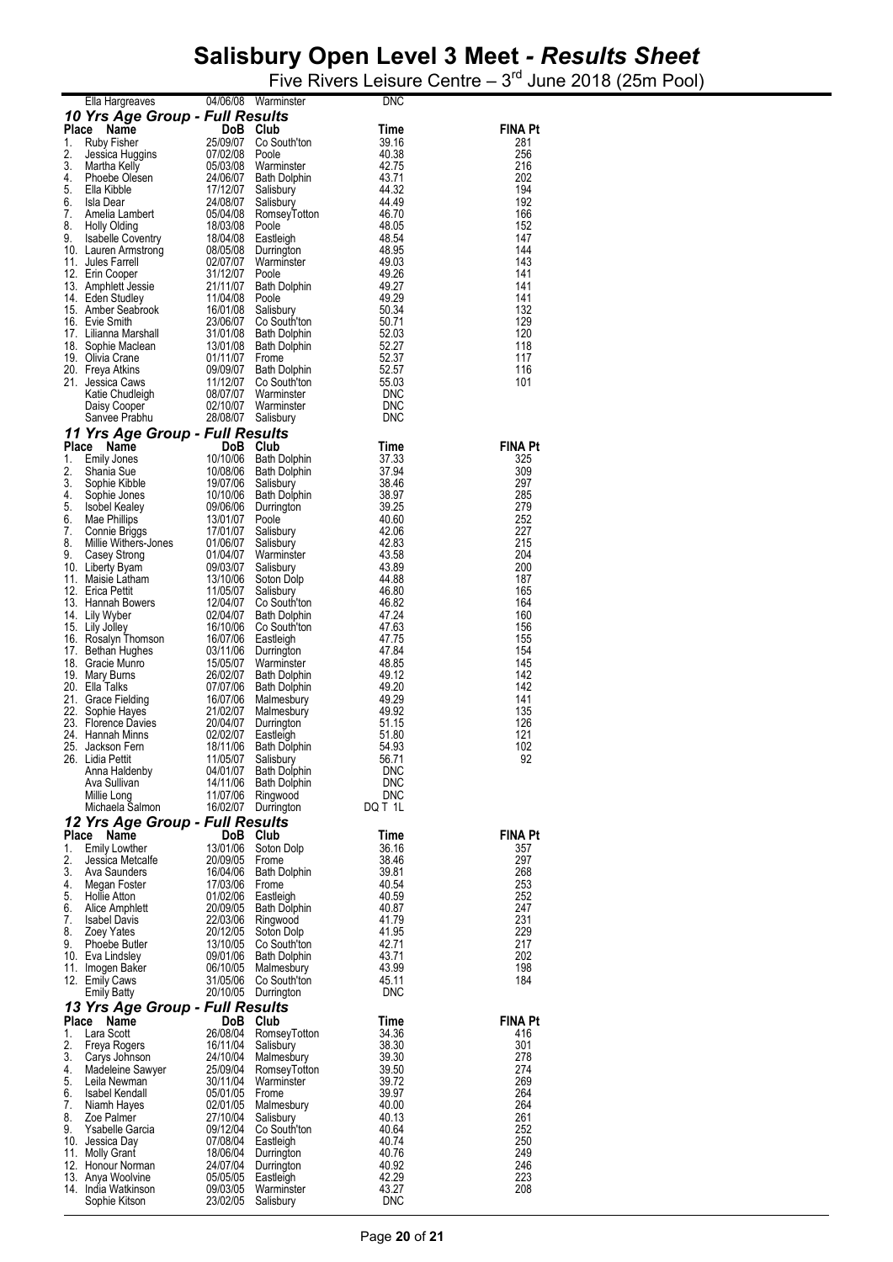|          | Ella Hargreaves                          | 04/06/08             | Warminster                          | DNC                 |                       |
|----------|------------------------------------------|----------------------|-------------------------------------|---------------------|-----------------------|
|          | 10 Yrs Age Group - Full Results          |                      |                                     |                     |                       |
| 1.       | Place<br>Name<br><b>Ruby Fisher</b>      | DoB Club<br>25/09/07 | Co South'ton                        | Time<br>39.16       | <b>FINA Pt</b><br>281 |
| 2.       | Jessica Huggins                          | 07/02/08             | Poole                               | 40.38               | 256                   |
| 3.       | Martha Kelly                             | 05/03/08             | Warminster                          | 42.75               | 216                   |
| 4.       | Phoebe Olesen                            | 24/06/07             | <b>Bath Dolphin</b>                 | 43.71               | 202                   |
| 5.<br>6. | Ella Kibble<br>Isla Dear                 | 17/12/07<br>24/08/07 | Salisbury                           | 44.32<br>44.49      | 194<br>192            |
| 7.       | Amelia Lambert                           | 05/04/08             | Salisbury<br>RomseyTotton           | 46.70               | 166                   |
| 8.       | <b>Holly Olding</b>                      | 18/03/08             | Poole                               | 48.05               | 152                   |
| 9.       | <b>Isabelle Coventry</b>                 | 18/04/08             | Eastleigh                           | 48.54               | 147                   |
|          | 10. Lauren Armstrong                     | 08/05/08             | Durrington                          | 48.95               | 144                   |
|          | 11. Jules Farrell<br>12. Erin Cooper     | 02/07/07<br>31/12/07 | Warminster<br>Poole                 | 49.03<br>49.26      | 143<br>141            |
|          | 13. Amphlett Jessie                      | 21/11/07             | Bath Dolphin                        | 49.27               | 141                   |
|          | 14. Eden Studley                         | 11/04/08             | Poole                               | 49.29               | 141                   |
|          | 15. Amber Seabrook                       | 16/01/08             | Salisbury                           | 50.34               | 132                   |
|          | 16. Evie Smith<br>17. Lilianna Marshall  | 23/06/07<br>31/01/08 | Co South'ton<br><b>Bath Dolphin</b> | 50.71<br>52.03      | 129<br>120            |
|          | 18. Sophie Maclean                       | 13/01/08             | <b>Bath Dolphin</b>                 | 52.27               | 118                   |
|          | 19. Olivia Crane                         | 01/11/07             | Frome                               | 52.37               | 117                   |
|          | 20. Freya Atkins                         | 09/09/07             | <b>Bath Dolphin</b>                 | 52.57               | 116                   |
|          | 21. Jessica Caws                         | 11/12/07<br>08/07/07 | Co South'ton<br>Warminster          | 55.03<br>DNC        | 101                   |
|          | Katie Chudleigh<br>Daisy Cooper          | 02/10/07             | Warminster                          | <b>DNC</b>          |                       |
|          | Sanvee Prabhu                            | 28/08/07             | Salisbury                           | <b>DNC</b>          |                       |
|          | 11 Yrs Age Group - Full Results          |                      |                                     |                     |                       |
| Place    | Name                                     | DoB Club             |                                     | Time                | <b>FINA Pt</b>        |
| 1.       | <b>Emily Jones</b>                       | 10/10/06             | <b>Bath Dolphin</b>                 | 37.33               | 325                   |
| 2.<br>3. | Shania Sue<br>Sophie Kibble              | 10/08/06<br>19/07/06 | <b>Bath Dolphin</b>                 | 37.94<br>38.46      | 309<br>297            |
| 4.       | Sophie Jones                             | 10/10/06             | Salisbury<br>Bath Dolphin           | 38.97               | 285                   |
| 5.       | Isobel Kealey                            | 09/06/06             | Durrington                          | 39.25               | 279                   |
| 6.       | Mae Phillips                             | 13/01/07             | Poole                               | 40.60               | 252                   |
| 7.       | Connie Briggs                            | 17/01/07             | Salisbury                           | 42.06               | 227                   |
| 8.<br>9. | Millie Withers-Jones<br>Casey Strong     | 01/06/07<br>01/04/07 | Salisbury<br>Warminster             | 42.83<br>43.58      | 215<br>204            |
|          | 10. Liberty Byam                         | 09/03/07             | Salisbury                           | 43.89               | 200                   |
|          | 11. Maisie Latham                        | 13/10/06             | Soton Dolp                          | 44.88               | 187                   |
|          | 12. Erica Pettit<br>13. Hannah Bowers    | 11/05/07<br>12/04/07 | Salisbury                           | 46.80<br>46.82      | 165<br>164            |
|          | 14. Lily Wyber                           | 02/04/07             | Co South'ton<br><b>Bath Dolphin</b> | 47.24               | 160                   |
|          | 15. Lily Jolley                          | 16/10/06             | Co South'ton                        | 47.63               | 156                   |
|          | 16. Rosalyn Thomson                      | 16/07/06             | Eastleigh                           | 47.75               | 155                   |
|          | 17. Bethan Hughes<br>18. Gracie Munro    | 03/11/06<br>15/05/07 | Durrington                          | 47.84<br>48.85      | 154<br>145            |
|          | 19. Mary Burns                           | 26/02/07             | Warminster<br><b>Bath Dolphin</b>   | 49.12               | 142                   |
|          | 20. Ella Talks                           | 07/07/06             | <b>Bath Dolphin</b>                 | 49.20               | 142                   |
|          | 21. Grace Fielding                       | 16/07/06             | Malmesbury                          | 49.29               | 141                   |
|          | 22. Sophie Hayes<br>23. Florence Davies  | 21/02/07             | Malmesbury                          | 49.92<br>51.15      | 135<br>126            |
|          | 24. Hannah Minns                         | 20/04/07<br>02/02/07 | Durrington<br>Eastleigh             | 51.80               | 121                   |
|          | 25. Jackson Fern                         | 18/11/06             | Bath Dolphin                        | 54.93               | 102                   |
|          | 26. Lidia Pettit                         | 11/05/07             | Salisbury                           | 56.71               | 92                    |
|          | Anna Haldenby                            | 04/01/07<br>14/11/06 | <b>Bath Dolphin</b>                 | <b>DNC</b><br>DNC   |                       |
|          | Ava Sullivan<br>Millie Long              | 11/07/06             | Bath Dolphin<br>Ringwood            | <b>DNC</b>          |                       |
|          | Michaela Salmon                          | 16/02/07             | Durrington                          | DQ T 1L             |                       |
|          | 12 Yrs Age Group - Full Results          |                      |                                     |                     |                       |
| Place    | Name                                     | DoB                  | Club                                | Time                | <b>FINA Pt</b>        |
| 1.       | <b>Emily Lowther</b>                     | 13/01/06             | Soton Dolp                          | 36.16               | 357                   |
| 2.<br>3. | Jessica Metcalfe<br>Ava Saunders         | 20/09/05<br>16/04/06 | Frome<br>Bath Dolphin               | 38.46<br>39.81      | 297<br>268            |
| 4.       | Megan Foster                             | 17/03/06             | Frome                               | 40.54               | 253                   |
| 5.       | <b>Hollie Atton</b>                      | 01/02/06             | Eastleigh                           | 40.59               | 252                   |
| 6.       | Alice Amphlett                           | 20/09/05             | Bath Dolphin                        | 40.87               | 247                   |
| 7.<br>8. | <b>Isabel Davis</b><br>Zoey Yates        | 22/03/06<br>20/12/05 | Ringwood<br>Soton Dolp              | 41.79<br>41.95      | 231<br>229            |
| 9.       | Phoebe Butler                            | 13/10/05             | Co South'ton                        | 42.71               | 217                   |
|          | 10. Eva Lindsley                         | 09/01/06             | <b>Bath Dolphin</b>                 | 43.71               | 202                   |
|          | 11. Imogen Baker                         | 06/10/05             | Malmesbury                          | 43.99               | 198                   |
|          | 12. Emily Caws<br><b>Emily Batty</b>     | 31/05/06<br>20/10/05 | Co South'ton<br>Durrington          | 45.11<br><b>DNC</b> | 184                   |
|          | 13 Yrs Age Group - Full Results          |                      |                                     |                     |                       |
|          | Place Name                               | DoB Club             |                                     | Time                | <b>FINA Pt</b>        |
| 1.       | Lara Scott                               | 26/08/04             | RomseyTotton                        | 34.36               | 416                   |
| 2.       | Freya Rogers                             | 16/11/04             | Salisbury                           | 38.30               | 301                   |
| 3.<br>4. | Carys Johnson                            | 24/10/04             | Malmesbury                          | 39.30<br>39.50      | 278<br>274            |
| 5.       | Madeleine Sawyer<br>Leila Newman         | 25/09/04<br>30/11/04 | RomseyTotton<br>Warminster          | 39.72               | 269                   |
| 6.       | Isabel Kendall                           | 05/01/05             | Frome                               | 39.97               | 264                   |
| 7.       | Niamh Hayes                              | 02/01/05             | Malmesbury                          | 40.00               | 264                   |
| 8.<br>9. | Zoe Palmer                               | 27/10/04             | Salisbury                           | 40.13               | 261<br>252            |
|          | Ysabelle Garcia<br>10. Jessica Day       | 09/12/04<br>07/08/04 | Co South'ton<br>Eastleigh           | 40.64<br>40.74      | 250                   |
|          | 11. Molly Grant                          | 18/06/04             | Durrington                          | 40.76               | 249                   |
|          | 12. Honour Norman                        | 24/07/04             | Durrington                          | 40.92               | 246                   |
|          | 13. Anya Woolvine<br>14. India Watkinson | 05/05/05<br>09/03/05 | Eastleigh                           | 42.29<br>43.27      | 223<br>208            |
|          | Sophie Kitson                            | 23/02/05             | Warminster<br>Salisbury             | <b>DNC</b>          |                       |